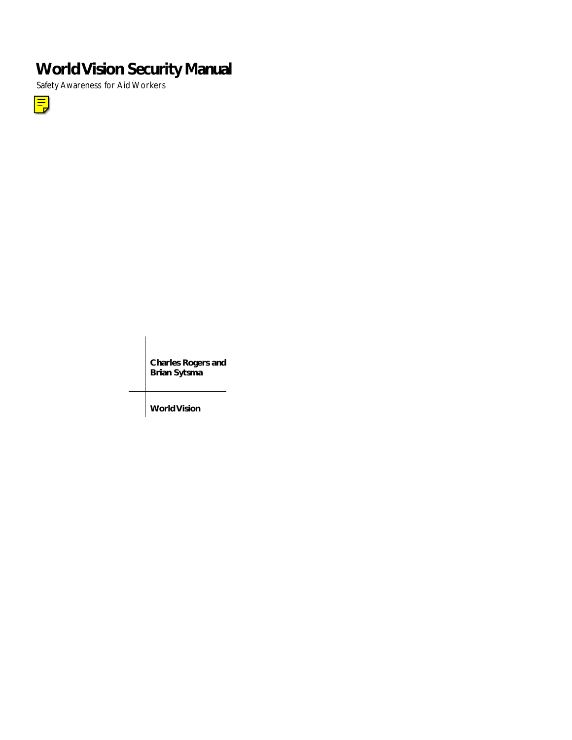# **World Vision Security Manual**

Safety Awareness for Aid Workers



**Charles Rogers and Brian Sytsma**

**World Vision**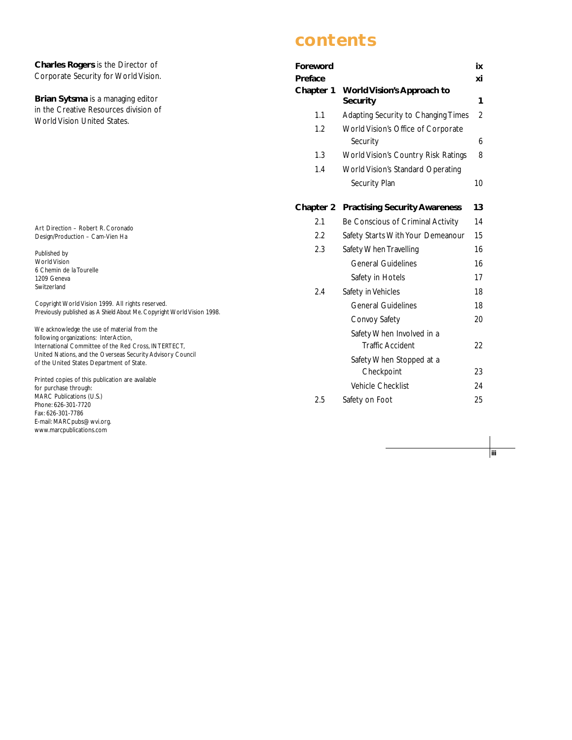**Charles Rogers** is the Director of Corporate Security for World Vision.

**Brian Sytsma** is a managing editor in the Creative Resources division of World Vision United States.

Art Direction – Robert R. Coronado Design/Production – Cam-Vien Ha

Published by World Vision 6 Chemin de la Tourelle 1209 Geneva Switzerland

Copyright World Vision 1999. All rights reserved. Previously published as *A Shield About Me*. Copyright World Vision 1998.

We acknowledge the use of material from the following organizations: InterAction, International Committee of the Red Cross, INTERTECT, United Nations, and the Overseas Security Advisory Council of the United States Department of State.

Printed copies of this publication are available for purchase through: MARC Publications (U.S.) Phone: 626-301-7720 Fax: 626-301-7786 E-mail: MARCpubs@wvi.org. www.marcpublications.com

# **contents**

| Foreword             |                                                      | ix             |
|----------------------|------------------------------------------------------|----------------|
| Preface<br>Chapter 1 | <b>World Vision's Approach to</b>                    | хi             |
|                      | <b>Security</b>                                      | 1              |
| 1.1                  | Adapting Security to Changing Times                  | $\overline{2}$ |
| 1.2                  | World Vision's Office of Corporate<br>Security       | 6              |
| 1.3                  | World Vision's Country Risk Ratings                  | 8              |
| 1.4                  | <b>World Vision's Standard Operating</b>             |                |
|                      | Security Plan                                        | 10             |
| Chapter 2            | <b>Practising Security Awareness</b>                 | 13             |
| 2.1                  | Be Conscious of Criminal Activity                    | 14             |
| 2.2                  | Safety Starts With Your Demeanour                    | 15             |
| 2.3                  | Safety When Travelling                               | 16             |
|                      | <b>General Guidelines</b>                            | 16             |
|                      | Safety in Hotels                                     | 17             |
| 2.4                  | Safety in Vehicles                                   | 18             |
|                      | <b>General Guidelines</b>                            | 18             |
|                      | Convoy Safety                                        | 20             |
|                      | Safety When Involved in a<br><b>Traffic Accident</b> | 22             |
|                      | Safety When Stopped at a                             |                |
|                      | Checkpoint                                           | 23             |
|                      | Vehicle Checklist                                    | 24             |
| 2.5                  | Safety on Foot                                       | 25             |

**iii**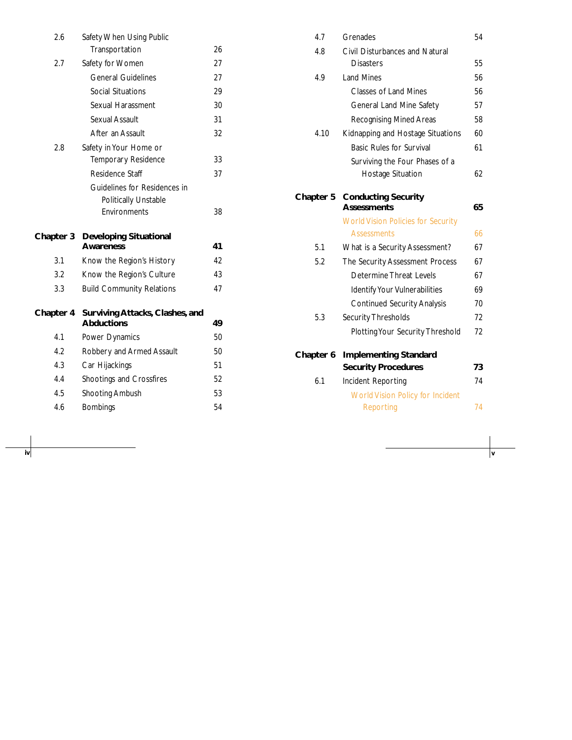| 2.6       | Safety When Using Public                             |    |
|-----------|------------------------------------------------------|----|
|           | Transportation                                       | 26 |
| 2.7       | Safety for Women                                     | 27 |
|           | <b>General Guidelines</b>                            | 27 |
|           | <b>Social Situations</b>                             | 29 |
|           | Sexual Harassment                                    | 30 |
|           | Sexual Assault                                       | 31 |
|           | After an Assault                                     | 32 |
| 2.8       | Safety in Your Home or                               |    |
|           | Temporary Residence                                  | 33 |
|           | Residence Staff                                      | 37 |
|           | Guidelines for Residences in                         |    |
|           | <b>Politically Unstable</b>                          |    |
|           | Environments                                         | 38 |
|           |                                                      |    |
|           |                                                      |    |
| Chapter 3 | <b>Developing Situational</b><br><b>Awareness</b>    | 41 |
| 3.1       | Know the Region's History                            | 42 |
| 3.2       | Know the Region's Culture                            | 43 |
| 3.3       | <b>Build Community Relations</b>                     | 47 |
|           |                                                      |    |
| Chapter 4 | Surviving Attacks, Clashes, and<br><b>Abductions</b> | 49 |
| 4.1       | Power Dynamics                                       | 50 |
| 4.2       | Robbery and Armed Assault                            | 50 |
| 4.3       | Car Hijackings                                       | 51 |
| 4.4       | Shootings and Crossfires                             | 52 |
| 4.5       | Shooting Ambush                                      | 53 |
| 4.6       | <b>Bombings</b>                                      | 54 |

**iv v**

| 4.7       | Grenades                                         | 54 |
|-----------|--------------------------------------------------|----|
| 4.8       | Civil Disturbances and Natural                   |    |
|           | <b>Disasters</b>                                 | 55 |
| 4.9       | <b>Land Mines</b>                                | 56 |
|           | <b>Classes of Land Mines</b>                     | 56 |
|           | General Land Mine Safety                         | 57 |
|           | Recognising Mined Areas                          | 58 |
| 4.10      | Kidnapping and Hostage Situations                | 60 |
|           | <b>Basic Rules for Survival</b>                  | 61 |
|           | Surviving the Four Phases of a                   |    |
|           | Hostage Situation                                | 62 |
|           |                                                  |    |
| Chapter 5 | <b>Conducting Security</b><br><b>Assessments</b> | 65 |
|           | <b>World Vision Policies for Security</b>        |    |
|           | <b>Assessments</b>                               | 66 |
| 5.1       | What is a Security Assessment?                   | 67 |
| 5.2       | The Security Assessment Process                  | 67 |
|           | Determine Threat Levels                          | 67 |
|           | Identify Your Vulnerabilities                    | 69 |
|           | <b>Continued Security Analysis</b>               | 70 |
| 5.3       | <b>Security Thresholds</b>                       | 72 |
|           | Plotting Your Security Threshold                 | 72 |
| Chapter 6 | <b>Implementing Standard</b>                     |    |
|           | <b>Security Procedures</b>                       | 73 |
| 6.1       | Incident Reporting                               | 74 |
|           | <b>World Vision Policy for Incident</b>          |    |
|           |                                                  |    |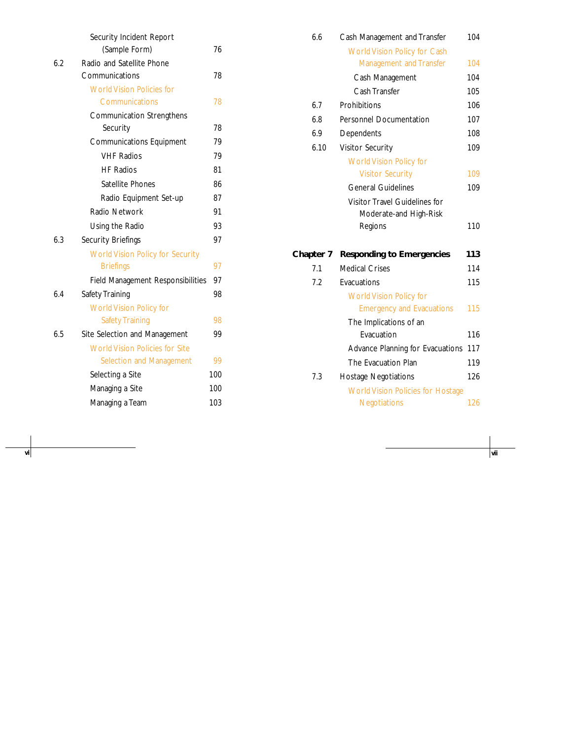|     | Security Incident Report                |     |
|-----|-----------------------------------------|-----|
|     | (Sample Form)                           | 76  |
| 6.2 | Radio and Satellite Phone               |     |
|     | Communications                          | 78  |
|     | <b>World Vision Policies for</b>        |     |
|     | Communications                          | 78  |
|     | <b>Communication Strengthens</b>        |     |
|     | Security                                | 78  |
|     | <b>Communications Equipment</b>         | 79  |
|     | <b>VHF Radios</b>                       | 79  |
|     | <b>HF Radios</b>                        | 81  |
|     | Satellite Phones                        | 86  |
|     | Radio Equipment Set-up                  | 87  |
|     | Radio Network                           | 91  |
|     | Using the Radio                         | 93  |
| 6.3 | Security Briefings                      | 97  |
|     | <b>World Vision Policy for Security</b> |     |
|     | <b>Briefings</b>                        | 97  |
|     | Field Management Responsibilities       | 97  |
| 6.4 | Safety Training                         | 98  |
|     | <b>World Vision Policy for</b>          |     |
|     | <b>Safety Training</b>                  | 98  |
| 6.5 | Site Selection and Management           | 99  |
|     | <b>World Vision Policies for Site</b>   |     |
|     | Selection and Management                | 99  |
|     | Selecting a Site                        | 100 |
|     | Managing a Site                         | 100 |
|     | Managing a Team                         | 103 |
|     |                                         |     |

**vi vii**

| 6.6       | Cash Management and Transfer             | 104 |
|-----------|------------------------------------------|-----|
|           | <b>World Vision Policy for Cash</b>      |     |
|           | <b>Management and Transfer</b>           | 104 |
|           | Cash Management                          | 104 |
|           | Cash Transfer                            | 105 |
| 6.7       | Prohibitions                             | 106 |
| 6.8       | <b>Personnel Documentation</b>           | 107 |
| 6.9       | Dependents                               | 108 |
| 6.10      | <b>Visitor Security</b>                  | 109 |
|           | <b>World Vision Policy for</b>           |     |
|           | <b>Visitor Security</b>                  | 109 |
|           | <b>General Guidelines</b>                | 109 |
|           | Visitor Travel Guidelines for            |     |
|           | Moderate-and High-Risk                   |     |
|           | Regions                                  | 110 |
| Chapter 7 | <b>Responding to Emergencies</b>         | 113 |
| 7.1       | <b>Medical Crises</b>                    | 114 |
| 7.2       | Evacuations                              | 115 |
|           | <b>World Vision Policy for</b>           |     |
|           | <b>Emergency and Evacuations</b>         | 115 |
|           | The Implications of an                   |     |
|           | Evacuation                               | 116 |
|           | Advance Planning for Evacuations         | 117 |
|           | The Evacuation Plan                      | 119 |
| 7.3       | <b>Hostage Negotiations</b>              | 126 |
|           | <b>World Vision Policies for Hostage</b> |     |
|           | <b>Negotiations</b>                      | 126 |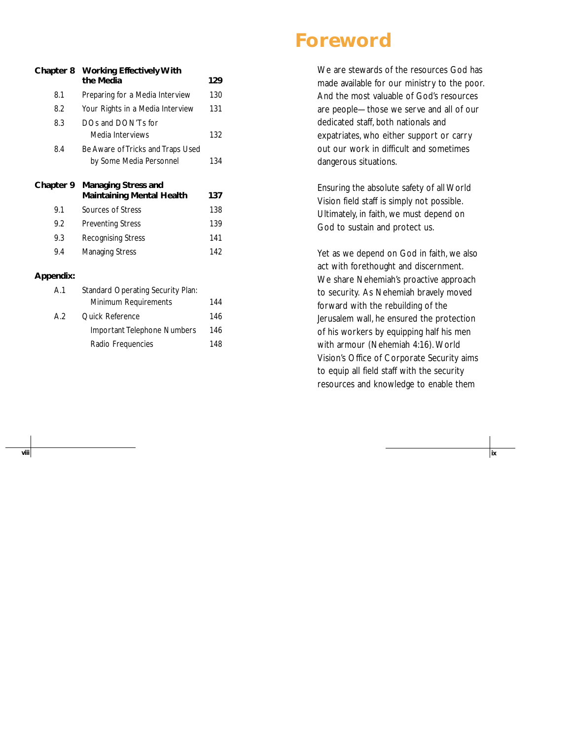# **Foreword**

| Chapter 8                 | <b>Working Effectively With</b><br>the Media                   | 129 |
|---------------------------|----------------------------------------------------------------|-----|
| 8.1                       | Preparing for a Media Interview                                | 130 |
| 8.2                       | Your Rights in a Media Interview                               |     |
| DOs and DON'Ts for<br>8.3 |                                                                |     |
|                           | Media Interviews                                               | 132 |
| 8.4                       | Be Aware of Tricks and Traps Used                              |     |
|                           | by Some Media Personnel                                        | 134 |
|                           |                                                                |     |
| Chapter 9                 | <b>Managing Stress and</b><br><b>Maintaining Mental Health</b> | 137 |
| 9.1                       | Sources of Stress                                              | 138 |
| 9.2                       | <b>Preventing Stress</b>                                       | 139 |
| 9.3                       | <b>Recognising Stress</b>                                      | 141 |
| 9.4                       | <b>Managing Stress</b>                                         | 142 |

| A.1 | <b>Standard Operating Security Plan:</b> |     |  |
|-----|------------------------------------------|-----|--|
|     | Minimum Requirements                     | 144 |  |
| A.2 | Quick Reference                          | 146 |  |
|     | Important Telephone Numbers              | 146 |  |
|     | Radio Frequencies                        | 148 |  |

We are stewards of the resources God has made available for our ministry to the poor. And the most valuable of God's resources are people—those we serve and all of our dedicated staff, both nationals and expatriates, who either support or carry out our work in difficult and sometimes dangerous situations.

Ensuring the absolute safety of all World Vision field staff is simply not possible. Ultimately, in faith, we must depend on God to sustain and protect us.

Yet as we depend on God in faith, we also act with forethought and discernment. We share Nehemiah's proactive approach to security. As Nehemiah bravely moved forward with the rebuilding of the Jerusalem wall, he ensured the protection of his workers by equipping half his men with armour (Nehemiah 4:16). World Vision's Office of Corporate Security aims to equip all field staff with the security resources and knowledge to enable them

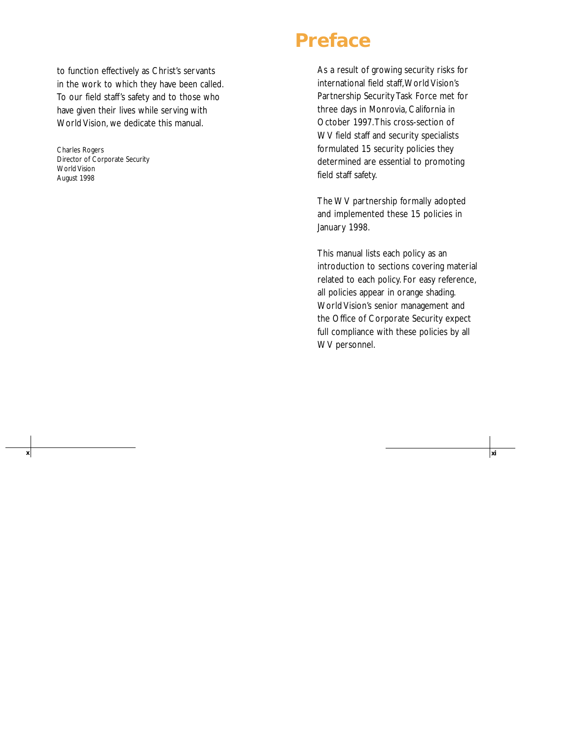to function effectively as Christ's servants in the work to which they have been called. To our field staff's safety and to those who have given their lives while serving with World Vision, we dedicate this manual.

Charles Rogers Director of Corporate Security World Vision August 1998

# **Preface**

**x xi**

As a result of growing security risks for international field staff,World Vision's Partnership Security Task Force met for three days in Monrovia, California in October 1997.This cross-section of WV field staff and security specialists formulated 15 security policies they determined are essential to promoting field staff safety.

The WV partnership formally adopted and implemented these 15 policies in January 1998.

This manual lists each policy as an introduction to sections covering material related to each policy. For easy reference, all policies appear in orange shading. World Vision's senior management and the Office of Corporate Security expect full compliance with these policies by all WV personnel.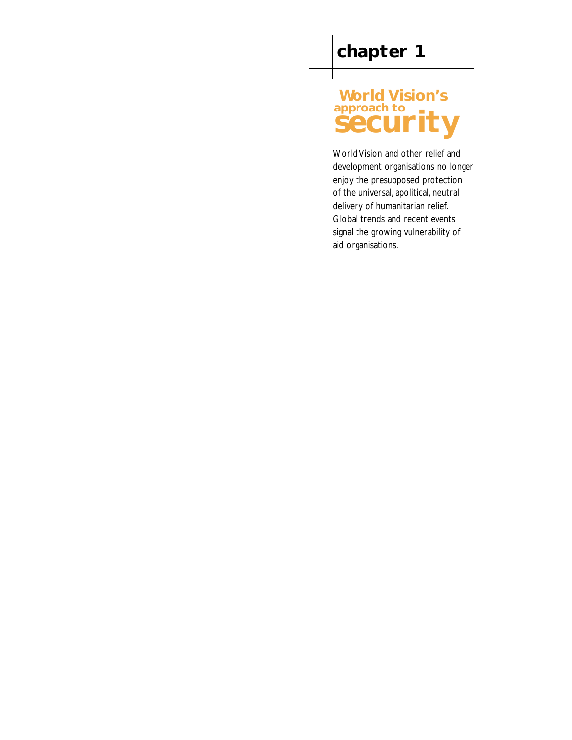# **World Vision's** approach to

World Vision and other relief and development organisations no longer enjoy the presupposed protection of the universal, apolitical, neutral delivery of humanitarian relief. Global trends and recent events signal the growing vulnerability of aid organisations.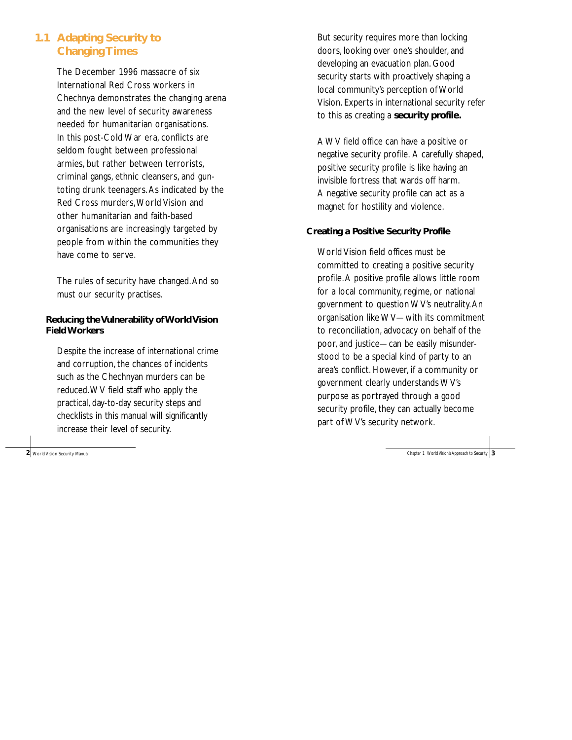### **1.1 Adapting Security to Changing Times**

The December 1996 massacre of six International Red Cross workers in Chechnya demonstrates the changing arena and the new level of security awareness needed for humanitarian organisations. In this post-Cold War era, conflicts are seldom fought between professional armies, but rather between terrorists, criminal gangs, ethnic cleansers, and guntoting drunk teenagers.As indicated by the Red Cross murders,World Vision and other humanitarian and faith-based organisations are increasingly targeted by people from within the communities they have come to serve.

The rules of security have changed.And so must our security practises.

### **Reducing the Vulnerability of World Vision Field Workers**

Despite the increase of international crime and corruption, the chances of incidents such as the Chechnyan murders can be reduced.WV field staff who apply the practical, day-to-day security steps and checklists in this manual will significantly increase their level of security.

But security requires more than locking doors, looking over one's shoulder, and developing an evacuation plan. Good security starts with proactively shaping a local community's perception of World Vision. Experts in international security refer to this as creating a **security profile.**

A WV field office can have a positive or negative security profile. A carefully shaped, positive security profile is like having an invisible fortress that wards off harm. A negative security profile can act as a magnet for hostility and violence.

### **Creating a Positive Security Profile**

World Vision field offices must be committed to creating a positive security profile.A positive profile allows little room for a local community, regime, or national government to question WV's neutrality.An organisation like WV—with its commitment to reconciliation, advocacy on behalf of the poor, and justice—can be easily misunderstood to be a special kind of party to an area's conflict. However, if a community or government clearly understands WV's purpose as portrayed through a good security profile, they can actually become part of WV's security network.

**2** World Vision Security Manual **3** Chapter 1 World Vision's Approach to Security 1 Security 2 Chapter 1 World Vision's Approach to Security 1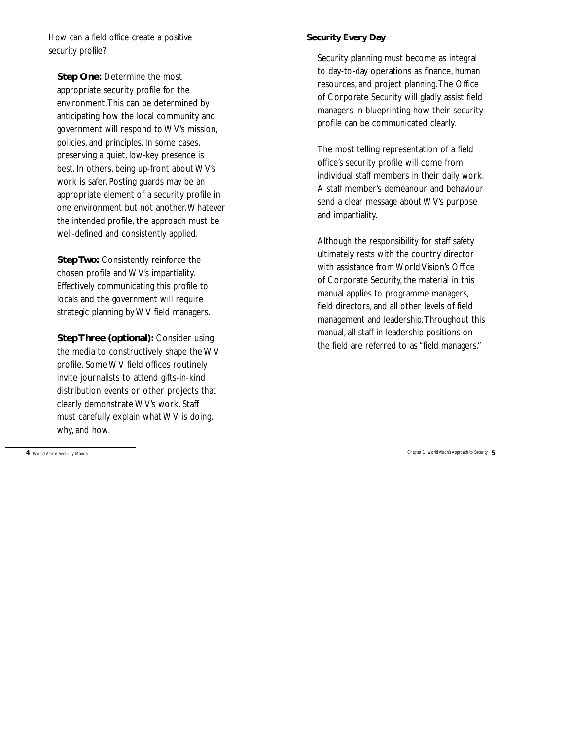How can a field office create a positive security profile?

**Step One:** Determine the most appropriate security profile for the environment.This can be determined by anticipating how the local community and government will respond to WV's mission, policies, and principles. In some cases, preserving a quiet, low-key presence is best. In others, being up-front about WV's work is safer. Posting guards may be an appropriate element of a security profile in one environment but not another.Whatever the intended profile, the approach must be well-defined and consistently applied.

**Step Two: Consistently reinforce the** chosen profile and WV's impartiality. Effectively communicating this profile to locals and the government will require strategic planning by WV field managers.

**Step Three (optional):** Consider using the media to constructively shape the WV profile. Some WV field offices routinely invite journalists to attend gifts-in-kind distribution events or other projects that clearly demonstrate WV's work. Staff must carefully explain what WV is doing, why, and how.

**4** World Vision Security Manual

#### **Security Every Day**

Security planning must become as integral to day-to-day operations as finance, human resources, and project planning.The Office of Corporate Security will gladly assist field managers in blueprinting how their security profile can be communicated clearly.

The most telling representation of a field office's security profile will come from individual staff members in their daily work. A staff member's demeanour and behaviour send a clear message about WV's purpose and impartiality.

Although the responsibility for staff safety ultimately rests with the country director with assistance from World Vision's Office of Corporate Security, the material in this manual applies to programme managers, field directors, and all other levels of field management and leadership.Throughout this manual, all staff in leadership positions on the field are referred to as "field managers."

Chapter 1 World Vision's Approach to Security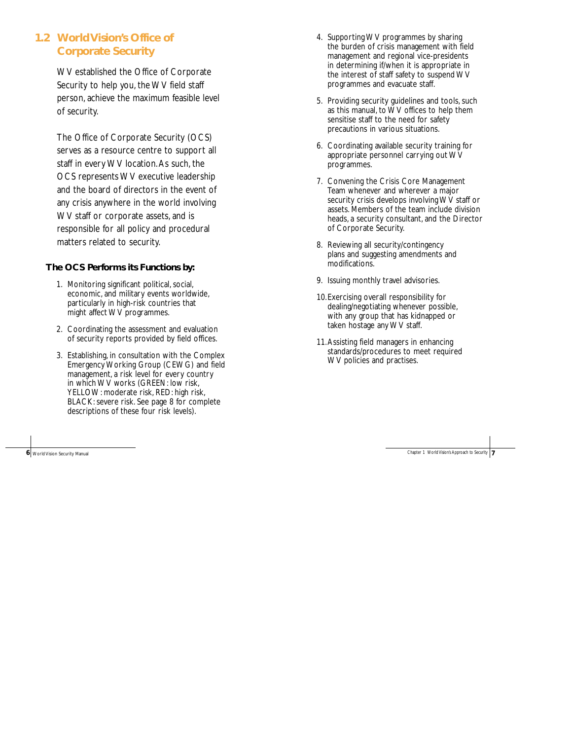### **1.2 World Vision's Office of Corporate Security**

WV established the Office of Corporate Security to help you, the WV field staff person, achieve the maximum feasible level of security.

The Office of Corporate Security (OCS) serves as a resource centre to support all staff in every WV location.As such, the OCS represents WV executive leadership and the board of directors in the event of any crisis anywhere in the world involving WV staff or corporate assets, and is responsible for all policy and procedural matters related to security.

#### **The OCS Performs its Functions by:**

- 1. Monitoring significant political, social, economic, and military events worldwide, particularly in high-risk countries that might affect WV programmes.
- 2. Coordinating the assessment and evaluation of security reports provided by field offices.
- 3. Establishing, in consultation with the Complex Emergency Working Group (CEWG) and field management, a risk level for every country in which WV works (GREEN: low risk, YELLOW: moderate risk, RED: high risk, BLACK: severe risk. See page 8 for complete descriptions of these four risk levels).

**6** World Vision Security Manual Chapter 1 World Vision's Approach to Security Manual Chapter 1 World Vision's Approach to Security

- 4. Supporting WV programmes by sharing the burden of crisis management with field management and regional vice-presidents in determining if/when it is appropriate in the interest of staff safety to suspend WV programmes and evacuate staff.
- 5. Providing security guidelines and tools, such as this manual, to WV offices to help them sensitise staff to the need for safety precautions in various situations.
- 6. Coordinating available security training for appropriate personnel carrying out WV programmes.
- 7. Convening the Crisis Core Management Team whenever and wherever a major security crisis develops involving WV staff or assets. Members of the team include division heads, a security consultant, and the Director of Corporate Security.
- 8. Reviewing all security/contingency plans and suggesting amendments and modifications.
- 9. Issuing monthly travel advisories.
- 10.Exercising overall responsibility for dealing/negotiating whenever possible, with any group that has kidnapped or taken hostage any WV staff.
- 11.Assisting field managers in enhancing standards/procedures to meet required WV policies and practises.

**7**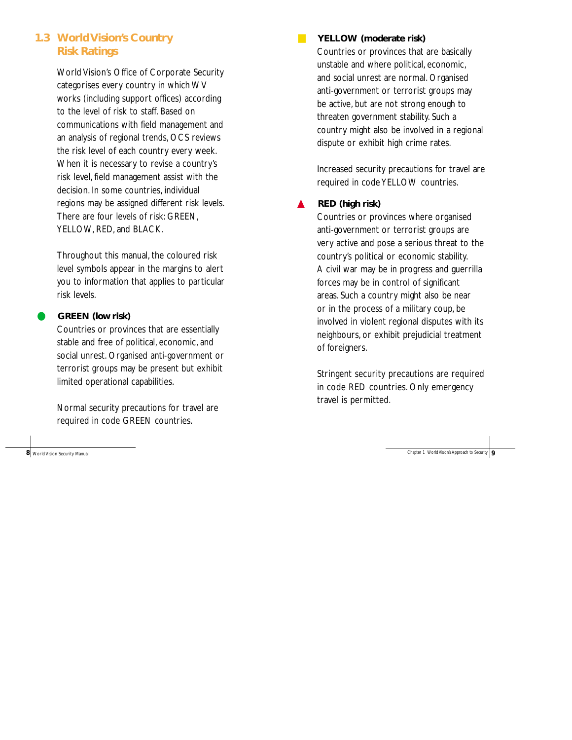### **1.3 World Vision's Country Risk Ratings**

World Vision's Office of Corporate Security categorises every country in which WV works (including support offices) according to the level of risk to staff. Based on communications with field management and an analysis of regional trends, OCS reviews the risk level of each country every week. When it is necessary to revise a country's risk level, field management assist with the decision. In some countries, individual regions may be assigned different risk levels. There are four levels of risk: GREEN, YELLOW, RED, and BLACK.

Throughout this manual, the coloured risk level symbols appear in the margins to alert you to information that applies to particular risk levels.

### GREEN (low risk)

Countries or provinces that are essentially stable and free of political, economic, and social unrest. Organised anti-government or terrorist groups may be present but exhibit limited operational capabilities.

Normal security precautions for travel are required in code GREEN countries.

**8** World Vision Security Manual Chapter 1 World Vision's Approach to Security **9** Chapter 1 World Vision's Approach to Security **9** 

### ■ **YELLOW (moderate risk)**

Countries or provinces that are basically unstable and where political, economic, and social unrest are normal. Organised anti-government or terrorist groups may be active, but are not strong enough to threaten government stability. Such a country might also be involved in a regional dispute or exhibit high crime rates.

Increased security precautions for travel are required in code YELLOW countries.

#### ▲ **RED (high risk)**

Countries or provinces where organised anti-government or terrorist groups are very active and pose a serious threat to the country's political or economic stability. A civil war may be in progress and guerrilla forces may be in control of significant areas. Such a country might also be near or in the process of a military coup, be involved in violent regional disputes with its neighbours, or exhibit prejudicial treatment of foreigners.

Stringent security precautions are required in code RED countries. Only emergency travel is permitted.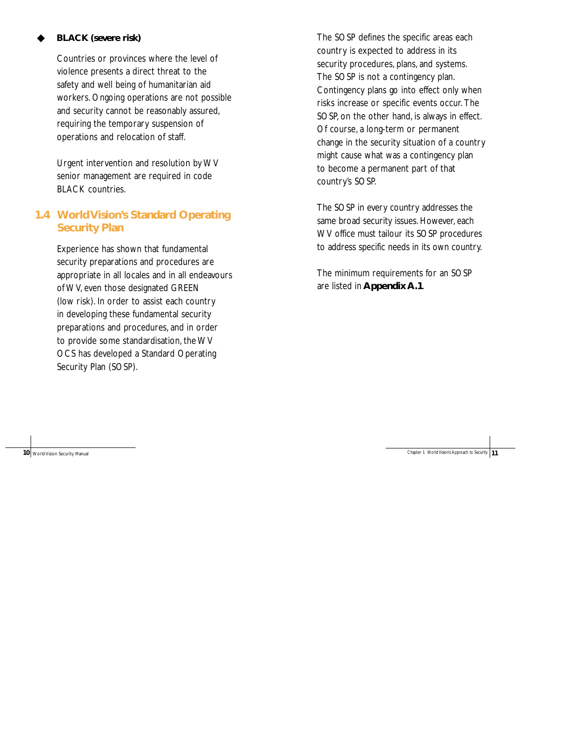### **BLACK** (severe risk)

Countries or provinces where the level of violence presents a direct threat to the safety and well being of humanitarian aid workers. Ongoing operations are not possible and security cannot be reasonably assured, requiring the temporary suspension of operations and relocation of staff.

Urgent intervention and resolution by WV senior management are required in code BLACK countries.

### **1.4 World Vision's Standard Operating Security Plan**

Experience has shown that fundamental security preparations and procedures are appropriate in all locales and in all endeavours of WV, even those designated GREEN (low risk). In order to assist each country in developing these fundamental security preparations and procedures, and in order to provide some standardisation, the WV OCS has developed a Standard Operating Security Plan (SOSP).

The SOSP defines the specific areas each country is expected to address in its security procedures, plans, and systems. The SOSP is not a contingency plan. Contingency plans go into effect only when risks increase or specific events occur. The SOSP, on the other hand, is always in effect. Of course, a long-term or permanent change in the security situation of a country might cause what was a contingency plan to become a permanent part of that country's SOSP.

The SOSP in every country addresses the same broad security issues. However, each WV office must tailour its SOSP procedures to address specific needs in its own country.

The minimum requirements for an SOSP are listed in **Appendix A.1**.

**10** World Vision Security Manual Chapter 1 World Vision's Approach to Security 11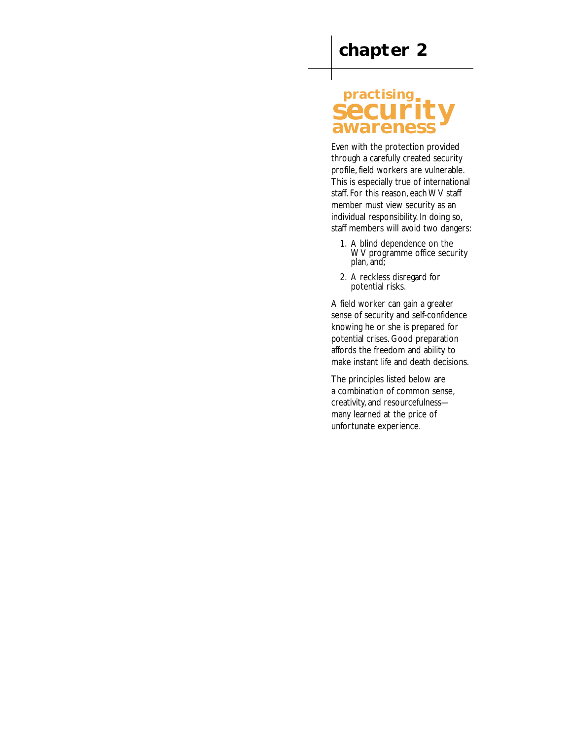## **practising security awareness**

Even with the protection provided through a carefully created security profile, field workers are vulnerable. This is especially true of international staff. For this reason, each WV staff member must view security as an individual responsibility. In doing so, staff members will avoid two dangers:

- 1. A blind dependence on the WV programme office security plan, and;
- 2. A reckless disregard for potential risks.

A field worker can gain a greater sense of security and self-confidence knowing he or she is prepared for potential crises. Good preparation affords the freedom and ability to make instant life and death decisions.

The principles listed below are a combination of common sense, creativity, and resourcefulness many learned at the price of unfortunate experience.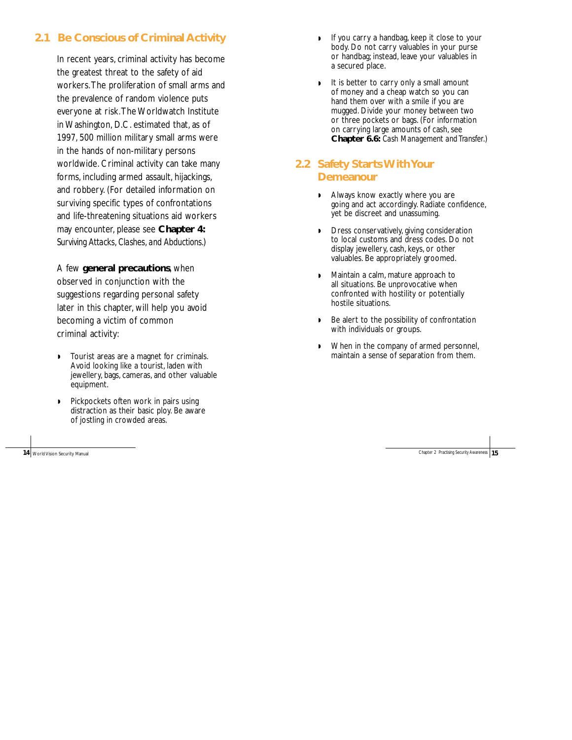### **2.1 Be Conscious of Criminal Activity**

In recent years, criminal activity has become the greatest threat to the safety of aid workers.The proliferation of small arms and the prevalence of random violence puts everyone at risk.The Worldwatch Institute in Washington, D.C. estimated that, as of 1997, 500 million military small arms were in the hands of non-military persons worldwide. Criminal activity can take many forms, including armed assault, hijackings, and robbery. (For detailed information on surviving specific types of confrontations and life-threatening situations aid workers may encounter, please see **Chapter 4:** *Surviving Attacks, Clashes, and Abductions*.)

A few **general precautions**, when observed in conjunction with the suggestions regarding personal safety later in this chapter, will help you avoid becoming a victim of common criminal activity:

- ◗ Tourist areas are a magnet for criminals. Avoid looking like a tourist, laden with jewellery, bags, cameras, and other valuable equipment.
- ◗ Pickpockets often work in pairs using distraction as their basic ploy. Be aware of jostling in crowded areas.

14 World Vision Security Manual

- If you carry a handbag, keep it close to your body. Do not carry valuables in your purse or handbag; instead, leave your valuables in a secured place.
- ◗ It is better to carry only a small amount of money and a cheap watch so you can hand them over with a smile if you are mugged. Divide your money between two or three pockets or bags. (For information on carrying large amounts of cash, see **Chapter 6.6:** *Cash Management and Transfer*.)

### **2.2 Safety Starts With Your Demeanour**

- ◗ Always know exactly where you are going and act accordingly. Radiate confidence, yet be discreet and unassuming.
- ◗ Dress conservatively, giving consideration to local customs and dress codes. Do not display jewellery, cash, keys, or other valuables. Be appropriately groomed.
- ◗ Maintain a calm, mature approach to all situations. Be unprovocative when confronted with hostility or potentially hostile situations.
- ◗ Be alert to the possibility of confrontation with individuals or groups.
- ◗ When in the company of armed personnel, maintain a sense of separation from them.

Chapter 2 Practising Security Awareness **15**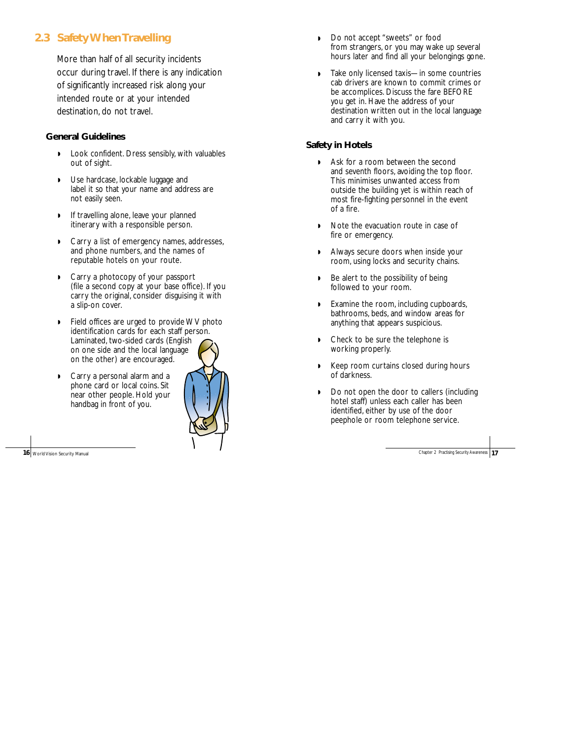### **2.3 Safety When Travelling**

More than half of all security incidents occur during travel. If there is any indication of significantly increased risk along your intended route or at your intended destination, do not travel.

#### **General Guidelines**

- ◗ Look confident. Dress sensibly, with valuables out of sight.
- ◗ Use hardcase, lockable luggage and label it so that your name and address are not easily seen.
- ◗ If travelling alone, leave your planned itinerary with a responsible person.
- ◗ Carry a list of emergency names, addresses, and phone numbers, and the names of reputable hotels on your route.
- ◗ Carry a photocopy of your passport (file a second copy at your base office). If you carry the original, consider disguising it with a slip-on cover.
- ◗ Field offices are urged to provide WV photo identification cards for each staff person. Laminated, two-sided cards (English on one side and the local language on the other) are encouraged.
- ◗ Carry a personal alarm and a phone card or local coins. Sit near other people. Hold your handbag in front of you.



16 World Vision Security Manual

- ◗ Do not accept "sweets" or food from strangers, or you may wake up several hours later and find all your belongings gone.
- ◗ Take only licensed taxis—in some countries cab drivers are known to commit crimes or be accomplices. Discuss the fare BEFORE you get in. Have the address of your destination written out in the local language and carry it with you.

#### **Safety in Hotels**

- ◗ Ask for a room between the second and seventh floors, avoiding the top floor. This minimises unwanted access from outside the building yet is within reach of most fire-fighting personnel in the event of a fire.
- ◗ Note the evacuation route in case of fire or emergency.
- ◗ Always secure doors when inside your room, using locks and security chains.
- ◗ Be alert to the possibility of being followed to your room.
- ◗ Examine the room, including cupboards, bathrooms, beds, and window areas for anything that appears suspicious.
- ◗ Check to be sure the telephone is working properly.
- ◗ Keep room curtains closed during hours of darkness.
- ◗ Do not open the door to callers (including hotel staff) unless each caller has been identified, either by use of the door peephole or room telephone service.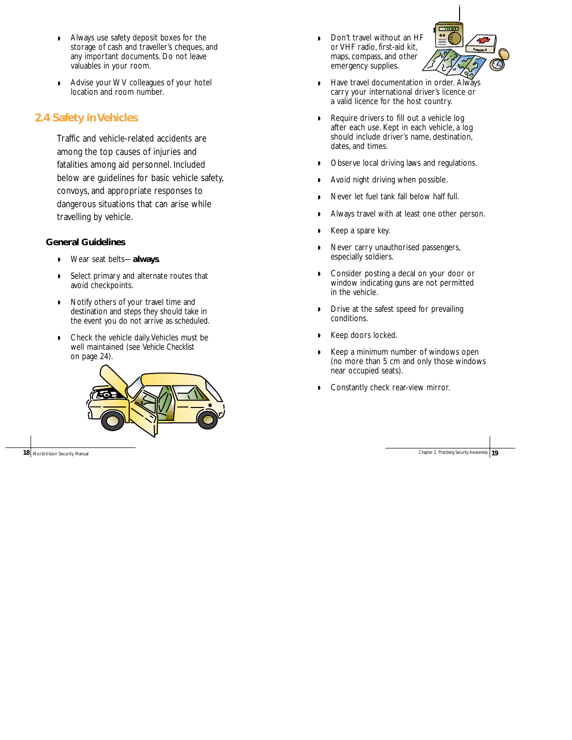- ◗ Always use safety deposit boxes for the storage of cash and traveller's cheques, and any important documents. Do not leave valuables in your room.
- ◗ Advise your WV colleagues of your hotel location and room number.

### **2.4 Safety in Vehicles**

Traffic and vehicle-related accidents are among the top causes of injuries and fatalities among aid personnel. Included below are guidelines for basic vehicle safety, convoys, and appropriate responses to dangerous situations that can arise while travelling by vehicle.

#### **General Guidelines**

- ◗ Wear seat belts—**always**.
- ◗ Select primary and alternate routes that avoid checkpoints.
- ◗ Notify others of your travel time and destination and steps they should take in the event you do not arrive as scheduled.
- ◗ Check the vehicle daily.Vehicles must be well maintained (see *Vehicle Checklist* on page 24).



◗ Don't travel without an HF or VHF radio, first-aid kit, maps, compass, and other emergency supplies.



- ◗ Have travel documentation in order. Always carry your international driver's licence or a valid licence for the host country.
- ◗ Require drivers to fill out a vehicle log after each use. Kept in each vehicle, a log should include driver's name, destination, dates, and times.
- ◗ Observe local driving laws and regulations.
- ◗ Avoid night driving when possible.
- ◗ Never let fuel tank fall below half full.
- ◗ Always travel with at least one other person.
- ◗ Keep a spare key.
- ◗ Never carry unauthorised passengers, especially soldiers.
- ◗ Consider posting a decal on your door or window indicating guns are not permitted in the vehicle.
- ◗ Drive at the safest speed for prevailing conditions.
- ◗ Keep doors locked.
- ◗ Keep a minimum number of windows open (no more than 5 cm and only those windows near occupied seats).
- Constantly check rear-view mirror.

**18** World Vision Security Manual Chapter 2 Practising Security Awareness **19** Chapter 2 Practising Security Awareness **19**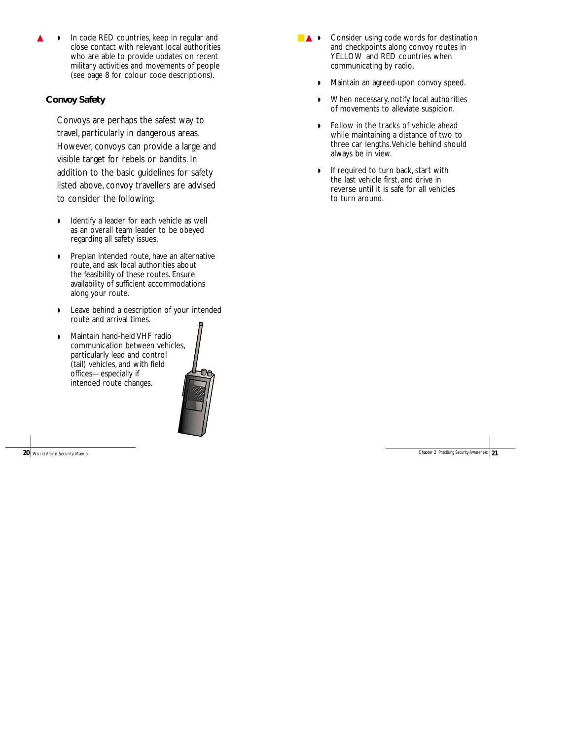In code RED countries, keep in regular and close contact with relevant local authorities who are able to provide updates on recent military activities and movements of people (see page 8 for colour code descriptions).

### **Convoy Safety**

Convoys are perhaps the safest way to travel, particularly in dangerous areas. However, convoys can provide a large and visible target for rebels or bandits. In addition to the basic guidelines for safety listed above, convoy travellers are advised to consider the following:

- ◗ Identify a leader for each vehicle as well as an overall team leader to be obeyed regarding all safety issues.
- ◗ Preplan intended route, have an alternative route, and ask local authorities about the feasibility of these routes. Ensure availability of sufficient accommodations along your route.
- ◗ Leave behind a description of your intended route and arrival times.
- ◗ Maintain hand-held VHF radio communication between vehicles, particularly lead and control (tail) vehicles, and with field offices—especially if intended route changes.



**20** World Vision Security Manual

- **▲ •** Consider using code words for destination and checkpoints along convoy routes in YELLOW and RED countries when communicating by radio.
	- ◗ Maintain an agreed-upon convoy speed.
	- ◗ When necessary, notify local authorities of movements to alleviate suspicion.
	- ◗ Follow in the tracks of vehicle ahead while maintaining a distance of two to three car lengths.Vehicle behind should always be in view.
	- If required to turn back, start with the last vehicle first, and drive in reverse until it is safe for all vehicles to turn around.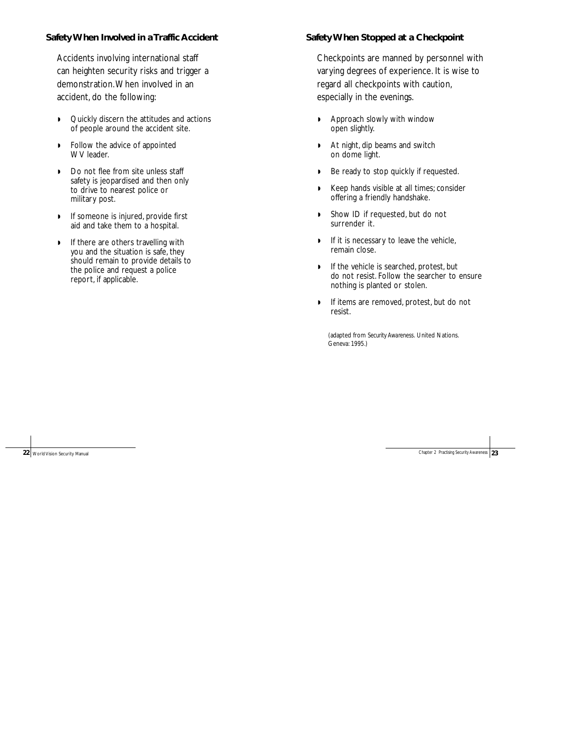#### **Safety When Involved in a Traffic Accident**

Accidents involving international staff can heighten security risks and trigger a demonstration.When involved in an accident, do the following:

- ◗ Quickly discern the attitudes and actions of people around the accident site.
- ◗ Follow the advice of appointed WV leader.
- ◗ Do not flee from site unless staff safety is jeopardised and then only to drive to nearest police or military post.
- ◗ If someone is injured, provide first aid and take them to a hospital.
- ◗ If there are others travelling with you and the situation is safe, they should remain to provide details to the police and request a police report, if applicable.

#### **Safety When Stopped at a Checkpoint**

Checkpoints are manned by personnel with varying degrees of experience. It is wise to regard all checkpoints with caution, especially in the evenings.

- ◗ Approach slowly with window open slightly.
- ◗ At night, dip beams and switch on dome light.
- ◗ Be ready to stop quickly if requested.
- ◗ Keep hands visible at all times; consider offering a friendly handshake.
- ◗ Show ID if requested, but do not surrender it.
- **•** If it is necessary to leave the vehicle, remain close.
- ◗ If the vehicle is searched, protest, but do not resist. Follow the searcher to ensure nothing is planted or stolen.
- ◗ If items are removed, protest, but do not resist.

(adapted from *Security Awareness.* United Nations. Geneva: 1995.)

**22** World Vision Security Manual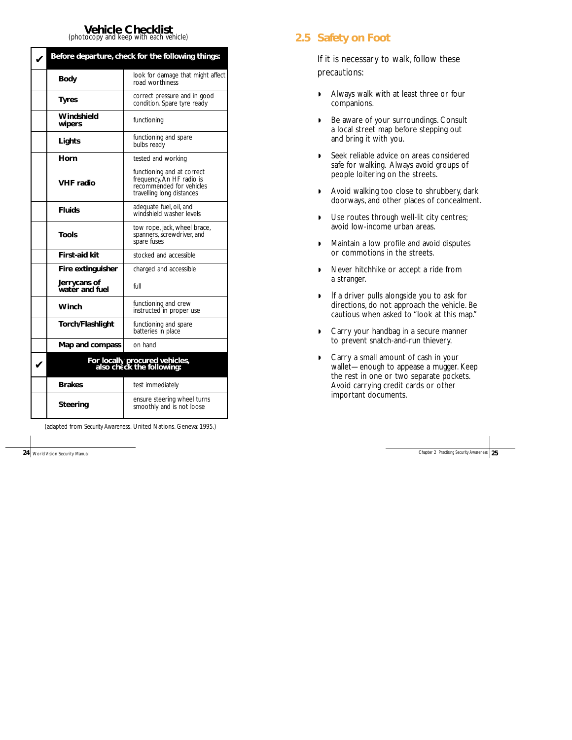# **Vehicle Checklist**<br>(photocopy and keep with each vehicle)

| Before departure, check for the following things: |                                                                                                                  |  |
|---------------------------------------------------|------------------------------------------------------------------------------------------------------------------|--|
| Body                                              | look for damage that might affect<br>road worthiness                                                             |  |
| <b>Tyres</b>                                      | correct pressure and in good<br>condition. Spare tyre ready                                                      |  |
| Windshield<br>wipers                              | functioning                                                                                                      |  |
| Lights                                            | functioning and spare<br>bulbs ready                                                                             |  |
| Horn                                              | tested and working                                                                                               |  |
| <b>VHF</b> radio                                  | functioning and at correct<br>frequency. An HF radio is<br>recommended for vehicles<br>travelling long distances |  |
| <b>Fluids</b>                                     | adequate fuel, oil, and<br>windshield washer levels                                                              |  |
| Tools                                             | tow rope, jack, wheel brace,<br>spanners, screwdriver, and<br>spare fuses                                        |  |
| <b>First-aid kit</b>                              | stocked and accessible                                                                                           |  |
| Fire extinguisher                                 | charged and accessible                                                                                           |  |
| Jerrycans of<br>water and fuel                    | full                                                                                                             |  |
| <b>Winch</b>                                      | functioning and crew<br>instructed in proper use                                                                 |  |
| Torch/Flashlight                                  | functioning and spare<br>batteries in place                                                                      |  |
| Map and compass                                   | on hand                                                                                                          |  |
|                                                   | For locally procured vehicles,<br>also check the following:                                                      |  |
| <b>Brakes</b>                                     | test immediately                                                                                                 |  |
| Steering                                          | ensure steering wheel turns<br>smoothly and is not loose                                                         |  |

(adapted from *Security Awareness.* United Nations. Geneva: 1995.)

24 World Vision Security Manual

### **2.5 Safety on Foot**

If it is necessary to walk, follow these precautions:

- ◗ Always walk with at least three or four companions.
- ◗ Be aware of your surroundings. Consult a local street map before stepping out and bring it with you.
- ◗ Seek reliable advice on areas considered safe for walking. Always avoid groups of people loitering on the streets.
- ◗ Avoid walking too close to shrubbery, dark doorways, and other places of concealment.
- ◗ Use routes through well-lit city centres; avoid low-income urban areas.
- ◗ Maintain a low profile and avoid disputes or commotions in the streets.
- ◗ Never hitchhike or accept a ride from a stranger.
- ◗ If a driver pulls alongside you to ask for directions, do not approach the vehicle. Be cautious when asked to "look at this map."
- ◗ Carry your handbag in a secure manner to prevent snatch-and-run thievery.
- ◗ Carry a small amount of cash in your wallet—enough to appease a mugger. Keep the rest in one or two separate pockets. Avoid carrying credit cards or other important documents.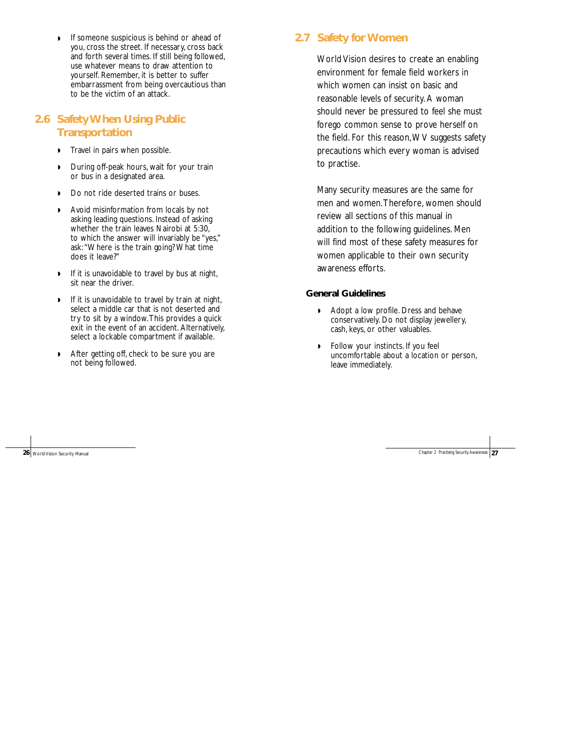◗ If someone suspicious is behind or ahead of you, cross the street. If necessary, cross back and forth several times. If still being followed, use whatever means to draw attention to yourself. Remember, it is better to suffer embarrassment from being overcautious than to be the victim of an attack.

### **2.6 Safety When Using Public Transportation**

- **•** Travel in pairs when possible.
- ◗ During off-peak hours, wait for your train or bus in a designated area.
- ◗ Do not ride deserted trains or buses.
- ◗ Avoid misinformation from locals by not asking leading questions. Instead of asking whether the train leaves Nairobi at 5:30, to which the answer will invariably be "yes," ask:"Where is the train going? What time does it leave?"
- ◗ If it is unavoidable to travel by bus at night, sit near the driver.
- ◗ If it is unavoidable to travel by train at night, select a middle car that is not deserted and try to sit by a window.This provides a quick exit in the event of an accident. Alternatively, select a lockable compartment if available.
- ◗ After getting off, check to be sure you are not being followed.

### **2.7 Safety for Women**

World Vision desires to create an enabling environment for female field workers in which women can insist on basic and reasonable levels of security. A woman should never be pressured to feel she must forego common sense to prove herself on the field. For this reason,WV suggests safety precautions which every woman is advised to practise.

Many security measures are the same for men and women.Therefore, women should review all sections of this manual in addition to the following guidelines. Men will find most of these safety measures for women applicable to their own security awareness efforts.

#### **General Guidelines**

- ◗ Adopt a low profile. Dress and behave conservatively. Do not display jewellery, cash, keys, or other valuables.
- Follow your instincts. If you feel uncomfortable about a location or person, leave immediately.

26 World Vision Security Manual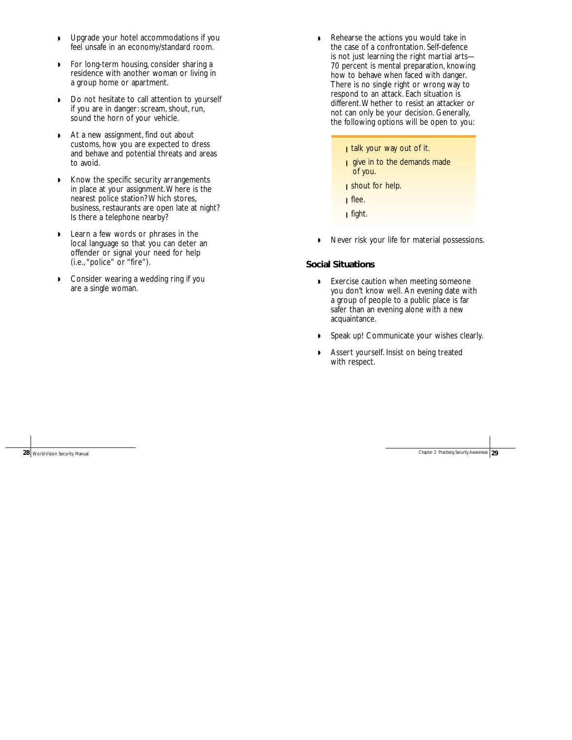- ◗ Upgrade your hotel accommodations if you feel unsafe in an economy/standard room.
- ◗ For long-term housing, consider sharing a residence with another woman or living in a group home or apartment.
- ◗ Do not hesitate to call attention to yourself if you are in danger: scream, shout, run, sound the horn of your vehicle.
- ◗ At a new assignment, find out about customs, how you are expected to dress and behave and potential threats and areas to avoid.
- ◗ Know the specific security arrangements in place at your assignment.Where is the nearest police station? Which stores, business, restaurants are open late at night? Is there a telephone nearby?
- ◗ Learn a few words or phrases in the local language so that you can deter an offender or signal your need for help (i.e.,"police" or "fire").
- ◗ Consider wearing a wedding ring if you are a single woman.
- ◗ Rehearse the actions you would take in the case of a confrontation. Self-defence is not just learning the right martial arts— 70 percent is mental preparation, knowing how to behave when faced with danger. There is no single right or wrong way to respond to an attack. Each situation is different.Whether to resist an attacker or not can only be your decision. Generally, the following options will be open to you:
	- I talk your way out of it.
	- **i** give in to the demands made of you.
	- **i** shout for help.
	- ❙ flee.
	- ❙ fight.
- ◗ Never risk your life for material possessions.

#### **Social Situations**

- ◗ Exercise caution when meeting someone you don't know well. An evening date with a group of people to a public place is far safer than an evening alone with a new acquaintance.
- ◗ Speak up! Communicate your wishes clearly.
- ◗ Assert yourself. Insist on being treated with respect.

28 World Vision Security Manual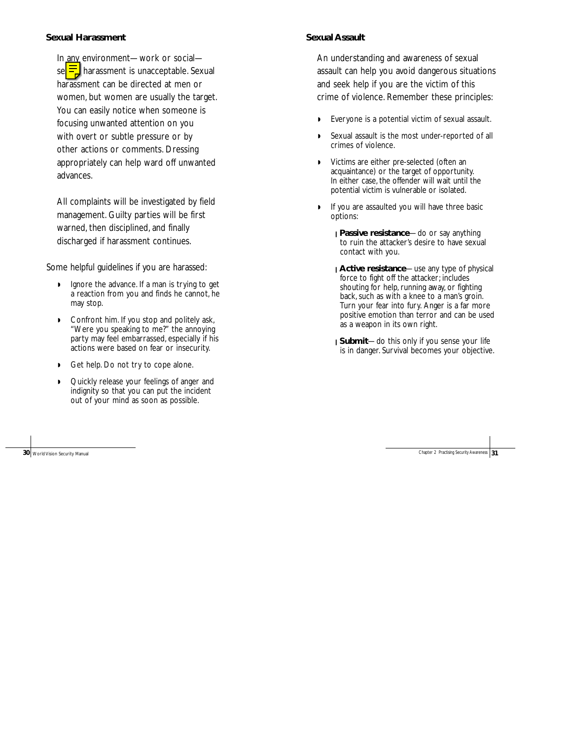#### **Sexual Harassment**

In any environment—work or social se $\equiv$  harassment is unacceptable. Sexual harassment can be directed at men or women, but women are usually the target. You can easily notice when someone is focusing unwanted attention on you with overt or subtle pressure or by other actions or comments. Dressing appropriately can help ward off unwanted advances.

All complaints will be investigated by field management. Guilty parties will be first warned, then disciplined, and finally discharged if harassment continues.

Some helpful guidelines if you are harassed:

- ◗ Ignore the advance. If a man is trying to get a reaction from you and finds he cannot, he may stop.
- ◗ Confront him. If you stop and politely ask, "Were you speaking to me?" the annoying party may feel embarrassed, especially if his actions were based on fear or insecurity.
- ◗ Get help. Do not try to cope alone.
- ◗ Quickly release your feelings of anger and indignity so that you can put the incident out of your mind as soon as possible.

#### **Sexual Assault**

An understanding and awareness of sexual assault can help you avoid dangerous situations and seek help if you are the victim of this crime of violence. Remember these principles:

- ◗ Everyone is a potential victim of sexual assault.
- Sexual assault is the most under-reported of all crimes of violence.
- ◗ Victims are either pre-selected (often an acquaintance) or the target of opportunity. In either case, the offender will wait until the potential victim is vulnerable or isolated.
- ◗ If you are assaulted you will have three basic options:
	- ❙ **Passive resistance**—do or say anything to ruin the attacker's desire to have sexual contact with you.
	- ❙ **Active resistance**—use any type of physical force to fight off the attacker; includes shouting for help, running away, or fighting back, such as with a knee to a man's groin. Turn your fear into fury. Anger is a far more positive emotion than terror and can be used as a weapon in its own right.
	- ❙ **Submit**—do this only if you sense your life is in danger. Survival becomes your objective.

**30** World Vision Security Manual Chapter 2 Practising Security Awareness **31** Chapter 2 Practising Security Awareness **31**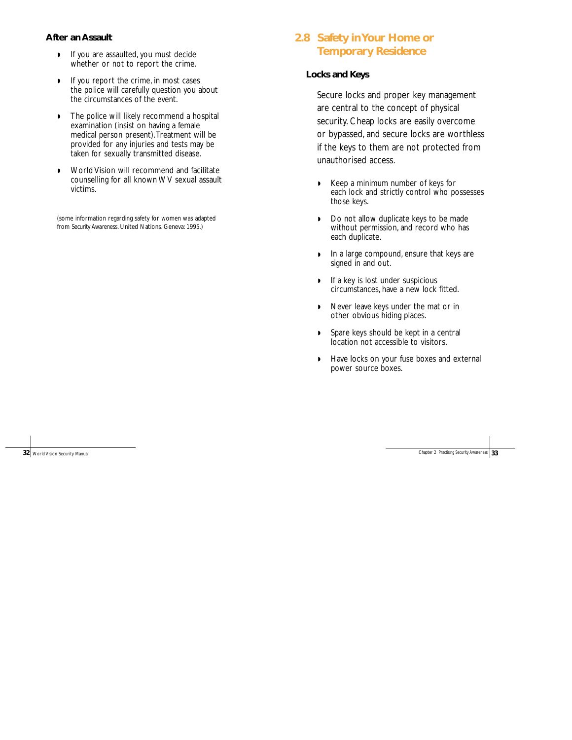#### **After an Assault**

- ◗ If you are assaulted, you must decide whether or not to report the crime.
- ◗ If you report the crime, in most cases the police will carefully question you about the circumstances of the event.
- ◗ The police will likely recommend a hospital examination (insist on having a female medical person present).Treatment will be provided for any injuries and tests may be taken for sexually transmitted disease.
- ◗ World Vision will recommend and facilitate counselling for all known WV sexual assault victims.

(some information regarding safety for women was adapted from *Security Awareness.* United Nations. Geneva: 1995.)

### **2.8 Safety in Your Home or Temporary Residence**

#### **Locks and Keys**

Secure locks and proper key management are central to the concept of physical security. Cheap locks are easily overcome or bypassed, and secure locks are worthless if the keys to them are not protected from unauthorised access.

- ◗ Keep a minimum number of keys for each lock and strictly control who possesses those keys.
- ◗ Do not allow duplicate keys to be made without permission, and record who has each duplicate.
- ◗ In a large compound, ensure that keys are signed in and out.
- ◗ If a key is lost under suspicious circumstances, have a new lock fitted.
- ◗ Never leave keys under the mat or in other obvious hiding places.
- ◗ Spare keys should be kept in a central location not accessible to visitors.
- ◗ Have locks on your fuse boxes and external power source boxes.

**32** World Vision Security Manual Chapter 2 Practising Security Awareness **33**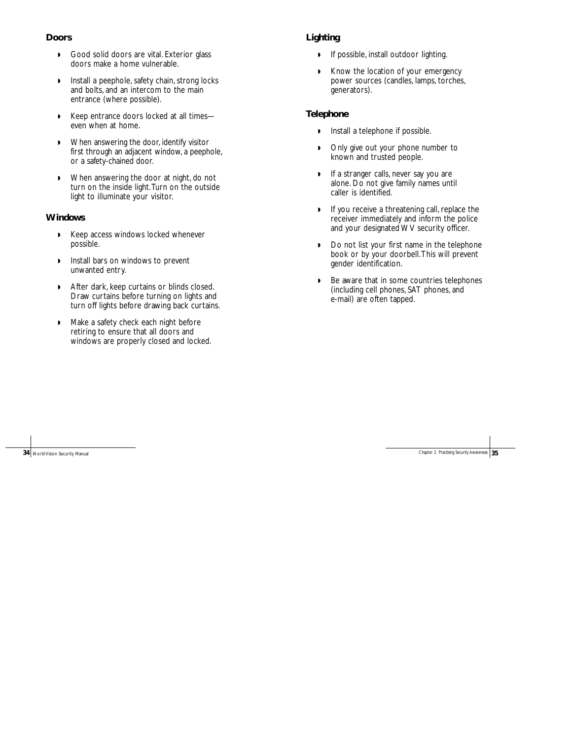#### **Doors**

- ◗ Good solid doors are vital. Exterior glass doors make a home vulnerable.
- ◗ Install a peephole, safety chain, strong locks and bolts, and an intercom to the main entrance (where possible).
- ◗ Keep entrance doors locked at all times even when at home.
- ◗ When answering the door, identify visitor first through an adjacent window, a peephole, or a safety-chained door.
- ◗ When answering the door at night, do not turn on the inside light.Turn on the outside light to illuminate your visitor.

#### **Windows**

- ◗ Keep access windows locked whenever possible.
- ◗ Install bars on windows to prevent unwanted entry.
- ◗ After dark, keep curtains or blinds closed. Draw curtains before turning on lights and turn off lights before drawing back curtains.
- ◗ Make a safety check each night before retiring to ensure that all doors and windows are properly closed and locked.

### **Lighting**

- ◗ If possible, install outdoor lighting.
- ◗ Know the location of your emergency power sources (candles, lamps, torches, generators).

#### **Telephone**

- ◗ Install a telephone if possible.
- ◗ Only give out your phone number to known and trusted people.
- ◗ If a stranger calls, never say you are alone. Do not give family names until caller is identified.
- ◗ If you receive a threatening call, replace the receiver immediately and inform the police and your designated WV security officer.
- ◗ Do not list your first name in the telephone book or by your doorbell.This will prevent gender identification.
- ◗ Be aware that in some countries telephones (including cell phones, SAT phones, and e-mail) are often tapped.

**34** World Vision Security Manual Chapter 2 Practising Security Awareness **35**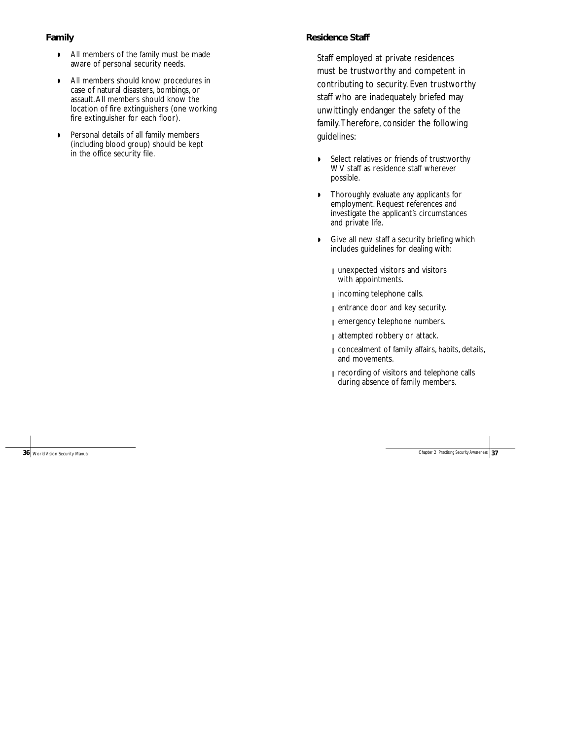#### **Family**

- ◗ All members of the family must be made aware of personal security needs.
- ◗ All members should know procedures in case of natural disasters, bombings, or assault.All members should know the location of fire extinguishers (one working fire extinguisher for each floor).
- ◗ Personal details of all family members (including blood group) should be kept in the office security file.

#### **Residence Staff**

Staff employed at private residences must be trustworthy and competent in contributing to security. Even trustworthy staff who are inadequately briefed may unwittingly endanger the safety of the family.Therefore, consider the following guidelines:

- ◗ Select relatives or friends of trustworthy WV staff as residence staff wherever possible.
- ◗ Thoroughly evaluate any applicants for employment. Request references and investigate the applicant's circumstances and private life.
- ◗ Give all new staff a security briefing which includes guidelines for dealing with:
	- ❙ unexpected visitors and visitors with appointments.
	- **i** incoming telephone calls.
	- entrance door and key security.
	- ❙ emergency telephone numbers.
	- attempted robbery or attack.
	- ❙ concealment of family affairs, habits, details, and movements.
	- ❙ recording of visitors and telephone calls during absence of family members.

**36** World Vision Security Manual Chapter 2 Practising Security Awareness **37**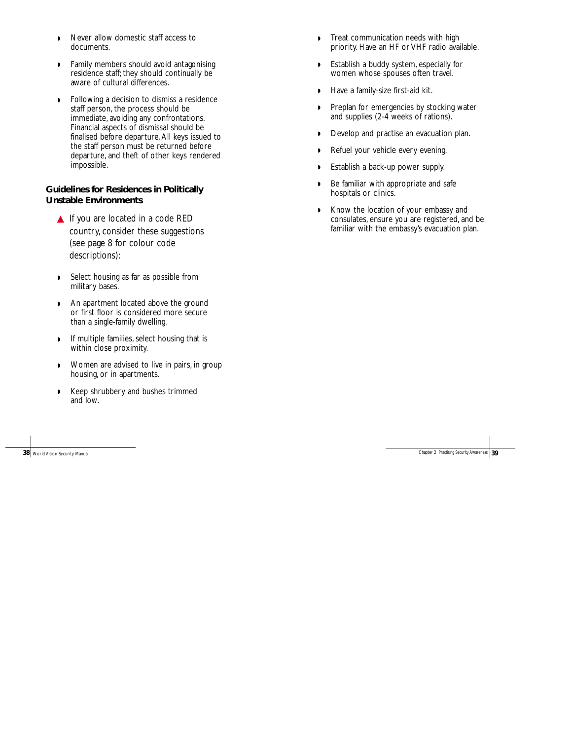- ◗ Never allow domestic staff access to documents.
- ◗ Family members should avoid antagonising residence staff; they should continually be aware of cultural differences.
- ◗ Following a decision to dismiss a residence staff person, the process should be immediate, avoiding any confrontations. Financial aspects of dismissal should be finalised before departure.All keys issued to the staff person must be returned before departure, and theft of other keys rendered impossible.

#### **Guidelines for Residences in Politically Unstable Environments**

- ▲ If you are located in a code RED country, consider these suggestions (see page 8 for colour code descriptions):
- ◗ Select housing as far as possible from military bases.
- ◗ An apartment located above the ground or first floor is considered more secure than a single-family dwelling.
- ◗ If multiple families, select housing that is within close proximity.
- ◗ Women are advised to live in pairs, in group housing, or in apartments.
- ◗ Keep shrubbery and bushes trimmed and low.

- ◗ Treat communication needs with high priority. Have an HF or VHF radio available.
- ◗ Establish a buddy system, especially for women whose spouses often travel.
- ◗ Have a family-size first-aid kit.
- ◗ Preplan for emergencies by stocking water and supplies (2-4 weeks of rations).
- ◗ Develop and practise an evacuation plan.
- ◗ Refuel your vehicle every evening.
- ◗ Establish a back-up power supply.
- ◗ Be familiar with appropriate and safe hospitals or clinics.
- ◗ Know the location of your embassy and consulates, ensure you are registered, and be familiar with the embassy's evacuation plan.

**38** World Vision Security Manual Chapter 2 Practising Security Awareness **39** World Vision Security Awareness **39**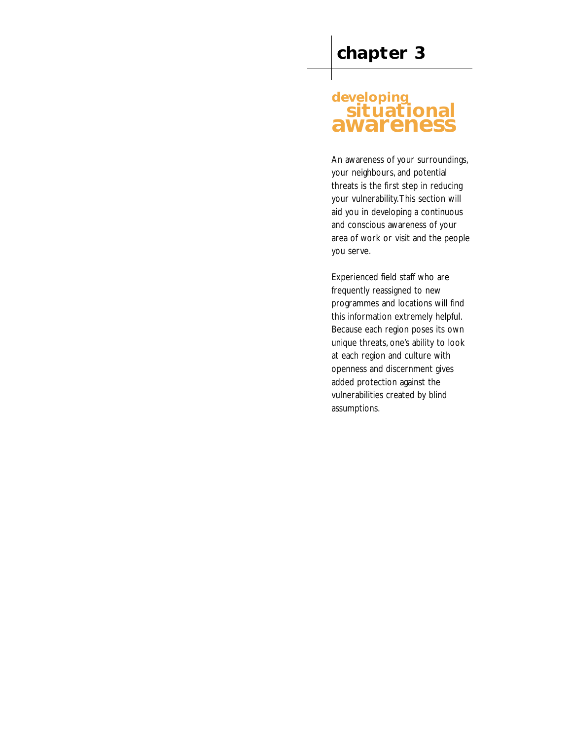### **developing situational awareness**

An awareness of your surroundings, your neighbours, and potential threats is the first step in reducing your vulnerability.This section will aid you in developing a continuous and conscious awareness of your area of work or visit and the people you serve.

Experienced field staff who are frequently reassigned to new programmes and locations will find this information extremely helpful. Because each region poses its own unique threats, one's ability to look at each region and culture with openness and discernment gives added protection against the vulnerabilities created by blind assumptions.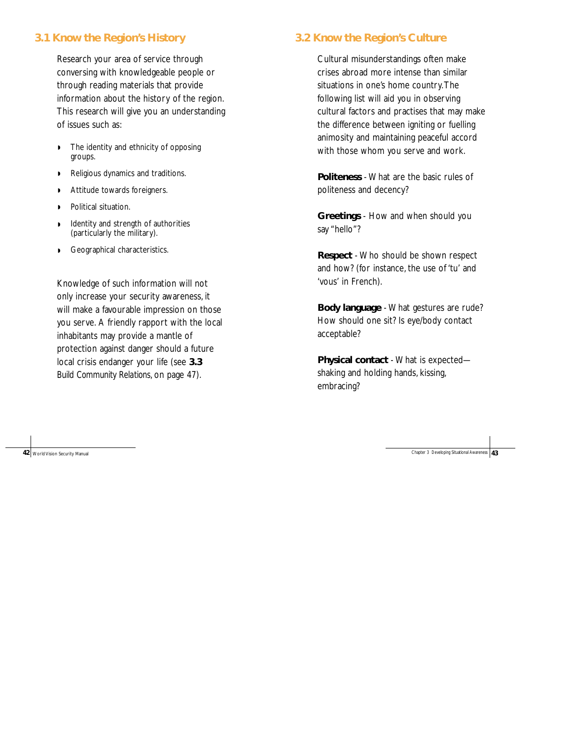### **3.1 Know the Region's History**

Research your area of service through conversing with knowledgeable people or through reading materials that provide information about the history of the region. This research will give you an understanding of issues such as:

- ◗ The identity and ethnicity of opposing groups.
- ◗ Religious dynamics and traditions.
- ◗ Attitude towards foreigners.
- ◗ Political situation.
- ◗ Identity and strength of authorities (particularly the military).
- ◗ Geographical characteristics.

Knowledge of such information will not only increase your security awareness, it will make a favourable impression on those you serve. A friendly rapport with the local inhabitants may provide a mantle of protection against danger should a future local crisis endanger your life (see **3.3** *Build Community Relations*, on page 47).

### **3.2 Know the Region's Culture**

Cultural misunderstandings often make crises abroad more intense than similar situations in one's home country.The following list will aid you in observing cultural factors and practises that may make the difference between igniting or fuelling animosity and maintaining peaceful accord with those whom you serve and work.

**Politeness** - What are the basic rules of politeness and decency?

**Greetings** - How and when should you say "hello"?

**Respect** - Who should be shown respect and how? (for instance, the use of 'tu' and 'vous' in French).

**Body language** - What gestures are rude? How should one sit? Is eye/body contact acceptable?

**Physical contact** - What is expected shaking and holding hands, kissing, embracing?

Chapter 3 Developing Situational Awareness **43**

**42** World Vision Security Manual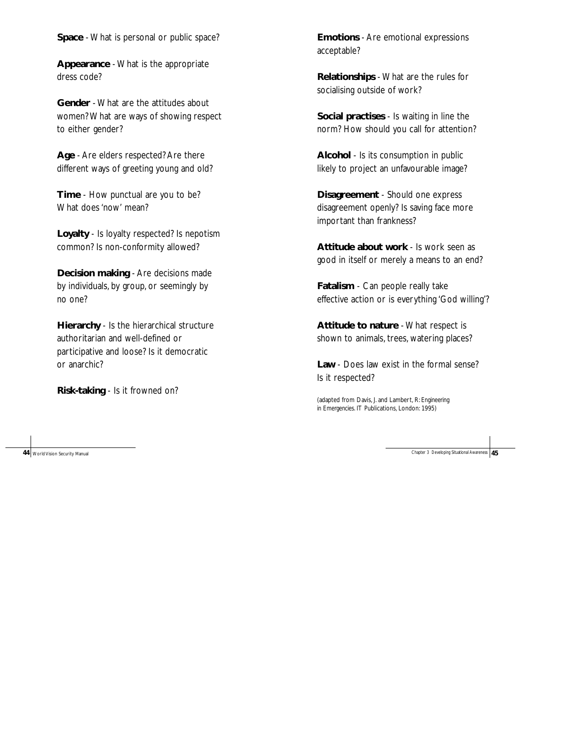**Space** - What is personal or public space?

**Appearance** - What is the appropriate dress code?

**Gender** - What are the attitudes about women? What are ways of showing respect to either gender?

**Age** - Are elders respected? Are there different ways of greeting young and old?

**Time** - How punctual are you to be? What does 'now' mean?

**Loyalty** - Is loyalty respected? Is nepotism common? Is non-conformity allowed?

**Decision making** - Are decisions made by individuals, by group, or seemingly by no one?

**Hierarchy** - Is the hierarchical structure authoritarian and well-defined or participative and loose? Is it democratic or anarchic?

**Risk-taking** - Is it frowned on?

**Emotions** - Are emotional expressions acceptable?

**Relationships** - What are the rules for socialising outside of work?

**Social practises** - Is waiting in line the norm? How should you call for attention?

**Alcohol** - Is its consumption in public likely to project an unfavourable image?

**Disagreement** - Should one express disagreement openly? Is saving face more important than frankness?

**Attitude about work** - Is work seen as good in itself or merely a means to an end?

**Fatalism** - Can people really take effective action or is everything 'God willing'?

**Attitude to nature** - What respect is shown to animals, trees, watering places?

**Law** - Does law exist in the formal sense? Is it respected?

(adapted from Davis, J. and Lambert, R: *Engineering in Emergencies*. IT Publications, London: 1995)

**44** World Vision Security Manual Chapter 3 Developing Situational Awareness **45**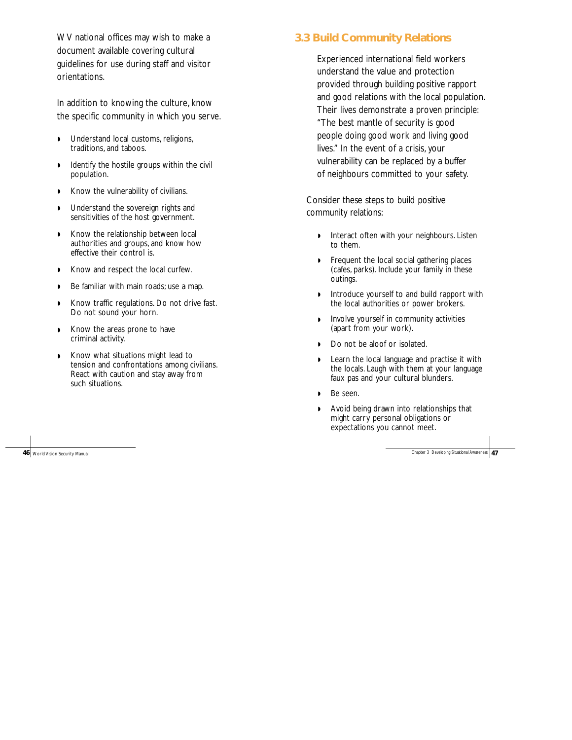WV national offices may wish to make a document available covering cultural guidelines for use during staff and visitor orientations.

In addition to knowing the culture, know the specific community in which you serve.

- ◗ Understand local customs, religions, traditions, and taboos.
- ◗ Identify the hostile groups within the civil population.
- ◗ Know the vulnerability of civilians.
- ◗ Understand the sovereign rights and sensitivities of the host government.
- ◗ Know the relationship between local authorities and groups, and know how effective their control is.
- ◗ Know and respect the local curfew.
- ◗ Be familiar with main roads; use a map.
- ◗ Know traffic regulations. Do not drive fast. Do not sound your horn.
- ◗ Know the areas prone to have criminal activity.
- ◗ Know what situations might lead to tension and confrontations among civilians. React with caution and stay away from such situations.

**46** World Vision Security Manual

### **3.3 Build Community Relations**

Experienced international field workers understand the value and protection provided through building positive rapport and good relations with the local population. Their lives demonstrate a proven principle: "The best mantle of security is good people doing good work and living good lives." In the event of a crisis, your vulnerability can be replaced by a buffer of neighbours committed to your safety.

Consider these steps to build positive community relations:

- ◗ Interact often with your neighbours. Listen to them.
- ◗ Frequent the local social gathering places (cafes, parks). Include your family in these outings.
- ◗ Introduce yourself to and build rapport with the local authorities or power brokers.
- ◗ Involve yourself in community activities (apart from your work).
- ◗ Do not be aloof or isolated.
- ◗ Learn the local language and practise it with the locals. Laugh with them at your language faux pas and your cultural blunders.
- ◗ Be seen.
- ◗ Avoid being drawn into relationships that might carry personal obligations or expectations you cannot meet.

Chapter 3 Developing Situational Awareness **47**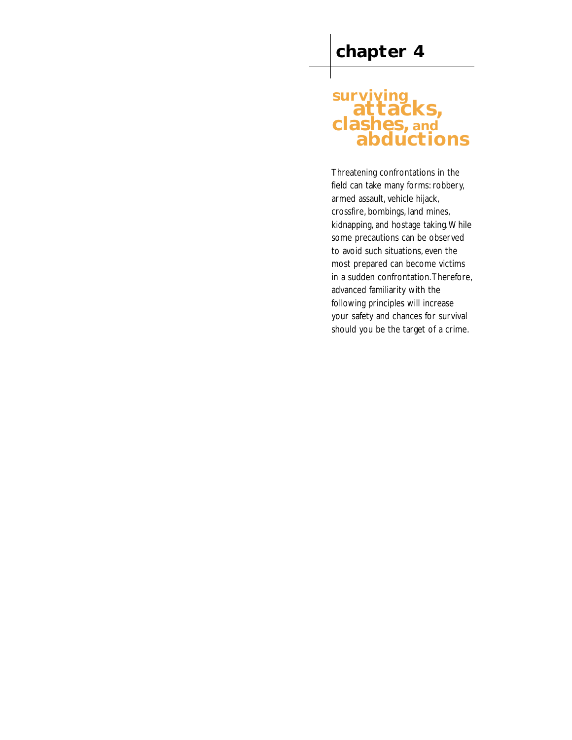# **surviving attacks, clashes, and abductions**

Threatening confrontations in the field can take many forms: robbery, armed assault, vehicle hijack, crossfire, bombings, land mines, kidnapping, and hostage taking.While some precautions can be observed to avoid such situations, even the most prepared can become victims in a sudden confrontation.Therefore, advanced familiarity with the following principles will increase your safety and chances for survival should you be the target of a crime.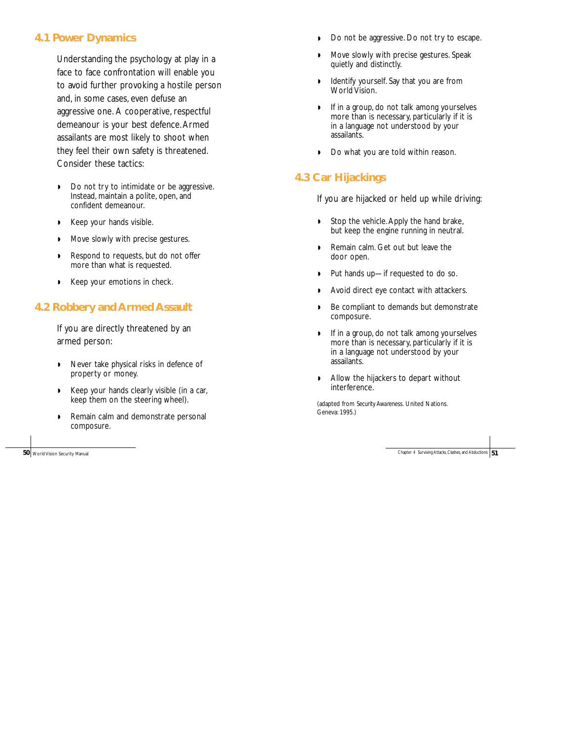### **4.1 Power Dynamics**

Understanding the psychology at play in a face to face confrontation will enable you to avoid further provoking a hostile person and, in some cases, even defuse an aggressive one. A cooperative, respectful demeanour is your best defence.Armed assailants are most likely to shoot when they feel their own safety is threatened. Consider these tactics:

- ◗ Do not try to intimidate or be aggressive. Instead, maintain a polite, open, and confident demeanour.
- ◗ Keep your hands visible.
- ◗ Move slowly with precise gestures.
- ◗ Respond to requests, but do not offer more than what is requested.
- ◗ Keep your emotions in check.

### **4.2 Robbery and Armed Assault**

If you are directly threatened by an armed person:

- ◗ Never take physical risks in defence of property or money.
- ◗ Keep your hands clearly visible (in a car, keep them on the steering wheel).
- ◗ Remain calm and demonstrate personal composure.

**50** World Vision Security Manual

- ◗ Do not be aggressive. Do not try to escape.
- ◗ Move slowly with precise gestures. Speak quietly and distinctly.
- ◗ Identify yourself. Say that you are from World Vision.
- ◗ If in a group, do not talk among yourselves more than is necessary, particularly if it is in a language not understood by your assailants.
- ◗ Do what you are told within reason.

### **4.3 Car Hijackings**

If you are hijacked or held up while driving:

- ◗ Stop the vehicle.Apply the hand brake, but keep the engine running in neutral.
- ◗ Remain calm. Get out but leave the door open.
- ◗ Put hands up—if requested to do so.
- ◗ Avoid direct eye contact with attackers.
- ◗ Be compliant to demands but demonstrate composure.
- ◗ If in a group, do not talk among yourselves more than is necessary, particularly if it is in a language not understood by your assailants.
- ◗ Allow the hijackers to depart without interference.

(adapted from *Security Awareness.* United Nations. Geneva: 1995.)

Chapter 4 Surviving Attacks, Clashes, and Abductions **51**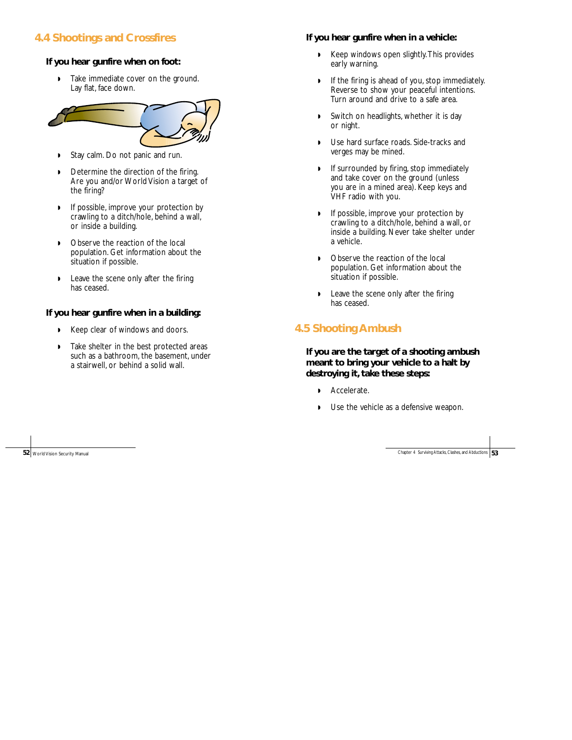### **4.4 Shootings and Crossfires**

#### **If you hear gunfire when on foot:**

◗ Take immediate cover on the ground. Lay flat, face down.



- ◗ Stay calm. Do not panic and run.
- ◗ Determine the direction of the firing. Are you and/or World Vision a target of the firing?
- ◗ If possible, improve your protection by crawling to a ditch/hole, behind a wall, or inside a building.
- ◗ Observe the reaction of the local population. Get information about the situation if possible.
- ◗ Leave the scene only after the firing has ceased.

#### **If you hear gunfire when in a building:**

- ◗ Keep clear of windows and doors.
- ◗ Take shelter in the best protected areas such as a bathroom, the basement, under a stairwell, or behind a solid wall.

#### **If you hear gunfire when in a vehicle:**

- ◗ Keep windows open slightly.This provides early warning.
- ◗ If the firing is ahead of you, stop immediately. Reverse to show your peaceful intentions. Turn around and drive to a safe area.
- ◗ Switch on headlights, whether it is day or night.
- ◗ Use hard surface roads. Side-tracks and verges may be mined.
- ◗ If surrounded by firing, stop immediately and take cover on the ground (unless you are in a mined area). Keep keys and VHF radio with you.
- ◗ If possible, improve your protection by crawling to a ditch/hole, behind a wall, or inside a building. Never take shelter under a vehicle.
- ◗ Observe the reaction of the local population. Get information about the situation if possible.
- Leave the scene only after the firing has ceased.

### **4.5 Shooting Ambush**

**If you are the target of a shooting ambush meant to bring your vehicle to a halt by destroying it, take these steps:**

- ◗ Accelerate.
- Use the vehicle as a defensive weapon.

**52** World Vision Security Manual Chapter 4 Surviving Attacks, Clashes, and Abductions **53**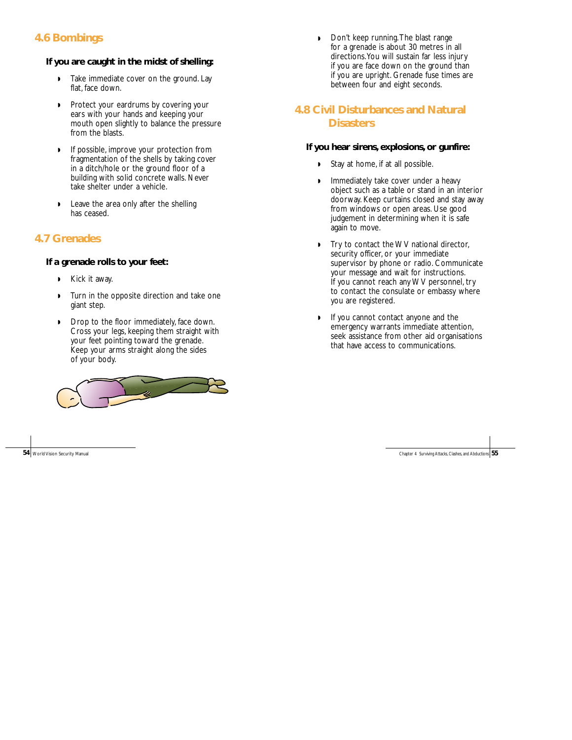### **4.6 Bombings**

### **If you are caught in the midst of shelling:**

- ◗ Take immediate cover on the ground. Lay flat, face down.
- ◗ Protect your eardrums by covering your ears with your hands and keeping your mouth open slightly to balance the pressure from the blasts.
- ◗ If possible, improve your protection from fragmentation of the shells by taking cover in a ditch/hole or the ground floor of a building with solid concrete walls. Never take shelter under a vehicle.
- ◗ Leave the area only after the shelling has ceased.

### **4.7 Grenades**

### **If a grenade rolls to your feet:**

- ◗ Kick it away.
- ◗ Turn in the opposite direction and take one giant step.
- ◗ Drop to the floor immediately, face down. Cross your legs, keeping them straight with your feet pointing toward the grenade. Keep your arms straight along the sides of your body.



◗ Don't keep running.The blast range for a grenade is about 30 metres in all directions.You will sustain far less injury if you are face down on the ground than if you are upright. Grenade fuse times are between four and eight seconds.

### **4.8 Civil Disturbances and Natural Disasters**

### **If you hear sirens, explosions, or gunfire:**

- Stay at home, if at all possible.
- Immediately take cover under a heavy object such as a table or stand in an interior doorway. Keep curtains closed and stay away from windows or open areas. Use good judgement in determining when it is safe again to move.
- Try to contact the WV national director, security officer, or your immediate supervisor by phone or radio. Communicate your message and wait for instructions. If you cannot reach any WV personnel, try to contact the consulate or embassy where you are registered.
- ◗ If you cannot contact anyone and the emergency warrants immediate attention, seek assistance from other aid organisations that have access to communications.

**54** World Vision Security Manual Chapter 4 Surviving Attacks, Clashes, and Abductions **55**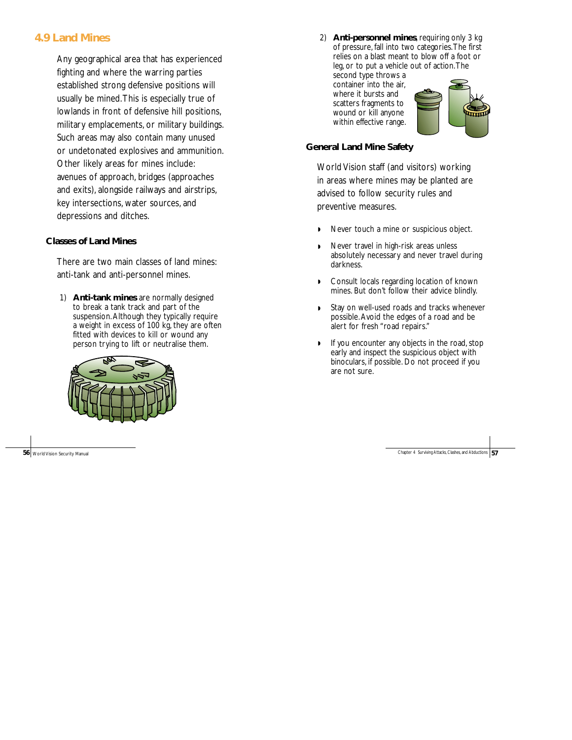### **4.9 Land Mines**

Any geographical area that has experienced fighting and where the warring parties established strong defensive positions will usually be mined.This is especially true of lowlands in front of defensive hill positions, military emplacements, or military buildings. Such areas may also contain many unused or undetonated explosives and ammunition. Other likely areas for mines include: avenues of approach, bridges (approaches and exits), alongside railways and airstrips, key intersections, water sources, and depressions and ditches.

#### **Classes of Land Mines**

There are two main classes of land mines: anti-tank and anti-personnel mines.

1) **Anti-tank mines** are normally designed to break a tank track and part of the suspension.Although they typically require a weight in excess of 100 kg, they are often fitted with devices to kill or wound any person trying to lift or neutralise them.



2) **Anti-personnel mines**, requiring only 3 kg of pressure, fall into two categories.The first relies on a blast meant to blow off a foot or leg, or to put a vehicle out of action.The second type throws a container into the air, where it bursts and scatters fragments to wound or kill anyone within effective range.

#### **General Land Mine Safety**

World Vision staff (and visitors) working in areas where mines may be planted are advised to follow security rules and preventive measures.

- Never touch a mine or suspicious object.
- ◗ Never travel in high-risk areas unless absolutely necessary and never travel during darkness.
- ◗ Consult locals regarding location of known mines. But don't follow their advice blindly.
- ◗ Stay on well-used roads and tracks whenever possible.Avoid the edges of a road and be alert for fresh "road repairs."
- ◗ If you encounter any objects in the road, stop early and inspect the suspicious object with binoculars, if possible. Do not proceed if you are not sure.

**56** World Vision Security Manual Chapter 4 Surviving Attacks, Clashes, and Abductions **57**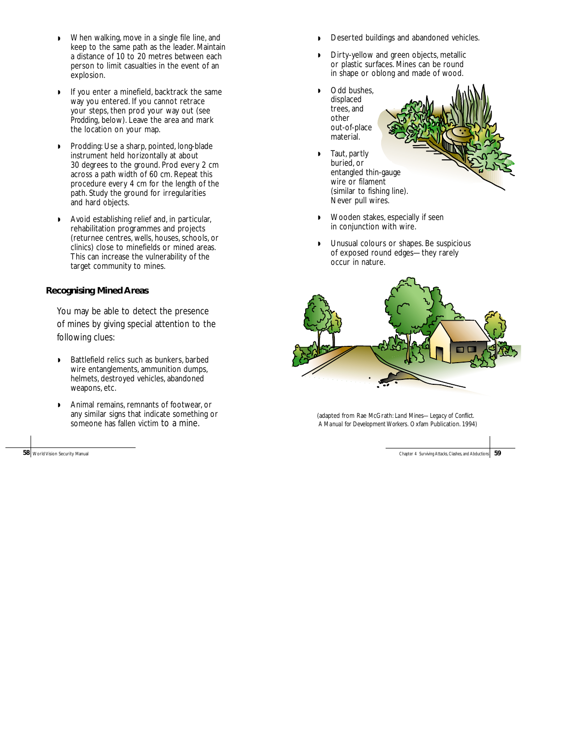- ◗ When walking, move in a single file line, and keep to the same path as the leader. Maintain a distance of 10 to 20 metres between each person to limit casualties in the event of an explosion.
- ◗ If you enter a minefield, backtrack the same way you entered. If you cannot retrace your steps, then prod your way out (see *Prodding*, below). Leave the area and mark the location on your map.
- ◗ Prodding: Use a sharp, pointed, long-blade instrument held horizontally at about 30 degrees to the ground. Prod every 2 cm across a path width of 60 cm. Repeat this procedure every 4 cm for the length of the path. Study the ground for irregularities and hard objects.
- ◗ Avoid establishing relief and, in particular, rehabilitation programmes and projects (returnee centres, wells, houses, schools, or clinics) close to minefields or mined areas. This can increase the vulnerability of the target community to mines.

#### **Recognising Mined Areas**

You may be able to detect the presence of mines by giving special attention to the following clues:

- ◗ Battlefield relics such as bunkers, barbed wire entanglements, ammunition dumps, helmets, destroyed vehicles, abandoned weapons, etc.
- ◗ Animal remains, remnants of footwear, or any similar signs that indicate something or someone has fallen victim to a mine.

**58** World Vision Security Manual

- Deserted buildings and abandoned vehicles.
- Dirty-yellow and green objects, metallic or plastic surfaces. Mines can be round in shape or oblong and made of wood.
- ◗ Odd bushes, displaced trees, and other out-of-place material.
- ◗ Taut, partly buried, or entangled thin-gauge wire or filament (similar to fishing line). Never pull wires.
- ◗ Wooden stakes, especially if seen in conjunction with wire.
- ◗ Unusual colours or shapes. Be suspicious of exposed round edges—they rarely occur in nature.



(adapted from Rae McGrath: *Land Mines—Legacy of Conflict. A Manual for Development Workers.* Oxfam Publication. 1994)

Chapter 4 Surviving Attacks, Clashes, and Abductions **59**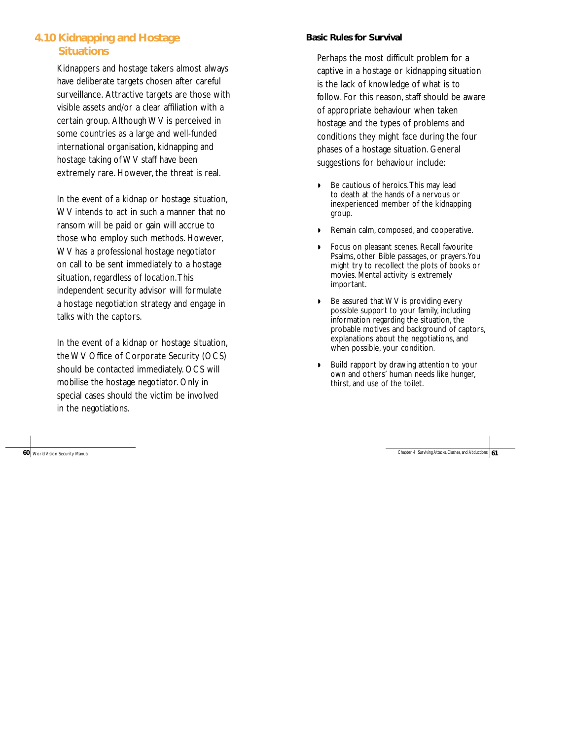# **4.10 Kidnapping and Hostage Situations**

Kidnappers and hostage takers almost always have deliberate targets chosen after careful surveillance. Attractive targets are those with visible assets and/or a clear affiliation with a certain group. Although WV is perceived in some countries as a large and well-funded international organisation, kidnapping and hostage taking of WV staff have been extremely rare. However, the threat is real.

In the event of a kidnap or hostage situation, WV intends to act in such a manner that no ransom will be paid or gain will accrue to those who employ such methods. However, WV has a professional hostage negotiator on call to be sent immediately to a hostage situation, regardless of location.This independent security advisor will formulate a hostage negotiation strategy and engage in talks with the captors.

In the event of a kidnap or hostage situation, the WV Office of Corporate Security (OCS) should be contacted immediately. OCS will mobilise the hostage negotiator. Only in special cases should the victim be involved in the negotiations.

# **Basic Rules for Survival**

Perhaps the most difficult problem for a captive in a hostage or kidnapping situation is the lack of knowledge of what is to follow. For this reason, staff should be aware of appropriate behaviour when taken hostage and the types of problems and conditions they might face during the four phases of a hostage situation. General suggestions for behaviour include:

- Be cautious of heroics. This may lead to death at the hands of a nervous or inexperienced member of the kidnapping group.
- ◗ Remain calm, composed, and cooperative.
- ◗ Focus on pleasant scenes. Recall favourite Psalms, other Bible passages, or prayers.You might try to recollect the plots of books or movies. Mental activity is extremely important.
- Be assured that WV is providing every possible support to your family, including information regarding the situation, the probable motives and background of captors, explanations about the negotiations, and when possible, your condition.
- ◗ Build rapport by drawing attention to your own and others' human needs like hunger, thirst, and use of the toilet.

**60** World Vision Security Manual **60** World Vision Security Manual Chapter 4 Surviving Attacks, Clashes, and Abductions **61**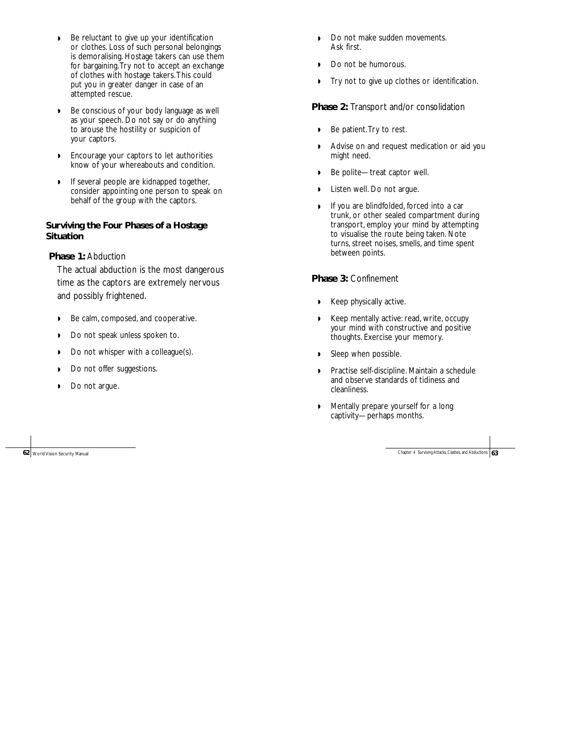- ◗ Be reluctant to give up your identification or clothes. Loss of such personal belongings is demoralising. Hostage takers can use them for bargaining.Try not to accept an exchange of clothes with hostage takers.This could put you in greater danger in case of an attempted rescue.
- ◗ Be conscious of your body language as well as your speech. Do not say or do anything to arouse the hostility or suspicion of your captors.
- ◗ Encourage your captors to let authorities know of your whereabouts and condition.
- ◗ If several people are kidnapped together, consider appointing one person to speak on behalf of the group with the captors.

#### **Surviving the Four Phases of a Hostage Situation**

**Phase 1:** Abduction

The actual abduction is the most dangerous time as the captors are extremely nervous and possibly frightened.

- ◗ Be calm, composed, and cooperative.
- ◗ Do not speak unless spoken to.
- ◗ Do not whisper with a colleague(s).
- ◗ Do not offer suggestions.
- ◗ Do not argue.

- ◗ Do not make sudden movements. Ask first.
- ◗ Do not be humorous.
- ◗ Try not to give up clothes or identification.

**Phase 2:** Transport and/or consolidation

- ◗ Be patient.Try to rest.
- ◗ Advise on and request medication or aid you might need.
- ◗ Be polite—treat captor well.
- ◗ Listen well. Do not argue.
- ◗ If you are blindfolded, forced into a car trunk, or other sealed compartment during transport, employ your mind by attempting to visualise the route being taken. Note turns, street noises, smells, and time spent between points.

#### **Phase 3:** Confinement

- ◗ Keep physically active.
- ◗ Keep mentally active: read, write, occupy your mind with constructive and positive thoughts. Exercise your memory.
- ◗ Sleep when possible.
- ◗ Practise self-discipline. Maintain a schedule and observe standards of tidiness and cleanliness.
- ◗ Mentally prepare yourself for a long captivity—perhaps months.

**62** World Vision Security Manual Chapter 4 Surviving Attacks, Clashes, and Abductions **63**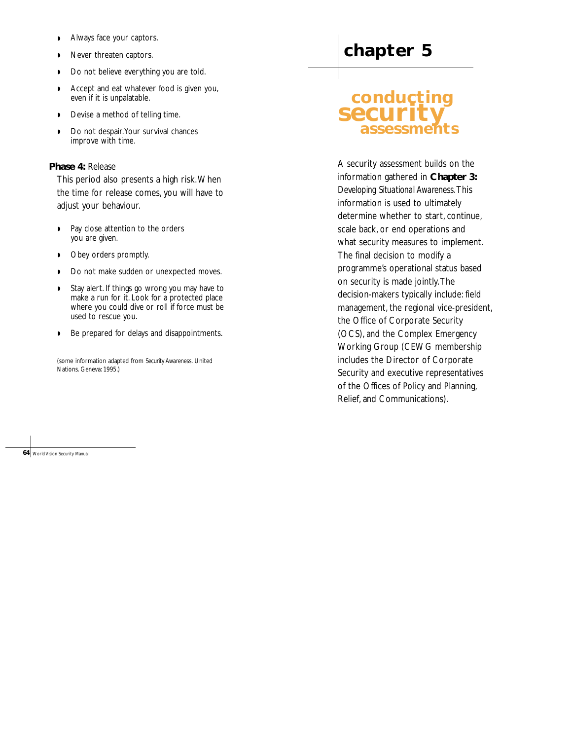- ◗ Always face your captors.
- ◗ Never threaten captors.
- ◗ Do not believe everything you are told.
- ◗ Accept and eat whatever food is given you, even if it is unpalatable.
- ◗ Devise a method of telling time.
- ◗ Do not despair.Your survival chances improve with time.

# **Phase 4:** Release

This period also presents a high risk.When the time for release comes, you will have to adjust your behaviour.

- ◗ Pay close attention to the orders you are given.
- ◗ Obey orders promptly.
- ◗ Do not make sudden or unexpected moves.
- ◗ Stay alert. If things go wrong you may have to make a run for it. Look for a protected place where you could dive or roll if force must be used to rescue you.
- ◗ Be prepared for delays and disappointments.

(some information adapted from *Security Awareness.* United Nations. Geneva: 1995.)

# **chapter 5**

# **conducting security assessments**

A security assessment builds on the information gathered in **Chapter 3:** *Developing Situational Awareness*.This information is used to ultimately determine whether to start, continue, scale back, or end operations and what security measures to implement. The final decision to modify a programme's operational status based on security is made jointly.The decision-makers typically include: field management, the regional vice-president, the Office of Corporate Security (OCS), and the Complex Emergency Working Group (CEWG membership includes the Director of Corporate Security and executive representatives of the Offices of Policy and Planning, Relief, and Communications).

**64** World Vision Security Manual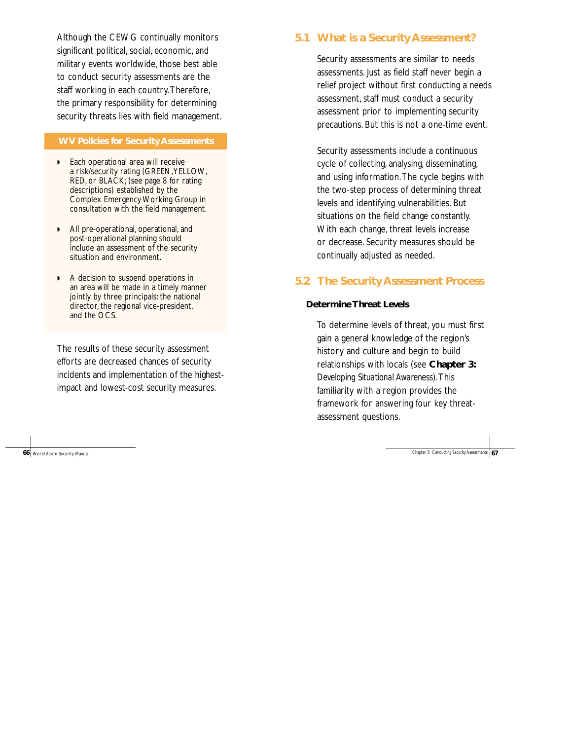Although the CEWG continually monitors significant political, social, economic, and military events worldwide, those best able to conduct security assessments are the staff working in each country.Therefore, the primary responsibility for determining security threats lies with field management.

#### **WV Policies for Security Assessments**

- ◗ Each operational area will receive a risk/security rating (GREEN,YELLOW, RED, or BLACK; (see page 8 for rating descriptions) established by the Complex Emergency Working Group in consultation with the field management.
- ◗ All pre-operational, operational, and post-operational planning should include an assessment of the security situation and environment.
- ◗ A decision to suspend operations in an area will be made in a timely manner jointly by three principals: the national director, the regional vice-president, and the OCS.

The results of these security assessment efforts are decreased chances of security incidents and implementation of the highestimpact and lowest-cost security measures.

**66** World Vision Security Manual **67** World Vision Security Assessments **67** Chapter 5 Conducting Security Assessments **67** 

# **5.1 What is a Security Assessment?**

Security assessments are similar to needs assessments. Just as field staff never begin a relief project without first conducting a needs assessment, staff must conduct a security assessment prior to implementing security precautions. But this is not a one-time event.

Security assessments include a continuous cycle of collecting, analysing, disseminating, and using information.The cycle begins with the two-step process of determining threat levels and identifying vulnerabilities. But situations on the field change constantly. With each change, threat levels increase or decrease. Security measures should be continually adjusted as needed.

# **5.2 The Security Assessment Process**

#### **Determine Threat Levels**

To determine levels of threat, you must first gain a general knowledge of the region's history and culture and begin to build relationships with locals (see **Chapter 3:** *Developing Situational Awareness*).This familiarity with a region provides the framework for answering four key threatassessment questions.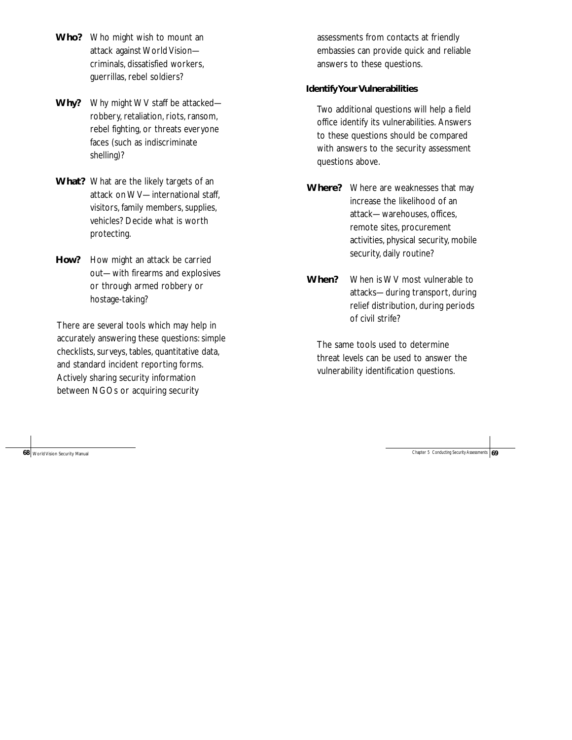- **Who?** Who might wish to mount an attack against World Vision criminals, dissatisfied workers, guerrillas, rebel soldiers?
- **Why?** Why might WV staff be attacked robbery, retaliation, riots, ransom, rebel fighting, or threats everyone faces (such as indiscriminate shelling)?
- **What?** What are the likely targets of an attack on WV—international staff, visitors, family members, supplies, vehicles? Decide what is worth protecting.
- **How?** How might an attack be carried out—with firearms and explosives or through armed robbery or hostage-taking?

There are several tools which may help in accurately answering these questions: simple checklists, surveys, tables, quantitative data, and standard incident reporting forms. Actively sharing security information between NGOs or acquiring security

assessments from contacts at friendly embassies can provide quick and reliable answers to these questions.

# **Identify Your Vulnerabilities**

Two additional questions will help a field office identify its vulnerabilities. Answers to these questions should be compared with answers to the security assessment questions above.

- **Where?** Where are weaknesses that may increase the likelihood of an attack—warehouses, offices, remote sites, procurement activities, physical security, mobile security, daily routine?
- **When?** When is WV most vulnerable to attacks—during transport, during relief distribution, during periods of civil strife?

The same tools used to determine threat levels can be used to answer the vulnerability identification questions.

**68** World Vision Security Manual Chapter 5 Conducting Security Assessments **69** World Vision Security Manual Chapter 5 Conducting Security Assessments **69**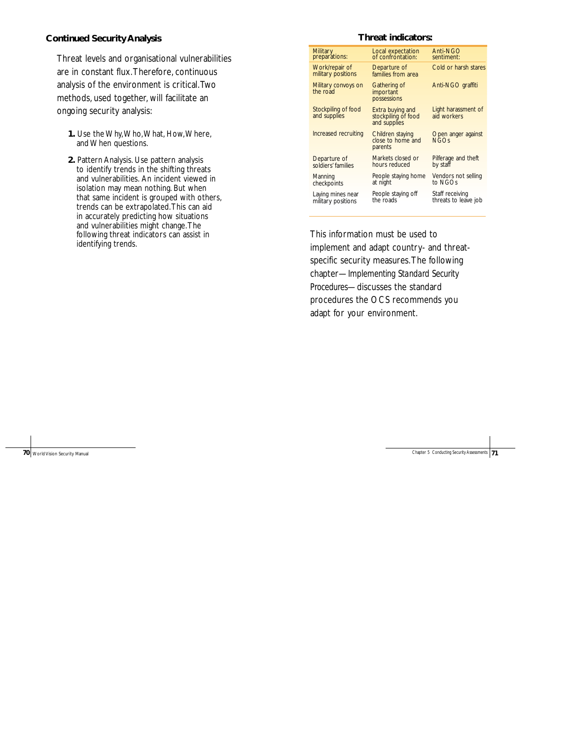#### **Continued Security Analysis**

Threat levels and organisational vulnerabilities are in constant flux.Therefore, continuous analysis of the environment is critical.Two methods, used together, will facilitate an ongoing security analysis:

- **1.** Use the Why,Who,What, How,Where, and When questions.
- **2.** Pattern Analysis. Use pattern analysis to identify trends in the shifting threats and vulnerabilities. An incident viewed in isolation may mean nothing. But when that same incident is grouped with others, trends can be extrapolated.This can aid in accurately predicting how situations and vulnerabilities might change.The following threat indicators can assist in identifying trends.

#### **Threat indicators:**

| Military                             | Local expectation                                       | Anti-NGO                           |
|--------------------------------------|---------------------------------------------------------|------------------------------------|
| preparations:                        | of confrontation:                                       | sentiment:                         |
| Work/repair of<br>military positions | Departure of<br>families from area                      | Cold or harsh stares               |
| Military convoys on<br>the road      | Gathering of<br><i>important</i><br>possessions         | Anti-NGO graffiti                  |
| Stockpiling of food<br>and supplies  | Extra buying and<br>stockpiling of food<br>and supplies | Light harassment of<br>aid workers |
| Increased recruiting                 | Children staying<br>close to home and<br>parents        | Open anger against<br><b>NGOS</b>  |
| Departure of                         | Markets closed or                                       | Pilferage and theft                |
| soldiers' families                   | hours reduced                                           | by staff                           |
| Manning                              | People staying home                                     | Vendors not selling                |
| checkpoints                          | at night                                                | to NGOs                            |
| Laying mines near                    | People staying off                                      | Staff receiving                    |
| military positions                   | the roads                                               | threats to leave job               |

This information must be used to implement and adapt country- and threatspecific security measures.The following chapter—*Implementing Standard Security Procedures*—discusses the standard procedures the OCS recommends you adapt for your environment.

**70** World Vision Security Manual Chapter 5 Conducting Security Assessment Chapter 5 Conducting Security Assessment Chapter 5 Conducting Security Assessment Chapter 5 Conducting Security Assessment Chapter 5 Conducting Sec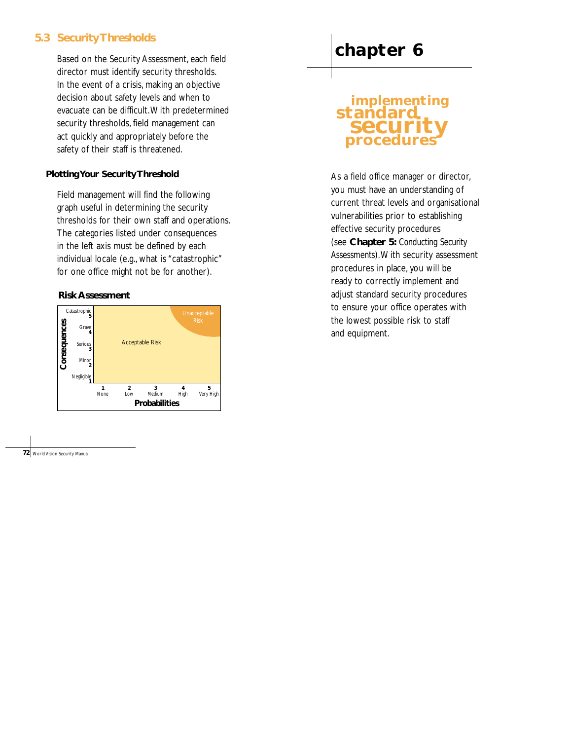# **5.3 Security Thresholds**

Based on the Security Assessment, each field director must identify security thresholds. In the event of a crisis, making an objective decision about safety levels and when to evacuate can be difficult.With predetermined security thresholds, field management can act quickly and appropriately before the safety of their staff is threatened.

# **Plotting Your Security Threshold**

Field management will find the following graph useful in determining the security thresholds for their own staff and operations. The categories listed under consequences in the left axis must be defined by each individual locale (e.g., what is "catastrophic" for one office might not be for another).

# **Risk Assessment**



# **chapter 6**

# **implementing standard security procedur**

As a field office manager or director, you must have an understanding of current threat levels and organisational vulnerabilities prior to establishing effective security procedures (see **Chapter 5:** *Conducting Security Assessments*).With security assessment procedures in place, you will be ready to correctly implement and adjust standard security procedures to ensure your office operates with the lowest possible risk to staff and equipment.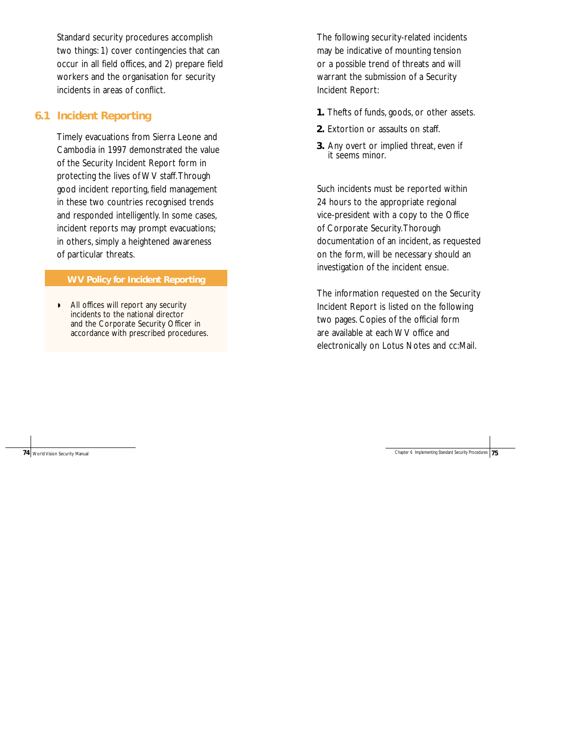Standard security procedures accomplish two things: 1) cover contingencies that can occur in all field offices, and 2) prepare field workers and the organisation for security incidents in areas of conflict.

# **6.1 Incident Reporting**

Timely evacuations from Sierra Leone and Cambodia in 1997 demonstrated the value of the Security Incident Report form in protecting the lives of WV staff.Through good incident reporting, field management in these two countries recognised trends and responded intelligently. In some cases, incident reports may prompt evacuations; in others, simply a heightened awareness of particular threats.

#### **WV Policy for Incident Reporting**

◗ All offices will report any security incidents to the national director and the Corporate Security Officer in accordance with prescribed procedures.

The following security-related incidents may be indicative of mounting tension or a possible trend of threats and will warrant the submission of a Security Incident Report:

- **1.** Thefts of funds, goods, or other assets.
- **2.** Extortion or assaults on staff.
- **3.** Any overt or implied threat, even if it seems minor.

Such incidents must be reported within 24 hours to the appropriate regional vice-president with a copy to the Office of Corporate Security.Thorough documentation of an incident, as requested on the form, will be necessary should an investigation of the incident ensue.

The information requested on the Security Incident Report is listed on the following two pages. Copies of the official form are available at each WV office and electronically on Lotus Notes and cc:Mail.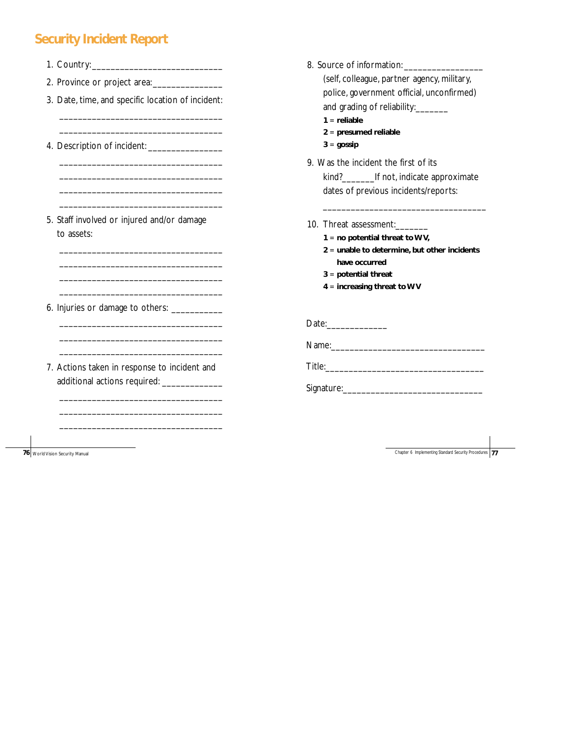# **Security Incident Report**

8. Source of information: \_\_\_\_\_\_\_\_\_\_\_\_\_\_\_\_\_ (self, colleague, partner agency, military, police, government official, unconfirmed) and grading of reliability:\_\_\_\_\_\_\_ **1** = **reliable 2** = **presumed reliable 3** = **gossip** 9. Was the incident the first of its kind?\_\_\_\_\_\_\_If not, indicate approximate dates of previous incidents/reports: \_\_\_\_\_\_\_\_\_\_\_\_\_\_\_\_\_\_\_\_\_\_\_\_\_\_\_\_\_\_\_\_\_\_\_ 10. Threat assessment:\_\_\_\_\_\_\_ **1** = **no potential threat to WV, 2** = **unable to determine, but other incidents have occurred 3** = **potential threat 4** = **increasing threat to WV** Date:\_\_\_\_\_\_\_\_\_\_\_\_\_ Name:\_\_\_\_\_\_\_\_\_\_\_\_\_\_\_\_\_\_\_\_\_\_\_\_\_\_\_\_\_\_\_\_\_ Title:\_\_\_\_\_\_\_\_\_\_\_\_\_\_\_\_\_\_\_\_\_\_\_\_\_\_\_\_\_\_\_\_\_\_ Signature:\_\_\_\_\_\_\_\_\_\_\_\_\_\_\_\_\_\_\_\_\_\_\_\_\_\_\_\_\_\_ 1. Country:\_\_\_\_\_\_\_\_\_\_\_\_\_\_\_\_\_\_\_\_\_\_\_\_\_\_\_\_ 2. Province or project area:\_\_\_\_\_\_\_\_\_\_\_\_\_\_\_ 3. Date, time, and specific location of incident: \_\_\_\_\_\_\_\_\_\_\_\_\_\_\_\_\_\_\_\_\_\_\_\_\_\_\_\_\_\_\_\_\_\_\_ \_\_\_\_\_\_\_\_\_\_\_\_\_\_\_\_\_\_\_\_\_\_\_\_\_\_\_\_\_\_\_\_\_\_\_ 4. Description of incident: \_\_\_\_\_\_\_\_\_\_\_\_\_\_\_\_ \_\_\_\_\_\_\_\_\_\_\_\_\_\_\_\_\_\_\_\_\_\_\_\_\_\_\_\_\_\_\_\_\_\_\_ \_\_\_\_\_\_\_\_\_\_\_\_\_\_\_\_\_\_\_\_\_\_\_\_\_\_\_\_\_\_\_\_\_\_\_ \_\_\_\_\_\_\_\_\_\_\_\_\_\_\_\_\_\_\_\_\_\_\_\_\_\_\_\_\_\_\_\_\_\_\_ \_\_\_\_\_\_\_\_\_\_\_\_\_\_\_\_\_\_\_\_\_\_\_\_\_\_\_\_\_\_\_\_\_\_\_ 5. Staff involved or injured and/or damage to assets: \_\_\_\_\_\_\_\_\_\_\_\_\_\_\_\_\_\_\_\_\_\_\_\_\_\_\_\_\_\_\_\_\_\_\_ \_\_\_\_\_\_\_\_\_\_\_\_\_\_\_\_\_\_\_\_\_\_\_\_\_\_\_\_\_\_\_\_\_\_\_ \_\_\_\_\_\_\_\_\_\_\_\_\_\_\_\_\_\_\_\_\_\_\_\_\_\_\_\_\_\_\_\_\_\_\_ \_\_\_\_\_\_\_\_\_\_\_\_\_\_\_\_\_\_\_\_\_\_\_\_\_\_\_\_\_\_\_\_\_\_\_ 6. Injuries or damage to others: \_\_\_\_\_\_\_\_\_\_\_ \_\_\_\_\_\_\_\_\_\_\_\_\_\_\_\_\_\_\_\_\_\_\_\_\_\_\_\_\_\_\_\_\_\_\_ \_\_\_\_\_\_\_\_\_\_\_\_\_\_\_\_\_\_\_\_\_\_\_\_\_\_\_\_\_\_\_\_\_\_\_ \_\_\_\_\_\_\_\_\_\_\_\_\_\_\_\_\_\_\_\_\_\_\_\_\_\_\_\_\_\_\_\_\_\_\_ 7. Actions taken in response to incident and additional actions required: \_\_\_\_\_\_\_\_\_\_\_\_\_ \_\_\_\_\_\_\_\_\_\_\_\_\_\_\_\_\_\_\_\_\_\_\_\_\_\_\_\_\_\_\_\_\_\_\_ \_\_\_\_\_\_\_\_\_\_\_\_\_\_\_\_\_\_\_\_\_\_\_\_\_\_\_\_\_\_\_\_\_\_\_ \_\_\_\_\_\_\_\_\_\_\_\_\_\_\_\_\_\_\_\_\_\_\_\_\_\_\_\_\_\_\_\_\_\_\_

**76** World Vision Security Manual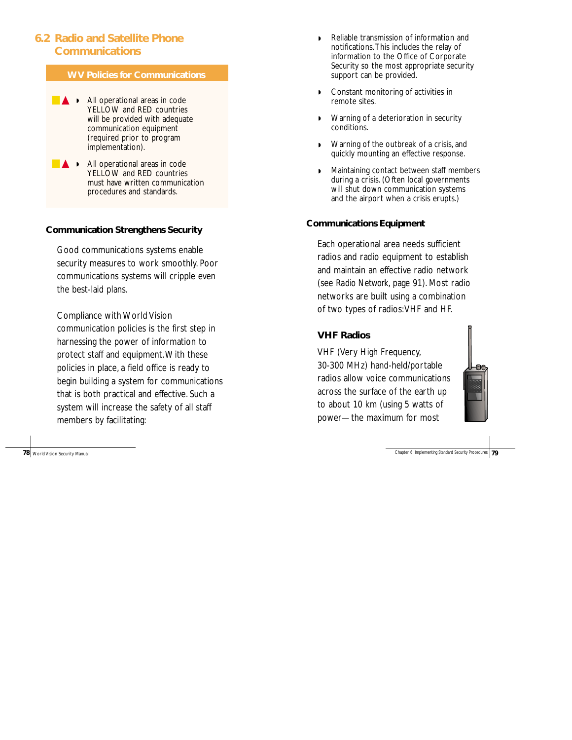# **6.2 Radio and Satellite Phone Communications**

# **WV Policies for Communications**

- **▲ ▶** All operational areas in code YELLOW and RED countries will be provided with adequate communication equipment (required prior to program implementation).
- **▲ ▶** All operational areas in code YELLOW and RED countries must have written communication procedures and standards.

# **Communication Strengthens Security**

Good communications systems enable security measures to work smoothly. Poor communications systems will cripple even the best-laid plans.

Compliance with World Vision communication policies is the first step in harnessing the power of information to protect staff and equipment.With these policies in place, a field office is ready to begin building a system for communications that is both practical and effective. Such a system will increase the safety of all staff members by facilitating:

**78** World Vision Security Manual

- ◗ Reliable transmission of information and notifications.This includes the relay of information to the Office of Corporate Security so the most appropriate security support can be provided.
- ◗ Constant monitoring of activities in remote sites.
- ◗ Warning of a deterioration in security conditions.
- ◗ Warning of the outbreak of a crisis, and quickly mounting an effective response.
- Maintaining contact between staff members during a crisis. (Often local governments will shut down communication systems and the airport when a crisis erupts.)

## **Communications Equipment**

Each operational area needs sufficient radios and radio equipment to establish and maintain an effective radio network (see *Radio Network*, page 91). Most radio networks are built using a combination of two types of radios:VHF and HF.

# **VHF Radios**

VHF (Very High Frequency, 30-300 MHz) hand-held/portable radios allow voice communications across the surface of the earth up to about 10 km (using 5 watts of power—the maximum for most

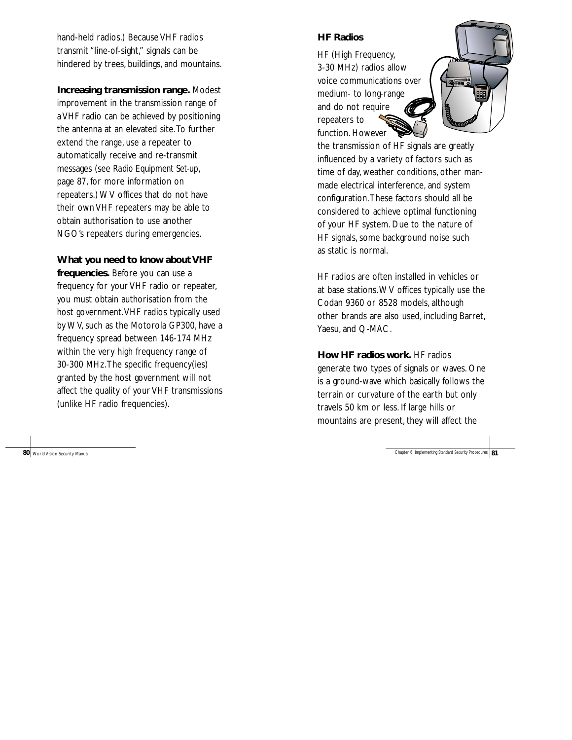hand-held radios.) Because VHF radios transmit "line-of-sight," signals can be hindered by trees, buildings, and mountains.

**Increasing transmission range.** Modest improvement in the transmission range of a VHF radio can be achieved by positioning the antenna at an elevated site.To further extend the range, use a repeater to automatically receive and re-transmit messages (see *Radio Equipment Set-up* , page 87, for more information on repeaters.) WV offices that do not have their own VHF repeaters may be able to obtain authorisation to use another NGO's repeaters during emergencies.

**What you need to know about VHF**

**frequencies.** Before you can use a frequency for your VHF radio or repeater, you must obtain authorisation from the host government.VHF radios typically used by WV, such as the Motorola GP300, have a frequency spread between 146-174 MHz within the very high frequency range of 30-300 MHz.The specific frequency(ies) granted by the host government will not affect the quality of your VHF transmissions (unlike HF radio frequencies).

80 World Vision Security Manual

# **HF Radios**

HF (High Frequency, 3-30 MHz) radios allow voice communications over medium- to long-range and do not require repeaters to function. However



the transmission of HF signals are greatly influenced by a variety of factors such as time of day, weather conditions, other manmade electrical interference, and system configuration.These factors should all be considered to achieve optimal functioning of your HF system. Due to the nature of HF signals, some background noise such as static is normal.

HF radios are often installed in vehicles or at base stations.WV offices typically use the Codan 9360 or 8528 models, although other brands are also used, including Barret, Yaesu, and Q-MAC.

**How HF radios work.** HF radios generate two types of signals or waves. One is a ground-wave which basically follows the terrain or curvature of the earth but only travels 50 km or less. If large hills or mountains are present, they will affect the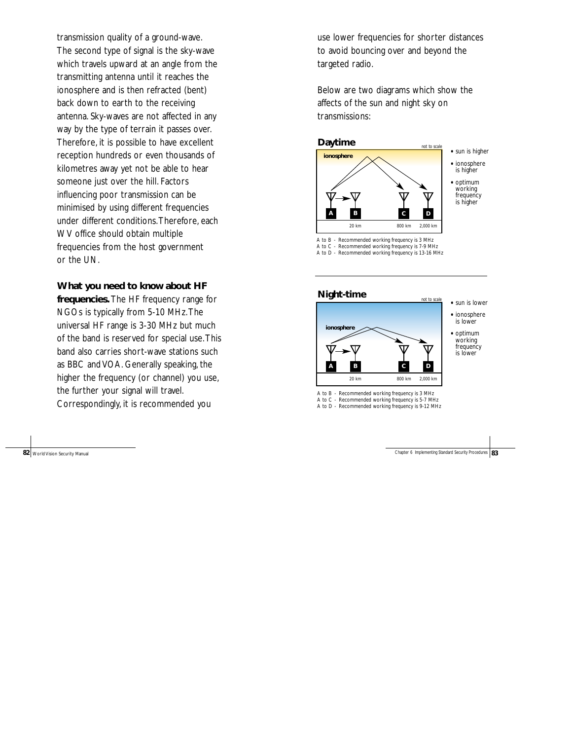transmission quality of a ground-wave. The second type of signal is the sky-wave which travels upward at an angle from the transmitting antenna until it reaches the ionosphere and is then refracted (bent) back down to earth to the receiving antenna. Sky-waves are not affected in any way by the type of terrain it passes over. Therefore, it is possible to have excellent reception hundreds or even thousands of kilometres away yet not be able to hear someone just over the hill. Factors influencing poor transmission can be minimised by using different frequencies under different conditions.Therefore, each WV office should obtain multiple frequencies from the host government or the UN.

**What you need to know about HF**

**frequencies.** The HF frequency range for NGOs is typically from 5-10 MHz.The universal HF range is 3-30 MHz but much of the band is reserved for special use.This band also carries short-wave stations such as BBC and VOA. Generally speaking, the higher the frequency (or channel) you use, the further your signal will travel. Correspondingly, it is recommended you

**82** World Vision Security Manual

use lower frequencies for shorter distances to avoid bouncing over and beyond the targeted radio.

Below are two diagrams which show the affects of the sun and night sky on transmissions:





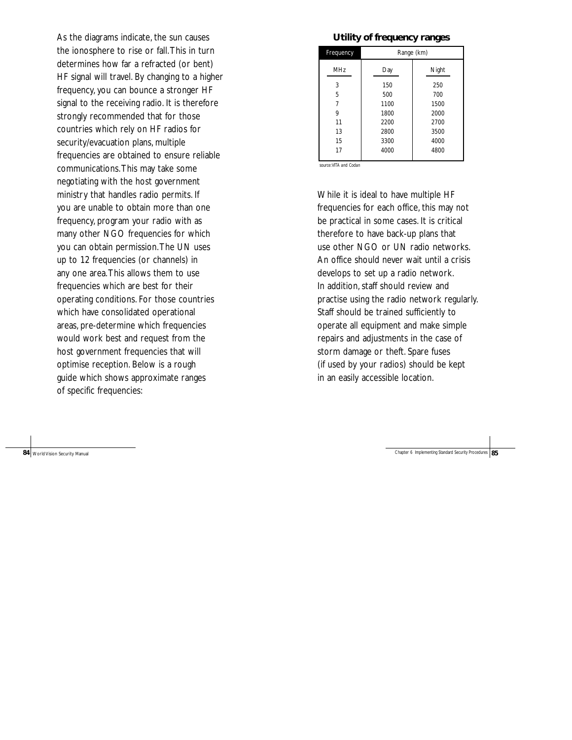As the diagrams indicate, the sun causes the ionosphere to rise or fall.This in turn determines how far a refracted (or bent) HF signal will travel. By changing to a higher frequency, you can bounce a stronger HF signal to the receiving radio. It is therefore strongly recommended that for those countries which rely on HF radios for security/evacuation plans, multiple frequencies are obtained to ensure reliable communications.This may take some negotiating with the host government ministry that handles radio permits. If you are unable to obtain more than one frequency, program your radio with as many other NGO frequencies for which you can obtain permission.The UN uses up to 12 frequencies (or channels) in any one area.This allows them to use frequencies which are best for their operating conditions. For those countries which have consolidated operational areas, pre-determine which frequencies would work best and request from the host government frequencies that will optimise reception. Below is a rough guide which shows approximate ranges of specific frequencies:

84 World Vision Security Manual

#### **Utility of frequency ranges**

| Frequency  | Range (km) |       |  |
|------------|------------|-------|--|
| <b>MHz</b> | Day        | Night |  |
| 3          | 150        | 250   |  |
| 5          | 500        | 700   |  |
| 7          | 1100       | 1500  |  |
| 9          | 1800       | 2000  |  |
| 11         | 2200       | 2700  |  |
| 13         | 2800       | 3500  |  |
| 15         | 3300       | 4000  |  |
| 17         | 4000       | 4800  |  |

*source:VITA and Codan* 

While it is ideal to have multiple HF frequencies for each office, this may not be practical in some cases. It is critical therefore to have back-up plans that use other NGO or UN radio networks. An office should never wait until a crisis develops to set up a radio network. In addition, staff should review and practise using the radio network regularly. Staff should be trained sufficiently to operate all equipment and make simple repairs and adjustments in the case of storm damage or theft. Spare fuses (if used by your radios) should be kept in an easily accessible location.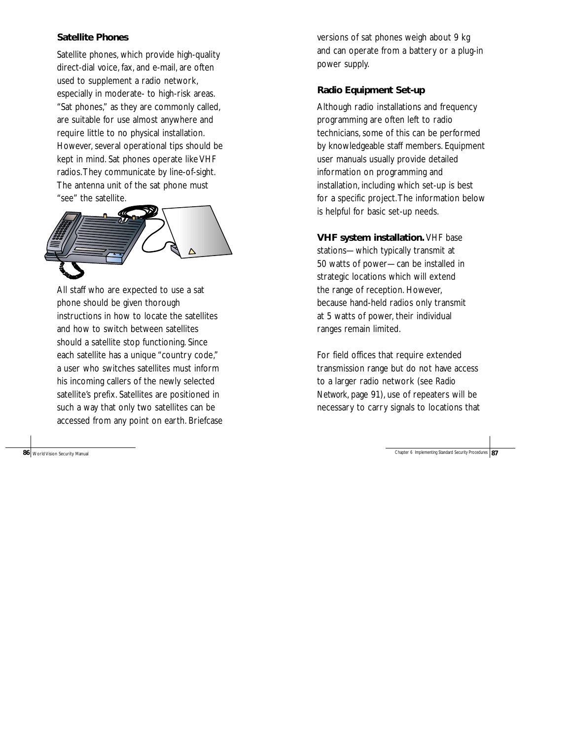#### **Satellite Phones**

Satellite phones, which provide high-quality direct-dial voice, fax, and e-mail, are often used to supplement a radio network, especially in moderate- to high-risk areas. "Sat phones," as they are commonly called, are suitable for use almost anywhere and require little to no physical installation. However, several operational tips should be kept in mind. Sat phones operate like VHF radios.They communicate by line-of-sight. The antenna unit of the sat phone must "see" the satellite.



All staff who are expected to use a sat phone should be given thorough instructions in how to locate the satellites and how to switch between satellites should a satellite stop functioning. Since each satellite has a unique "country code," a user who switches satellites must inform his incoming callers of the newly selected satellite's prefix. Satellites are positioned in such a way that only two satellites can be accessed from any point on earth. Briefcase

versions of sat phones weigh about 9 kg and can operate from a battery or a plug-in power supply.

# **Radio Equipment Set-up**

Although radio installations and frequency programming are often left to radio technicians, some of this can be performed by knowledgeable staff members. Equipment user manuals usually provide detailed information on programming and installation, including which set-up is best for a specific project.The information below is helpful for basic set-up needs.

**VHF system installation.** VHF base stations—which typically transmit at 50 watts of power—can be installed in strategic locations which will extend the range of reception. However, because hand-held radios only transmit at 5 watts of power, their individual ranges remain limited.

For field offices that require extended transmission range but do not have access to a larger radio network (see *Radio Network*, page 91), use of repeaters will be necessary to carry signals to locations that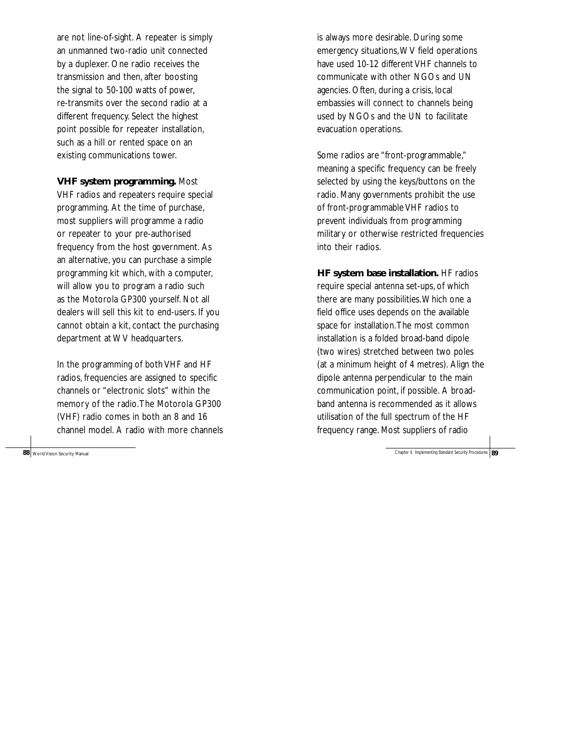are not line-of-sight. A repeater is simply an unmanned two-radio unit connected by a duplexer. One radio receives the transmission and then, after boosting the signal to 50-100 watts of power, re-transmits over the second radio at a different frequency. Select the highest point possible for repeater installation, such as a hill or rented space on an existing communications tower.

**VHF system programming.** Most

VHF radios and repeaters require special programming. At the time of purchase, most suppliers will programme a radio or repeater to your pre-authorised frequency from the host government. As an alternative, you can purchase a simple programming kit which, with a computer, will allow you to program a radio such as the Motorola GP300 yourself. Not all dealers will sell this kit to end-users. If you cannot obtain a kit, contact the purchasing department at WV headquarters.

In the programming of both VHF and HF radios, frequencies are assigned to specific channels or "electronic slots" within the memory of the radio.The Motorola GP300 (VHF) radio comes in both an 8 and 16 channel model. A radio with more channels

is always more desirable. During some emergency situations,WV field operations have used 10-12 different VHF channels to communicate with other NGOs and UN agencies. Often, during a crisis, local embassies will connect to channels being used by NGOs and the UN to facilitate evacuation operations.

Some radios are "front-programmable," meaning a specific frequency can be freely selected by using the keys/buttons on the radio. Many governments prohibit the use of front-programmable VHF radios to prevent individuals from programming military or otherwise restricted frequencies into their radios.

**HF system base installation.** HF radios require special antenna set-ups, of which there are many possibilities.Which one a field office uses depends on the available space for installation.The most common installation is a folded broad-band dipole (two wires) stretched between two poles (at a minimum height of 4 metres). Align the dipole antenna perpendicular to the main communication point, if possible. A broadband antenna is recommended as it allows utilisation of the full spectrum of the HF frequency range. Most suppliers of radio

**88** World Vision Security Manual Chapter 6 Implementing Standard Security Procedures **89** World Vision Security Procedures **89**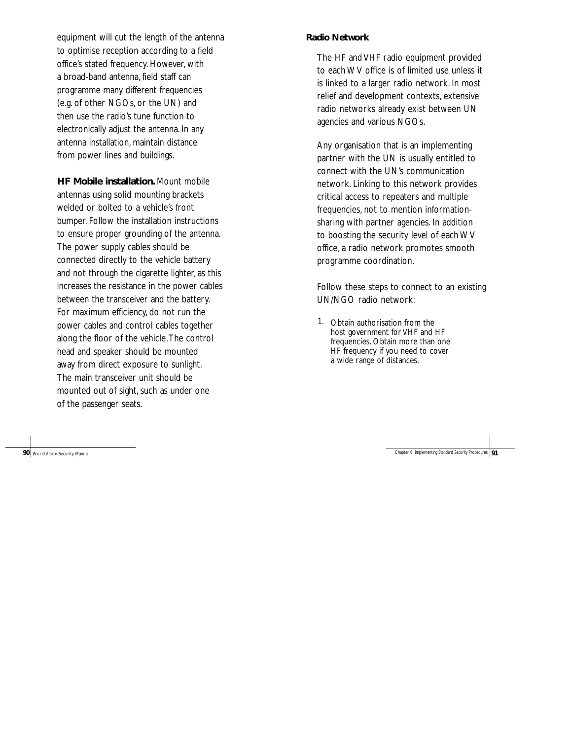equipment will cut the length of the antenna to optimise reception according to a field office's stated frequency. However, with a broad-band antenna, field staff can programme many different frequencies (e.g. of other NGOs, or the UN) and then use the radio's tune function to electronically adjust the antenna. In any antenna installation, maintain distance from power lines and buildings.

**HF Mobile installation.** Mount mobile antennas using solid mounting brackets welded or bolted to a vehicle's front bumper. Follow the installation instructions to ensure proper grounding of the antenna. The power supply cables should be connected directly to the vehicle battery and not through the cigarette lighter, as this increases the resistance in the power cables between the transceiver and the battery. For maximum efficiency, do not run the power cables and control cables together along the floor of the vehicle.The control head and speaker should be mounted away from direct exposure to sunlight. The main transceiver unit should be mounted out of sight, such as under one of the passenger seats.

#### **Radio Network**

The HF and VHF radio equipment provided to each WV office is of limited use unless it is linked to a larger radio network. In most relief and development contexts, extensive radio networks already exist between UN agencies and various NGOs.

Any organisation that is an implementing partner with the UN is usually entitled to connect with the UN's communication network. Linking to this network provides critical access to repeaters and multiple frequencies, not to mention informationsharing with partner agencies. In addition to boosting the security level of each WV office, a radio network promotes smooth programme coordination.

Follow these steps to connect to an existing UN/NGO radio network:

1. Obtain authorisation from the host government for VHF and HF frequencies. Obtain more than one HF frequency if you need to cover a wide range of distances.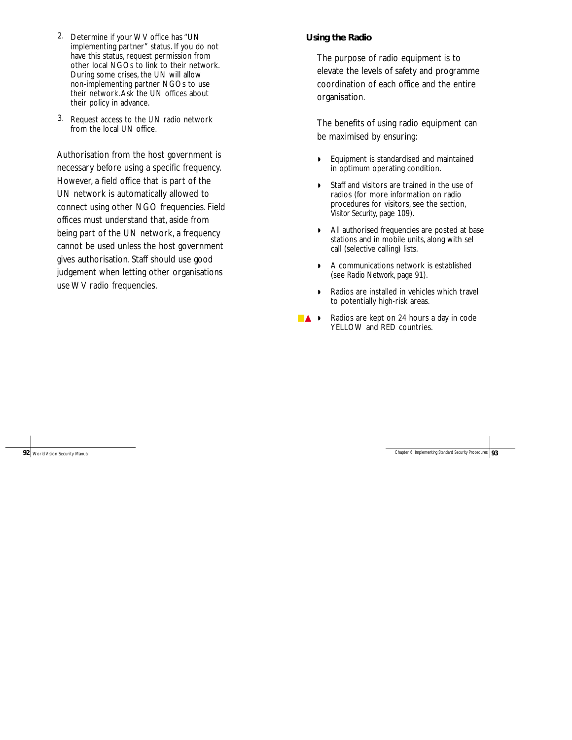- 2. Determine if your WV office has "UN implementing partner" status. If you do not have this status, request permission from other local NGOs to link to their network. During some crises, the UN will allow non-implementing partner NGOs to use their network.Ask the UN offices about their policy in advance.
- 3. Request access to the UN radio network from the local UN office.

Authorisation from the host government is necessary before using a specific frequency. However, a field office that is part of the UN network is automatically allowed to connect using other NGO frequencies. Field offices must understand that, aside from being part of the UN network, a frequency cannot be used unless the host government gives authorisation. Staff should use good judgement when letting other organisations use WV radio frequencies.

#### **Using the Radio**

The purpose of radio equipment is to elevate the levels of safety and programme coordination of each office and the entire organisation.

The benefits of using radio equipment can be maximised by ensuring:

- ◗ Equipment is standardised and maintained in optimum operating condition.
- ◗ Staff and visitors are trained in the use of radios (for more information on radio procedures for visitors, see the section, *Visitor Security*, page 109).
- ◗ All authorised frequencies are posted at base stations and in mobile units, along with sel call (selective calling) lists.
- ◗ A communications network is established (see *Radio Network*, page 91).
- ◗ Radios are installed in vehicles which travel to potentially high-risk areas.
- ▲ ▶ Radios are kept on 24 hours a day in code YELLOW and RED countries.

**92** World Vision Security Manual Chapter 6 Implementing Standard Security Procedures **93** World Vision Security Procedures **93**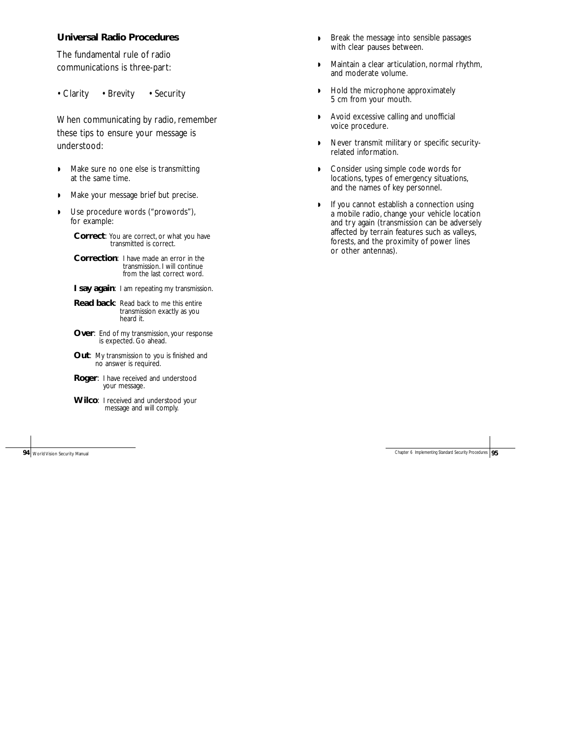#### **Universal Radio Procedures**

The fundamental rule of radio communications is three-part:

• Clarity • Brevity • Security

When communicating by radio, remember these tips to ensure your message is understood:

- ◗ Make sure no one else is transmitting at the same time.
- ◗ Make your message brief but precise.
- ◗ Use procedure words ("prowords"), for example:

**Correct**: You are correct, or what you have transmitted is correct.

**Correction**: I have made an error in the transmission. I will continue from the last correct word.

- **I say again:** I am repeating my transmission.
- **Read back**: Read back to me this entire transmission exactly as you heard it.
- **Over:** End of my transmission, your response is expected. Go ahead.
- **Out**: My transmission to you is finished and no answer is required.
- **Roger**: I have received and understood your message.
- **Wilco**: I received and understood your message and will comply.

- ◗ Break the message into sensible passages with clear pauses between.
- ◗ Maintain a clear articulation, normal rhythm, and moderate volume.
- ◗ Hold the microphone approximately 5 cm from your mouth.
- ◗ Avoid excessive calling and unofficial voice procedure.
- ◗ Never transmit military or specific securityrelated information.
- ◗ Consider using simple code words for locations, types of emergency situations, and the names of key personnel.
- ◗ If you cannot establish a connection using a mobile radio, change your vehicle location and try again (transmission can be adversely affected by terrain features such as valleys, forests, and the proximity of power lines or other antennas).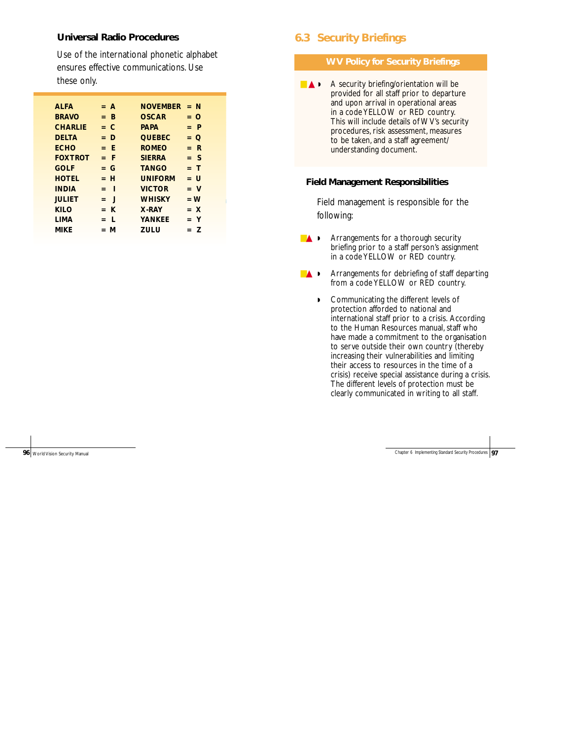#### **Universal Radio Procedures**

Use of the international phonetic alphabet ensures effective communications. Use these only.

| AI FA          |     | $= A$        | <b>NOVEMBER</b> |     | = N      |
|----------------|-----|--------------|-----------------|-----|----------|
| <b>BRAVO</b>   | $=$ | B            | <b>OSCAR</b>    |     | = ∩      |
| <b>CHARLIE</b> | $=$ | C            | <b>PAPA</b>     |     | P        |
| <b>DELTA</b>   | $=$ | D            | <b>QUEBEC</b>   | $=$ | O        |
| <b>FCHO</b>    | $=$ | - F          | <b>ROMFO</b>    | $=$ | -R       |
| <b>FOXTROT</b> |     | = F          | <b>SIFRRA</b>   |     | $=$ S    |
| GOLF           | $=$ | G            | <b>TANGO</b>    |     | = T      |
| <b>HOTEL</b>   | $=$ | - H          | <b>UNIFORM</b>  | $=$ | U        |
| <b>INDIA</b>   | $=$ | ı            | <b>VICTOR</b>   |     | <b>V</b> |
| <b>JULIET</b>  | $=$ | $\mathsf{l}$ | <b>WHISKY</b>   |     | $= W$    |
| KII O          |     | $=$ K        | X-RAY           |     | $=  X $  |
| <b>LIMA</b>    | $=$ | L            | <b>YANKFF</b>   |     | Y        |
| MIKE           | $=$ | М            | 70 U            |     | 7        |

# **6.3 Security Briefings**

#### **WV Policy for Security Briefings**

■ **▲ A** security briefing/orientation will be provided for all staff prior to departure and upon arrival in operational areas in a code YELLOW or RED country. This will include details of WV's security procedures, risk assessment, measures to be taken, and a staff agreement/ understanding document.

#### **Field Management Responsibilities**

Field management is responsible for the following:

- **▲ ▶** Arrangements for a thorough security briefing prior to a staff person's assignment in a code YELLOW or RED country.
- **▲**  Arrangements for debriefing of staff departing from a code YELLOW or RED country.
	- ◗ Communicating the different levels of protection afforded to national and international staff prior to a crisis. According to the Human Resources manual, staff who have made a commitment to the organisation to serve outside their own country (thereby increasing their vulnerabilities and limiting their access to resources in the time of a crisis) receive special assistance during a crisis. The different levels of protection must be clearly communicated in writing to all staff.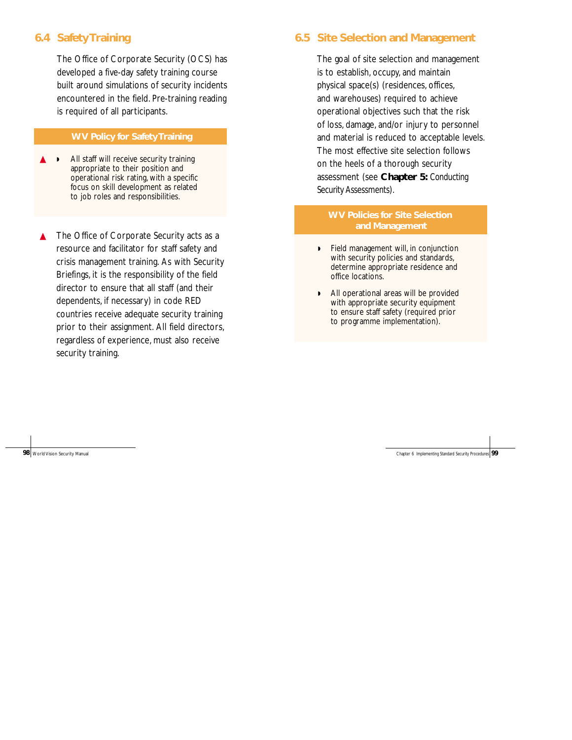# **6.4 Safety Training**

The Office of Corporate Security (OCS) has developed a five-day safety training course built around simulations of security incidents encountered in the field. Pre-training reading is required of all participants.

#### **WV Policy for Safety Training**

- All staff will receive security training appropriate to their position and operational risk rating, with a specific focus on skill development as related to job roles and responsibilities.
- ▲ The Office of Corporate Security acts as a resource and facilitator for staff safety and crisis management training. As with Security Briefings, it is the responsibility of the field director to ensure that all staff (and their dependents, if necessary) in code RED countries receive adequate security training prior to their assignment. All field directors, regardless of experience, must also receive security training.

# **6.5 Site Selection and Management**

The goal of site selection and management is to establish, occupy, and maintain physical space(s) (residences, offices, and warehouses) required to achieve operational objectives such that the risk of loss, damage, and/or injury to personnel and material is reduced to acceptable levels. The most effective site selection follows on the heels of a thorough security assessment (see **Chapter 5:** *Conducting Security Assessments*).

# **WV Policies for Site Selection and Management**

- ◗ Field management will, in conjunction with security policies and standards, determine appropriate residence and office locations.
- ◗ All operational areas will be provided with appropriate security equipment to ensure staff safety (required prior to programme implementation).

**98** World Vision Security Manual Chapter 6 Implementing Standard Security Procedures **99** World Vision Security Procedures **99**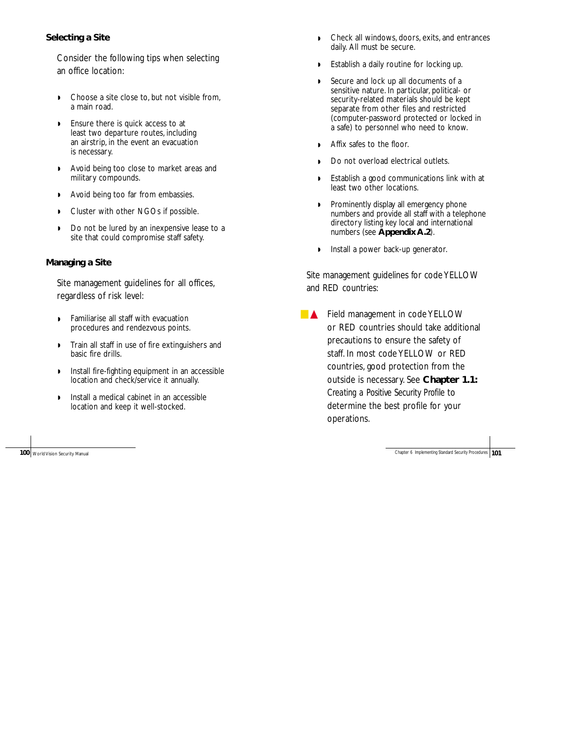# **Selecting a Site**

Consider the following tips when selecting an office location:

- ◗ Choose a site close to, but not visible from, a main road.
- ◗ Ensure there is quick access to at least two departure routes, including an airstrip, in the event an evacuation is necessary.
- ◗ Avoid being too close to market areas and military compounds.
- ◗ Avoid being too far from embassies.
- ◗ Cluster with other NGOs if possible.
- ◗ Do not be lured by an inexpensive lease to a site that could compromise staff safety.

## **Managing a Site**

Site management guidelines for all offices, regardless of risk level:

- ◗ Familiarise all staff with evacuation procedures and rendezvous points.
- ◗ Train all staff in use of fire extinguishers and basic fire drills.
- ◗ Install fire-fighting equipment in an accessible location and check/service it annually.
- ◗ Install a medical cabinet in an accessible location and keep it well-stocked.

- ◗ Check all windows, doors, exits, and entrances daily. All must be secure.
- ◗ Establish a daily routine for locking up.
- ◗ Secure and lock up all documents of a sensitive nature. In particular, political- or security-related materials should be kept separate from other files and restricted (computer-password protected or locked in a safe) to personnel who need to know.
- ◗ Affix safes to the floor.
- Do not overload electrical outlets.
- ◗ Establish a good communications link with at least two other locations.
- ◗ Prominently display all emergency phone numbers and provide all staff with a telephone directory listing key local and international numbers (see **Appendix A.2**).
- ◗ Install a power back-up generator.

Site management guidelines for code YELLOW and RED countries:

■ ▲ Field management in code YELLOW or RED countries should take additional precautions to ensure the safety of staff. In most code YELLOW or RED countries, good protection from the outside is necessary. See **Chapter 1.1:** *Creating a Positive Security Profile* to determine the best profile for your operations.

**100** World Vision Security Manual Chapter 6 Implementing Standard Security Procedures **101** Chapter 6 Implementing Standard Security Procedures **101**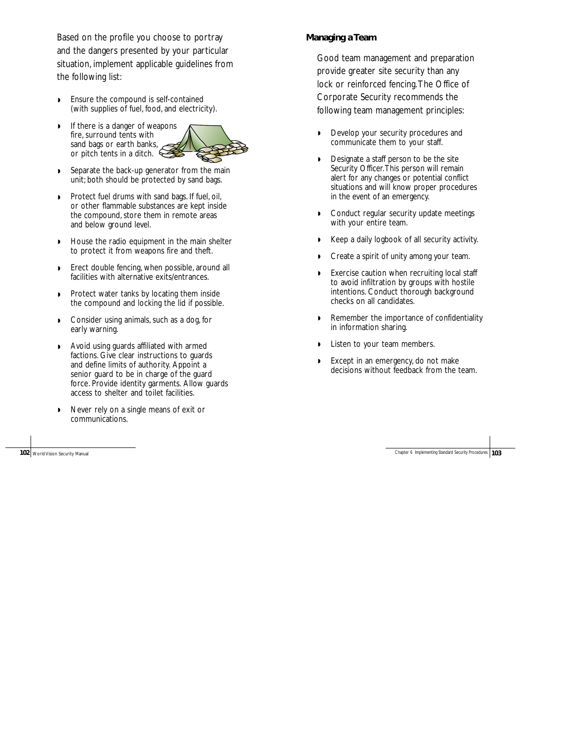Based on the profile you choose to portray and the dangers presented by your particular situation, implement applicable guidelines from the following list:

- ◗ Ensure the compound is self-contained (with supplies of fuel, food, and electricity).
- ◗ If there is a danger of weapons fire, surround tents with sand bags or earth banks, or pitch tents in a ditch.



- Separate the back-up generator from the main unit; both should be protected by sand bags.
- ◗ Protect fuel drums with sand bags. If fuel, oil, or other flammable substances are kept inside the compound, store them in remote areas and below ground level.
- ◗ House the radio equipment in the main shelter to protect it from weapons fire and theft.
- ◗ Erect double fencing, when possible, around all facilities with alternative exits/entrances.
- ◗ Protect water tanks by locating them inside the compound and locking the lid if possible.
- ◗ Consider using animals, such as a dog, for early warning.
- ◗ Avoid using guards affiliated with armed factions. Give clear instructions to guards and define limits of authority. Appoint a senior guard to be in charge of the guard force. Provide identity garments. Allow guards access to shelter and toilet facilities.
- ◗ Never rely on a single means of exit or communications.

#### **Managing a Team**

Good team management and preparation provide greater site security than any lock or reinforced fencing.The Office of Corporate Security recommends the following team management principles:

- Develop your security procedures and communicate them to your staff.
- ◗ Designate a staff person to be the site Security Officer. This person will remain alert for any changes or potential conflict situations and will know proper procedures in the event of an emergency.
- ◗ Conduct regular security update meetings with your entire team.
- ◗ Keep a daily logbook of all security activity.
- ◗ Create a spirit of unity among your team.
- ◗ Exercise caution when recruiting local staff to avoid infiltration by groups with hostile intentions. Conduct thorough background checks on all candidates.
- ◗ Remember the importance of confidentiality in information sharing.
- ◗ Listen to your team members.
- ◗ Except in an emergency, do not make decisions without feedback from the team.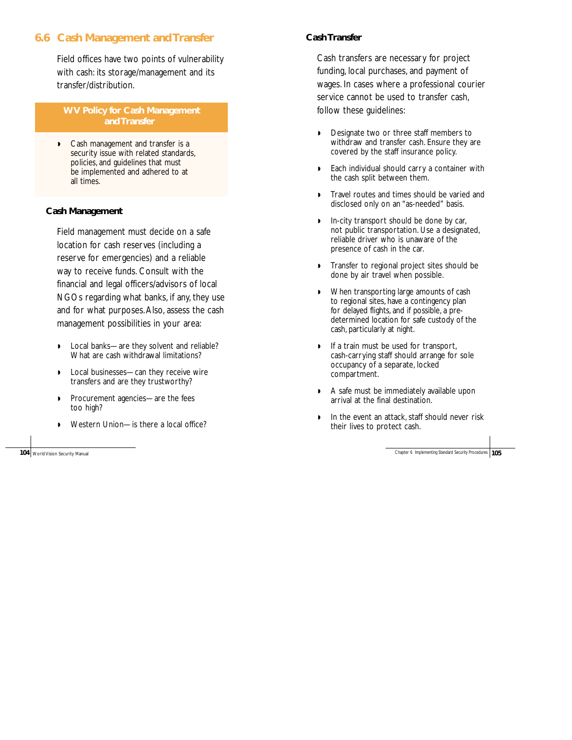# **6.6 Cash Management and Transfer**

Field offices have two points of vulnerability with cash: its storage/management and its transfer/distribution.

**WV Policy for Cash Management and Transfer** 

◗ Cash management and transfer is a security issue with related standards. policies, and guidelines that must be implemented and adhered to at all times.

#### **Cash Management**

Field management must decide on a safe location for cash reserves (including a reserve for emergencies) and a reliable way to receive funds. Consult with the financial and legal officers/advisors of local NGOs regarding what banks, if any, they use and for what purposes.Also, assess the cash management possibilities in your area:

- ◗ Local banks—are they solvent and reliable? What are cash withdrawal limitations?
- ◗ Local businesses—can they receive wire transfers and are they trustworthy?
- ◗ Procurement agencies—are the fees too high?
- Western Union-is there a local office?

#### **Cash Transfer**

Cash transfers are necessary for project funding, local purchases, and payment of wages. In cases where a professional courier service cannot be used to transfer cash, follow these guidelines:

- ◗ Designate two or three staff members to withdraw and transfer cash. Ensure they are covered by the staff insurance policy.
- ◗ Each individual should carry a container with the cash split between them.
- ◗ Travel routes and times should be varied and disclosed only on an "as-needed" basis.
- ◗ In-city transport should be done by car, not public transportation. Use a designated, reliable driver who is unaware of the presence of cash in the car.
- ◗ Transfer to regional project sites should be done by air travel when possible.
- ◗ When transporting large amounts of cash to regional sites, have a contingency plan for delayed flights, and if possible, a predetermined location for safe custody of the cash, particularly at night.
- ◗ If a train must be used for transport, cash-carrying staff should arrange for sole occupancy of a separate, locked compartment.
- ◗ A safe must be immediately available upon arrival at the final destination.
- ◗ In the event an attack, staff should never risk their lives to protect cash.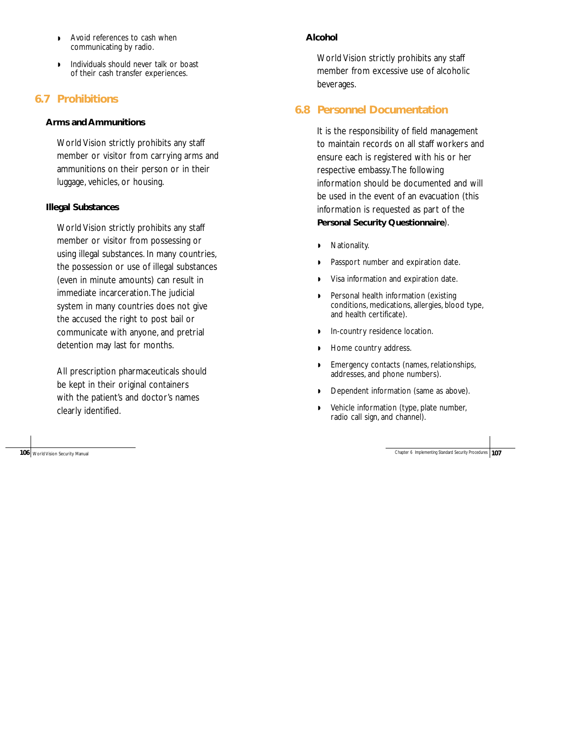- ◗ Avoid references to cash when communicating by radio.
- ◗ Individuals should never talk or boast of their cash transfer experiences.

# **6.7 Prohibitions**

## **Arms and Ammunitions**

World Vision strictly prohibits any staff member or visitor from carrying arms and ammunitions on their person or in their luggage, vehicles, or housing.

# **Illegal Substances**

World Vision strictly prohibits any staff member or visitor from possessing or using illegal substances. In many countries, the possession or use of illegal substances (even in minute amounts) can result in immediate incarceration.The judicial system in many countries does not give the accused the right to post bail or communicate with anyone, and pretrial detention may last for months.

All prescription pharmaceuticals should be kept in their original containers with the patient's and doctor's names clearly identified.

# **Alcohol**

World Vision strictly prohibits any staff member from excessive use of alcoholic beverages.

# **6.8 Personnel Documentation**

It is the responsibility of field management to maintain records on all staff workers and ensure each is registered with his or her respective embassy.The following information should be documented and will be used in the event of an evacuation (this information is requested as part of the **Personal Security Questionnaire**).

- ◗ Nationality.
- ◗ Passport number and expiration date.
- ◗ Visa information and expiration date.
- ◗ Personal health information (existing conditions, medications, allergies, blood type, and health certificate).
- ◗ In-country residence location.
- ◗ Home country address.
- ◗ Emergency contacts (names, relationships, addresses, and phone numbers).
- ◗ Dependent information (same as above).
- ◗ Vehicle information (type, plate number, radio call sign, and channel).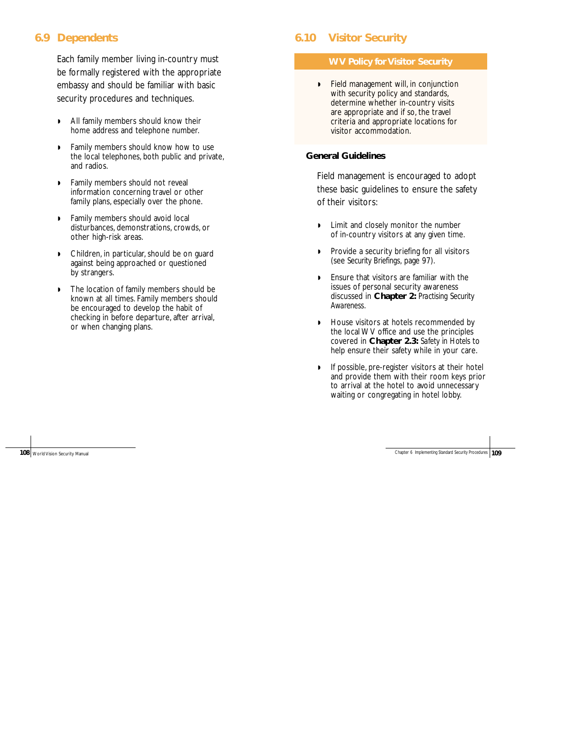# **6.9 Dependents**

Each family member living in-country must be formally registered with the appropriate embassy and should be familiar with basic security procedures and techniques.

- ◗ All family members should know their home address and telephone number.
- ◗ Family members should know how to use the local telephones, both public and private, and radios.
- ◗ Family members should not reveal information concerning travel or other family plans, especially over the phone.
- ◗ Family members should avoid local disturbances, demonstrations, crowds, or other high-risk areas.
- ◗ Children, in particular, should be on guard against being approached or questioned by strangers.
- ◗ The location of family members should be known at all times. Family members should be encouraged to develop the habit of checking in before departure, after arrival, or when changing plans.

# **6.10 Visitor Security**

#### **WV Policy for Visitor Security**

◗ Field management will, in conjunction with security policy and standards, determine whether in-country visits are appropriate and if so, the travel criteria and appropriate locations for visitor accommodation.

#### **General Guidelines**

Field management is encouraged to adopt these basic guidelines to ensure the safety of their visitors:

- ◗ Limit and closely monitor the number of in-country visitors at any given time.
- ◗ Provide a security briefing for all visitors (see *Security Briefings,* page 97).
- ◗ Ensure that visitors are familiar with the issues of personal security awareness discussed in **Chapter 2:** *Practising Security Awareness.*
- ◗ House visitors at hotels recommended by the local WV office and use the principles covered in **Chapter 2.3:** *Safety in Hotels* to help ensure their safety while in your care.
- ◗ If possible, pre-register visitors at their hotel and provide them with their room keys prior to arrival at the hotel to avoid unnecessary waiting or congregating in hotel lobby.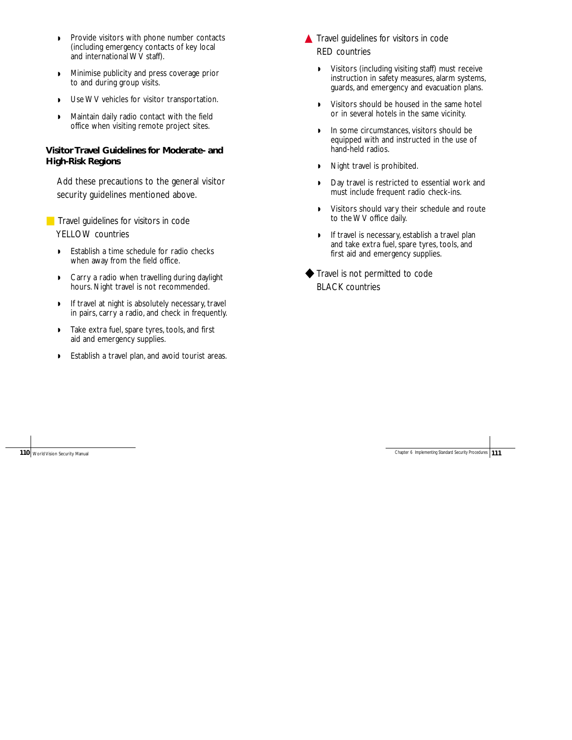- ◗ Provide visitors with phone number contacts (including emergency contacts of key local and international WV staff).
- ◗ Minimise publicity and press coverage prior to and during group visits.
- ◗ Use WV vehicles for visitor transportation.
- ◗ Maintain daily radio contact with the field office when visiting remote project sites.

## **Visitor Travel Guidelines for Moderate- and High-Risk Regions**

Add these precautions to the general visitor security guidelines mentioned above.

■ Travel guidelines for visitors in code YELLOW countries

- ◗ Establish a time schedule for radio checks when away from the field office.
- ◗ Carry a radio when travelling during daylight hours. Night travel is not recommended.
- ◗ If travel at night is absolutely necessary, travel in pairs, carry a radio, and check in frequently.
- ◗ Take extra fuel, spare tyres, tools, and first aid and emergency supplies.
- ◗ Establish a travel plan, and avoid tourist areas.
- ▲ Travel guidelines for visitors in code RED countries
	- ◗ Visitors (including visiting staff) must receive instruction in safety measures, alarm systems, guards, and emergency and evacuation plans.
	- ◗ Visitors should be housed in the same hotel or in several hotels in the same vicinity.
	- ◗ In some circumstances, visitors should be equipped with and instructed in the use of hand-held radios.
	- ◗ Night travel is prohibited.
	- ◗ Day travel is restricted to essential work and must include frequent radio check-ins.
	- ◗ Visitors should vary their schedule and route to the WV office daily.
	- ◗ If travel is necessary, establish a travel plan and take extra fuel, spare tyres, tools, and first aid and emergency supplies.
- ◆ Travel is not permitted to code BLACK countries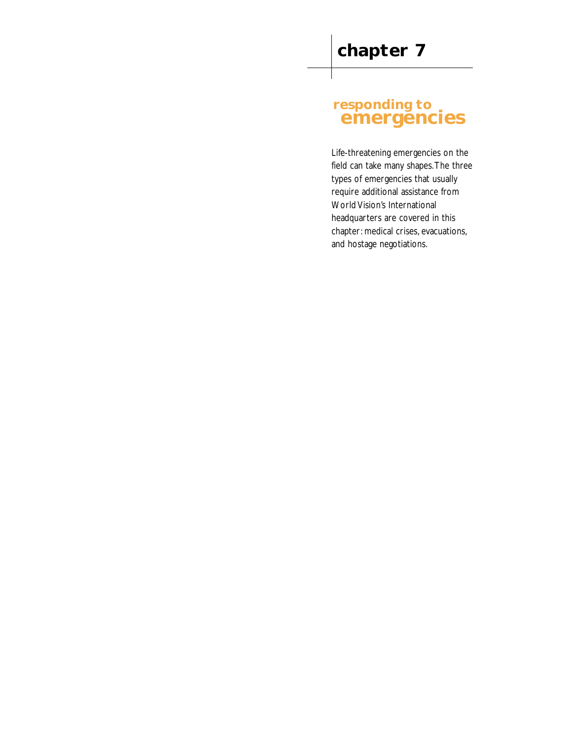# **responding to emergencies**

Life-threatening emergencies on the field can take many shapes.The three types of emergencies that usually require additional assistance from World Vision's International headquarters are covered in this chapter: medical crises, evacuations, and hostage negotiations.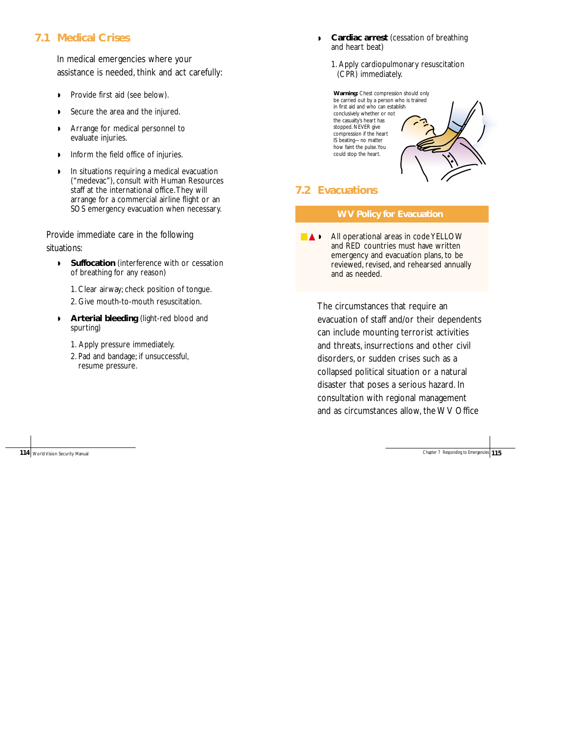# **7.1 Medical Crises**

In medical emergencies where your assistance is needed, think and act carefully:

- ◗ Provide first aid (see below).
- ◗ Secure the area and the injured.
- ◗ Arrange for medical personnel to evaluate injuries.
- ◗ Inform the field office of injuries.
- ◗ In situations requiring a medical evacuation ("medevac"), consult with Human Resources staff at the international office.They will arrange for a commercial airline flight or an SOS emergency evacuation when necessary.

Provide immediate care in the following situations:

- ◗ **Suffocation** (interference with or cessation of breathing for any reason)
	- 1. Clear airway; check position of tongue.
	- 2. Give mouth-to-mouth resuscitation.
- ◗ **Arterial bleeding** (light-red blood and spurting)
	- 1. Apply pressure immediately.
	- 2. Pad and bandage; if unsuccessful, resume pressure.
- ◗ **Cardiac arrest** (cessation of breathing and heart beat)
	- 1. Apply cardiopulmonary resuscitation (CPR) immediately.

**Warning:** Chest compression should only be carried out by a person who is trained in first aid and who can establish conclusively whether or not the casualty's heart has stopped. NEVER give compression if the heart IS beating—no matter how faint the pulse.You could stop the heart.

# **7.2 Evacuations**

#### **WV Policy for Evacuation**

■ ▲ ▶ All operational areas in code YELLOW and RED countries must have written emergency and evacuation plans, to be reviewed, revised, and rehearsed annually and as needed.

The circumstances that require an evacuation of staff and/or their dependents can include mounting terrorist activities and threats, insurrections and other civil disorders, or sudden crises such as a collapsed political situation or a natural disaster that poses a serious hazard. In consultation with regional management and as circumstances allow, the WV Office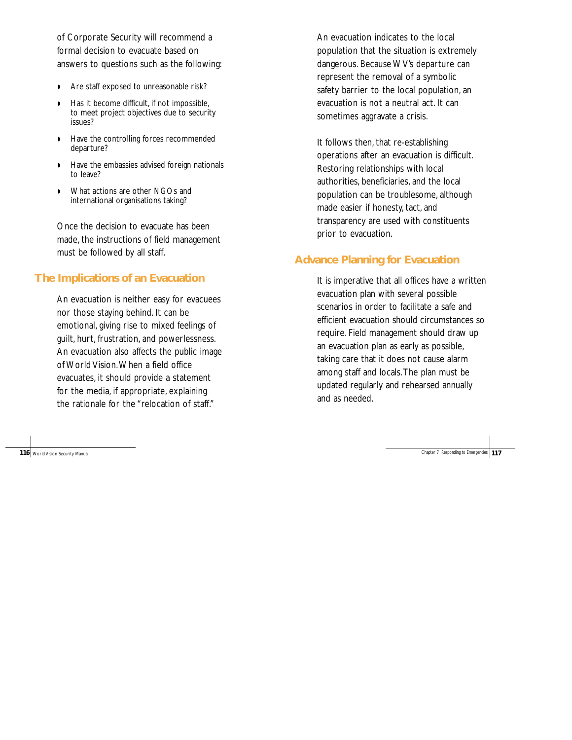of Corporate Security will recommend a formal decision to evacuate based on answers to questions such as the following:

- ◗ Are staff exposed to unreasonable risk?
- ◗ Has it become difficult, if not impossible, to meet project objectives due to security issues?
- ◗ Have the controlling forces recommended departure?
- ◗ Have the embassies advised foreign nationals to leave?
- ◗ What actions are other NGOs and international organisations taking?

Once the decision to evacuate has been made, the instructions of field management must be followed by all staff.

# **The Implications of an Evacuation**

An evacuation is neither easy for evacuees nor those staying behind. It can be emotional, giving rise to mixed feelings of guilt, hurt, frustration, and powerlessness. An evacuation also affects the public image of World Vision.When a field office evacuates, it should provide a statement for the media, if appropriate, explaining the rationale for the "relocation of staff."

**116** World Vision Security Manual Chapter 7 Responding to Emergencies **117** 

An evacuation indicates to the local population that the situation is extremely dangerous. Because WV's departure can represent the removal of a symbolic safety barrier to the local population, an evacuation is not a neutral act. It can sometimes aggravate a crisis.

It follows then, that re-establishing operations after an evacuation is difficult. Restoring relationships with local authorities, beneficiaries, and the local population can be troublesome, although made easier if honesty, tact, and transparency are used with constituents prior to evacuation.

# **Advance Planning for Evacuation**

It is imperative that all offices have a written evacuation plan with several possible scenarios in order to facilitate a safe and efficient evacuation should circumstances so require. Field management should draw up an evacuation plan as early as possible, taking care that it does not cause alarm among staff and locals.The plan must be updated regularly and rehearsed annually and as needed.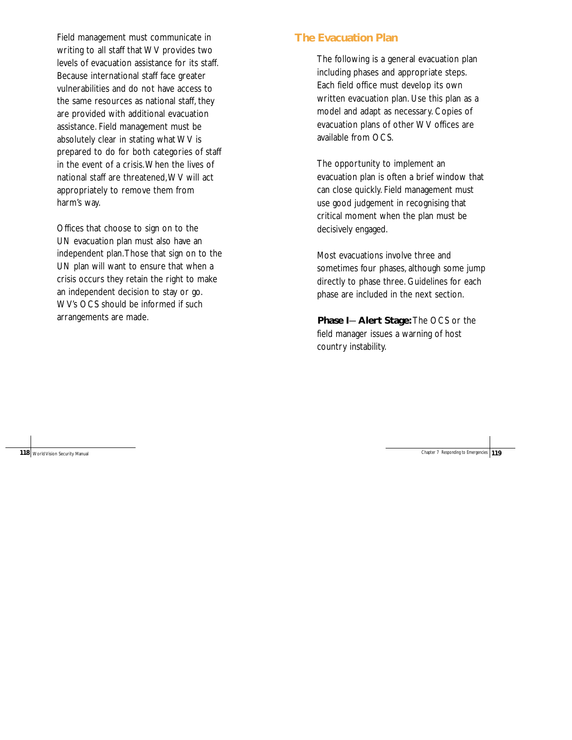Field management must communicate in writing to all staff that WV provides two levels of evacuation assistance for its staff. Because international staff face greater vulnerabilities and do not have access to the same resources as national staff, they are provided with additional evacuation assistance. Field management must be absolutely clear in stating what WV is prepared to do for both categories of staff in the event of a crisis.When the lives of national staff are threatened,WV will act appropriately to remove them from harm's way.

Offices that choose to sign on to the UN evacuation plan must also have an independent plan.Those that sign on to the UN plan will want to ensure that when a crisis occurs they retain the right to make an independent decision to stay or go. WV's OCS should be informed if such arrangements are made.

# **The Evacuation Plan**

The following is a general evacuation plan including phases and appropriate steps. Each field office must develop its own written evacuation plan. Use this plan as a model and adapt as necessary. Copies of evacuation plans of other WV offices are available from OCS.

The opportunity to implement an evacuation plan is often a brief window that can close quickly. Field management must use good judgement in recognising that critical moment when the plan must be decisively engaged.

Most evacuations involve three and sometimes four phases, although some jump directly to phase three. Guidelines for each phase are included in the next section.

**Phase I**—**Alert Stage:** The OCS or the field manager issues a warning of host country instability.

**118** World Vision Security Manual Chapter 7 Responding to Emergencies **Chapter 7 Responding to Emergencies**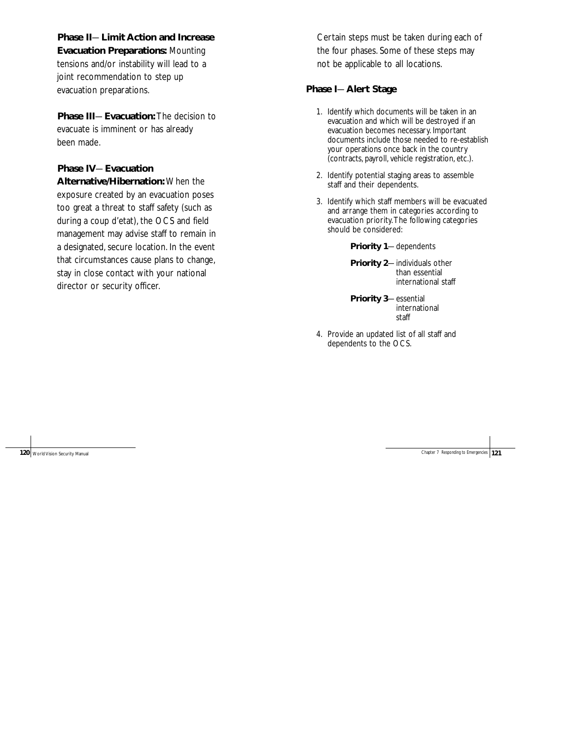**Phase II**—**Limit Action and Increase Evacuation Preparations:** Mounting tensions and/or instability will lead to a joint recommendation to step up evacuation preparations.

**Phase III**—**Evacuation:** The decision to evacuate is imminent or has already been made.

# **Phase IV**—**Evacuation**

**Alternative/Hibernation:** When the exposure created by an evacuation poses too great a threat to staff safety (such as during a coup d'etat), the OCS and field management may advise staff to remain in a designated, secure location. In the event that circumstances cause plans to change, stay in close contact with your national director or security officer.

Certain steps must be taken during each of the four phases. Some of these steps may not be applicable to all locations.

# **Phase I**—**Alert Stage**

- 1. Identify which documents will be taken in an evacuation and which will be destroyed if an evacuation becomes necessary. Important documents include those needed to re-establish your operations once back in the country (contracts, payroll, vehicle registration, etc.).
- 2. Identify potential staging areas to assemble staff and their dependents.
- 3. Identify which staff members will be evacuated and arrange them in categories according to evacuation priority.The following categories should be considered:

**Priority 1**—dependents

**Priority 2**—individuals other than essential international staff

**Priority 3**—essential international staff

4. Provide an updated list of all staff and dependents to the OCS.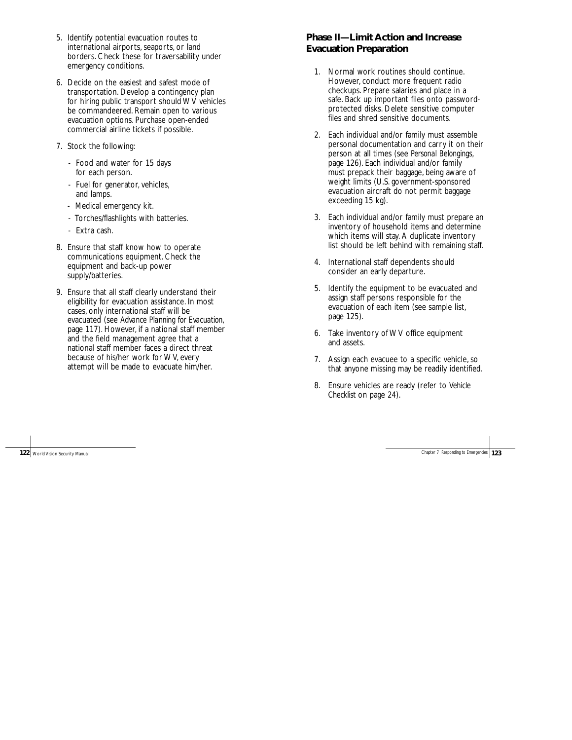- 5. Identify potential evacuation routes to international airports, seaports, or land borders. Check these for traversability under emergency conditions.
- 6. Decide on the easiest and safest mode of transportation. Develop a contingency plan for hiring public transport should WV vehicles be commandeered. Remain open to various evacuation options. Purchase open-ended commercial airline tickets if possible.
- 7. Stock the following:
	- Food and water for 15 days for each person.
	- Fuel for generator, vehicles, and lamps.
	- Medical emergency kit.
	- Torches/flashlights with batteries.
	- Extra cash.
- 8. Ensure that staff know how to operate communications equipment. Check the equipment and back-up power supply/batteries.
- 9. Ensure that all staff clearly understand their eligibility for evacuation assistance. In most cases, only international staff will be evacuated (see *Advance Planning for Evacuation*, page 117). However, if a national staff member and the field management agree that a national staff member faces a direct threat because of his/her work for WV, every attempt will be made to evacuate him/her.

# **Phase II—Limit Action and Increase Evacuation Preparation**

- 1. Normal work routines should continue. However, conduct more frequent radio checkups. Prepare salaries and place in a safe. Back up important files onto passwordprotected disks. Delete sensitive computer files and shred sensitive documents.
- 2. Each individual and/or family must assemble personal documentation and carry it on their person at all times (see *Personal Belongings*, page 126). Each individual and/or family must prepack their baggage, being aware of weight limits (U.S. government-sponsored evacuation aircraft do not permit baggage exceeding 15 kg).
- 3. Each individual and/or family must prepare an inventory of household items and determine which items will stay. A duplicate inventory list should be left behind with remaining staff.
- 4. International staff dependents should consider an early departure.
- 5. Identify the equipment to be evacuated and assign staff persons responsible for the evacuation of each item (see sample list, page 125).
- 6. Take inventory of WV office equipment and assets.
- 7. Assign each evacuee to a specific vehicle, so that anyone missing may be readily identified.
- 8. Ensure vehicles are ready (refer to *Vehicle Checklist* on page 24).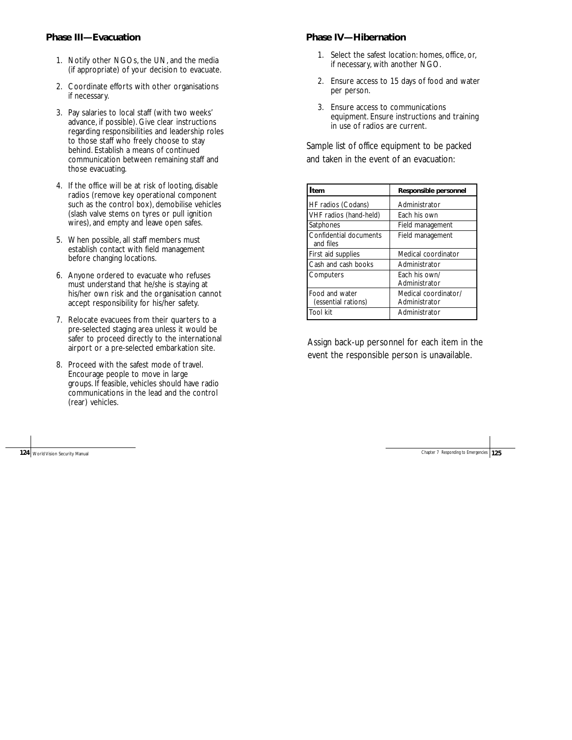### **Phase III—Evacuation**

- 1. Notify other NGOs, the UN, and the media (if appropriate) of your decision to evacuate.
- 2. Coordinate efforts with other organisations if necessary.
- 3. Pay salaries to local staff (with two weeks' advance, if possible). Give clear instructions regarding responsibilities and leadership roles to those staff who freely choose to stay behind. Establish a means of continued communication between remaining staff and those evacuating.
- 4. If the office will be at risk of looting, disable radios (remove key operational component such as the control box), demobilise vehicles (slash valve stems on tyres or pull ignition wires), and empty and leave open safes.
- 5. When possible, all staff members must establish contact with field management before changing locations.
- 6. Anyone ordered to evacuate who refuses must understand that he/she is staying at his/her own risk and the organisation cannot accept responsibility for his/her safety.
- 7. Relocate evacuees from their quarters to a pre-selected staging area unless it would be safer to proceed directly to the international airport or a pre-selected embarkation site.
- 8. Proceed with the safest mode of travel. Encourage people to move in large groups. If feasible, vehicles should have radio communications in the lead and the control (rear) vehicles.

#### **Phase IV—Hibernation**

- 1. Select the safest location: homes, office, or, if necessary, with another NGO.
- 2. Ensure access to 15 days of food and water per person.
- 3. Ensure access to communications equipment. Ensure instructions and training in use of radios are current.

Sample list of office equipment to be packed and taken in the event of an evacuation:

| tem                                   | Responsible personnel                 |
|---------------------------------------|---------------------------------------|
| HF radios (Codans)                    | Administrator                         |
| VHF radios (hand-held)                | Each his own                          |
| Satphones                             | Field management                      |
| Confidential documents<br>and files   | Field management                      |
| First aid supplies                    | Medical coordinator                   |
| Cash and cash books                   | Administrator                         |
| Computers                             | Fach his own/<br>Administrator        |
| Food and water<br>(essential rations) | Medical coordinator/<br>Administrator |
| Tool kit                              | Administrator                         |

Assign back-up personnel for each item in the event the responsible person is unavailable.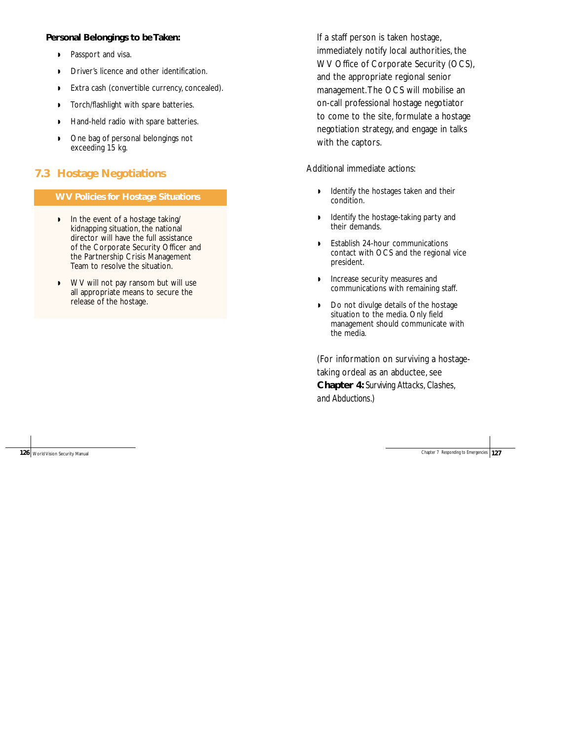### **Personal Belongings to be Taken:**

- ◗ Passport and visa.
- ◗ Driver's licence and other identification.
- ◗ Extra cash (convertible currency, concealed).
- ◗ Torch/flashlight with spare batteries.
- ◗ Hand-held radio with spare batteries.
- ◗ One bag of personal belongings not exceeding 15 kg.

# **7.3 Hostage Negotiations**

#### **WV Policies for Hostage Situations**

- ◗ In the event of a hostage taking/ kidnapping situation, the national director will have the full assistance of the Corporate Security Officer and the Partnership Crisis Management Team to resolve the situation.
- ◗ WV will not pay ransom but will use all appropriate means to secure the release of the hostage.

If a staff person is taken hostage, immediately notify local authorities, the WV Office of Corporate Security (OCS), and the appropriate regional senior management.The OCS will mobilise an on-call professional hostage negotiator to come to the site, formulate a hostage negotiation strategy, and engage in talks with the captors.

Additional immediate actions:

- ◗ Identify the hostages taken and their condition.
- ◗ Identify the hostage-taking party and their demands.
- ◗ Establish 24-hour communications contact with OCS and the regional vice president.
- ◗ Increase security measures and communications with remaining staff.
- ◗ Do not divulge details of the hostage situation to the media. Only field management should communicate with the media.

(For information on surviving a hostagetaking ordeal as an abductee, see **Chapter 4:** *Surviving Attacks, Clashes, and Abductions.*)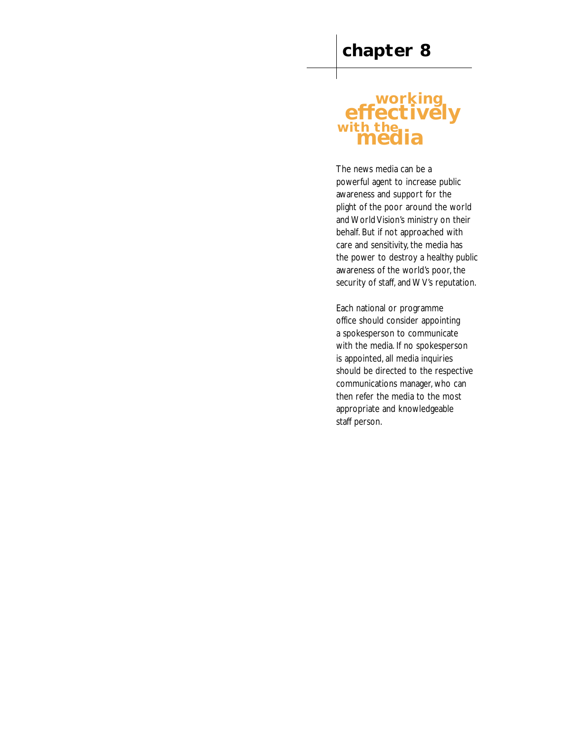# **working effectively with the media**

The news media can be a powerful agent to increase public awareness and support for the plight of the poor around the world and World Vision's ministry on their behalf. But if not approached with care and sensitivity, the media has the power to destroy a healthy public awareness of the world's poor, the security of staff, and WV's reputation.

Each national or programme office should consider appointing a spokesperson to communicate with the media. If no spokesperson is appointed, all media inquiries should be directed to the respective communications manager, who can then refer the media to the most appropriate and knowledgeable staff person.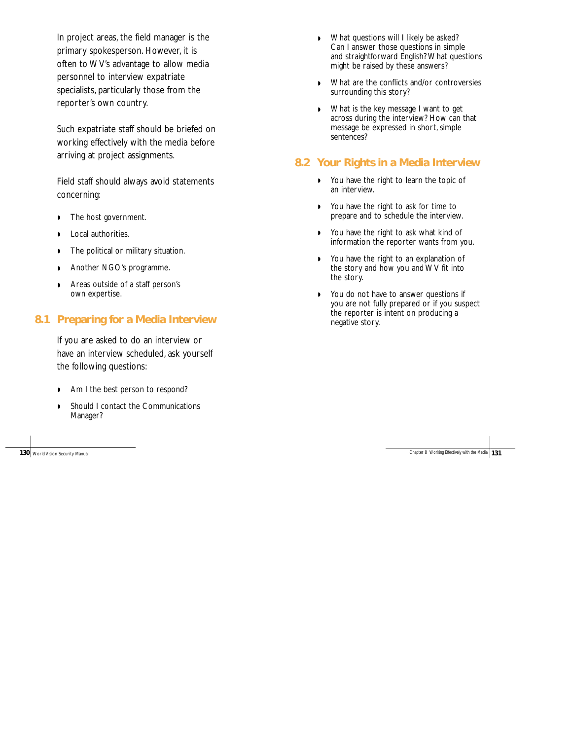In project areas, the field manager is the primary spokesperson. However, it is often to WV's advantage to allow media personnel to interview expatriate specialists, particularly those from the reporter's own country.

Such expatriate staff should be briefed on working effectively with the media before arriving at project assignments.

Field staff should always avoid statements concerning:

- ◗ The host government.
- ◗ Local authorities.
- ◗ The political or military situation.
- ◗ Another NGO's programme.
- ◗ Areas outside of a staff person's own expertise.

# **8.1 Preparing for a Media Interview**

If you are asked to do an interview or have an interview scheduled, ask yourself the following questions:

- ◗ Am I the best person to respond?
- ◗ Should I contact the Communications Manager?

**130** World Vision Security Manual

- ◗ What questions will I likely be asked? Can I answer those questions in simple and straightforward English? What questions might be raised by these answers?
- ◗ What are the conflicts and/or controversies surrounding this story?
- ◗ What is the key message I want to get across during the interview? How can that message be expressed in short, simple sentences?

# **8.2 Your Rights in a Media Interview**

- ◗ You have the right to learn the topic of an interview.
- ◗ You have the right to ask for time to prepare and to schedule the interview.
- ◗ You have the right to ask what kind of information the reporter wants from you.
- ◗ You have the right to an explanation of the story and how you and WV fit into the story.
- ◗ You do not have to answer questions if you are not fully prepared or if you suspect the reporter is intent on producing a negative story.

| Chapter 8 Working Effectively with the Media 131 |  |
|--------------------------------------------------|--|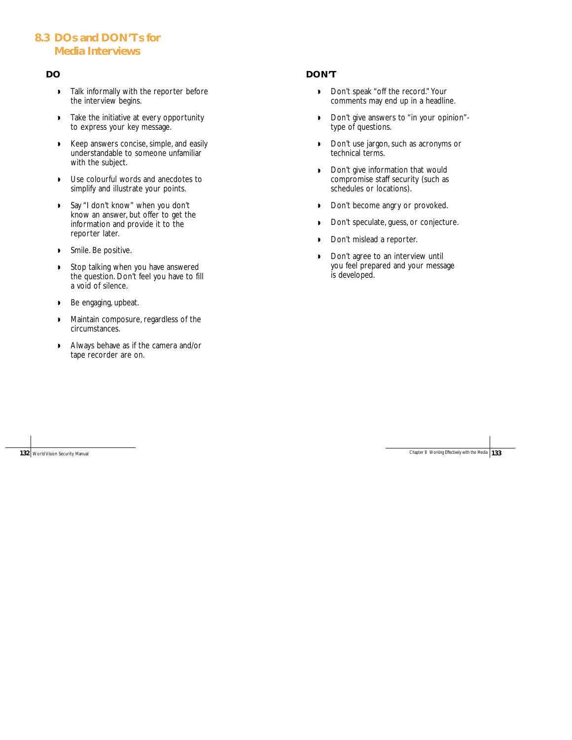# **8.3 DOs and DON'Ts for Media Interviews**

#### **DO**

- ◗ Talk informally with the reporter before the interview begins.
- ◗ Take the initiative at every opportunity to express your key message.
- ◗ Keep answers concise, simple, and easily understandable to someone unfamiliar with the subject.
- ◗ Use colourful words and anecdotes to simplify and illustrate your points.
- ◗ Say "I don't know" when you don't know an answer, but offer to get the information and provide it to the reporter later.
- ◗ Smile. Be positive.
- ◗ Stop talking when you have answered the question. Don't feel you have to fill a void of silence.
- ◗ Be engaging, upbeat.
- ◗ Maintain composure, regardless of the circumstances.
- ◗ Always behave as if the camera and/or tape recorder are on.

## **DON'T**

- ◗ Don't speak "off the record." Your comments may end up in a headline.
- ◗ Don't give answers to "in your opinion" type of questions.
- ◗ Don't use jargon, such as acronyms or technical terms.
- ◗ Don't give information that would compromise staff security (such as schedules or locations).
- ◗ Don't become angry or provoked.
- ◗ Don't speculate, guess, or conjecture.
- ◗ Don't mislead a reporter.
- ◗ Don't agree to an interview until you feel prepared and your message is developed.

**132** World Vision Security Manual Chapter 8 Working Effectively with the Media 133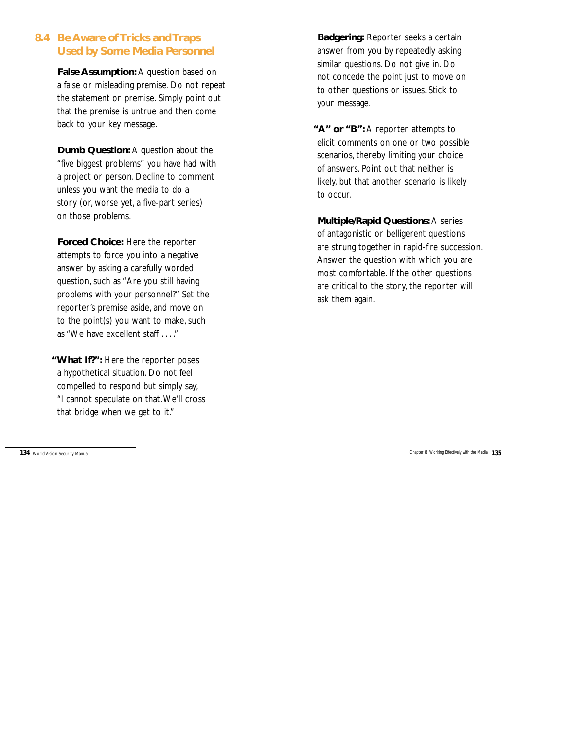## **8.4 Be Aware of Tricks and Traps Used by Some Media Personnel**

**False Assumption:** A question based on a false or misleading premise. Do not repeat the statement or premise. Simply point out that the premise is untrue and then come back to your key message.

**Dumb Question:** A question about the "five biggest problems" you have had with a project or person. Decline to comment unless you want the media to do a story (or, worse yet, a five-part series) on those problems.

**Forced Choice:** Here the reporter attempts to force you into a negative answer by asking a carefully worded question, such as "Are you still having problems with your personnel?" Set the reporter's premise aside, and move on to the point(s) you want to make, such as "We have excellent staff . . . ."

**"What If?":** Here the reporter poses a hypothetical situation. Do not feel compelled to respond but simply say, "I cannot speculate on that.We'll cross that bridge when we get to it."

**Badgering:** Reporter seeks a certain answer from you by repeatedly asking similar questions. Do not give in. Do not concede the point just to move on to other questions or issues. Stick to your message.

**"A" or "B":** A reporter attempts to elicit comments on one or two possible scenarios, thereby limiting your choice of answers. Point out that neither is likely, but that another scenario is likely to occur.

**Multiple/Rapid Questions:** A series of antagonistic or belligerent questions are strung together in rapid-fire succession. Answer the question with which you are most comfortable. If the other questions are critical to the story, the reporter will ask them again.

#### **134** World Vision Security Manual Chapter 8 Working Effectively with the Media 135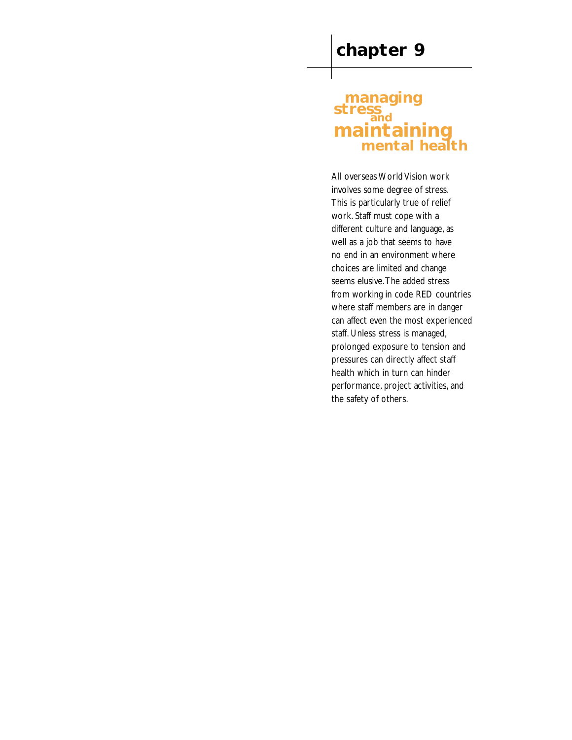# **managing**  stress **maintaining mental health**

All overseas World Vision work involves some degree of stress. This is particularly true of relief work. Staff must cope with a different culture and language, as well as a job that seems to have no end in an environment where choices are limited and change seems elusive.The added stress from working in code RED countries where staff members are in danger can affect even the most experienced staff. Unless stress is managed, prolonged exposure to tension and pressures can directly affect staff health which in turn can hinder performance, project activities, and the safety of others.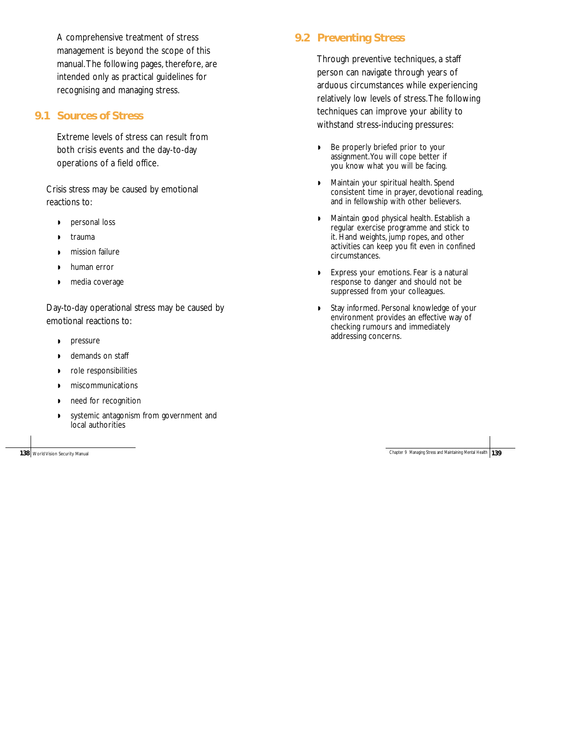A comprehensive treatment of stress management is beyond the scope of this manual.The following pages, therefore, are intended only as practical guidelines for recognising and managing stress.

#### **9.1 Sources of Stress**

Extreme levels of stress can result from both crisis events and the day-to-day operations of a field office.

Crisis stress may be caused by emotional reactions to:

- ◗ personal loss
- ◗ trauma
- ◗ mission failure
- ◗ human error
- ◗ media coverage

Day-to-day operational stress may be caused by emotional reactions to:

- ◗ pressure
- ◗ demands on staff
- ◗ role responsibilities
- ◗ miscommunications
- ◗ need for recognition
- ◗ systemic antagonism from government and local authorities

**9.2 Preventing Stress**

Through preventive techniques, a staff person can navigate through years of arduous circumstances while experiencing relatively low levels of stress.The following techniques can improve your ability to withstand stress-inducing pressures:

- ◗ Be properly briefed prior to your assignment.You will cope better if you know what you will be facing.
- ◗ Maintain your spiritual health. Spend consistent time in prayer, devotional reading, and in fellowship with other believers.
- ◗ Maintain good physical health. Establish a regular exercise programme and stick to it. Hand weights, jump ropes, and other activities can keep you fit even in confined circumstances.
- ◗ Express your emotions. Fear is a natural response to danger and should not be suppressed from your colleagues.
- ◗ Stay informed. Personal knowledge of your environment provides an effective way of checking rumours and immediately addressing concerns.

**138** World Vision Security Manual **139** World Vision Security Manual **Chapter 9 Managing Stress and Maintaining Mental Health <b>139**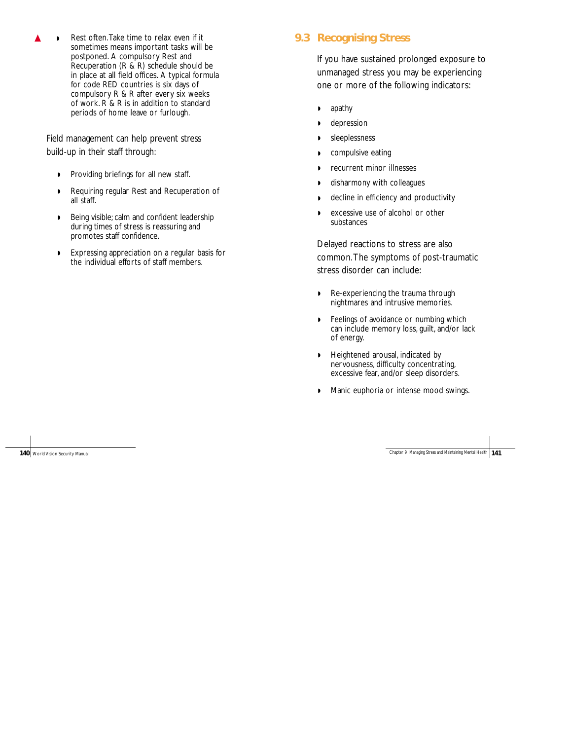Rest often. Take time to relax even if it sometimes means important tasks will be postponed. A compulsory Rest and Recuperation (R & R) schedule should be in place at all field offices. A typical formula for code RED countries is six days of compulsory R & R after every six weeks of work. R & R is in addition to standard periods of home leave or furlough.

Field management can help prevent stress build-up in their staff through:

- ◗ Providing briefings for all new staff.
- ◗ Requiring regular Rest and Recuperation of all staff.
- ◗ Being visible; calm and confident leadership during times of stress is reassuring and promotes staff confidence.
- ◗ Expressing appreciation on a regular basis for the individual efforts of staff members.

#### **9.3 Recognising Stress**

If you have sustained prolonged exposure to unmanaged stress you may be experiencing one or more of the following indicators:

- ◗ apathy
- ◗ depression
- ◗ sleeplessness
- ◗ compulsive eating
- ◗ recurrent minor illnesses
- ◗ disharmony with colleagues
- ◗ decline in efficiency and productivity
- ◗ excessive use of alcohol or other substances

Delayed reactions to stress are also common.The symptoms of post-traumatic stress disorder can include:

- ◗ Re-experiencing the trauma through nightmares and intrusive memories.
- ◗ Feelings of avoidance or numbing which can include memory loss, guilt, and/or lack of energy.
- ◗ Heightened arousal, indicated by nervousness, difficulty concentrating, excessive fear, and/or sleep disorders.
- ◗ Manic euphoria or intense mood swings.

**140** World Vision Security Manual **141** World Vision Security Manual **141**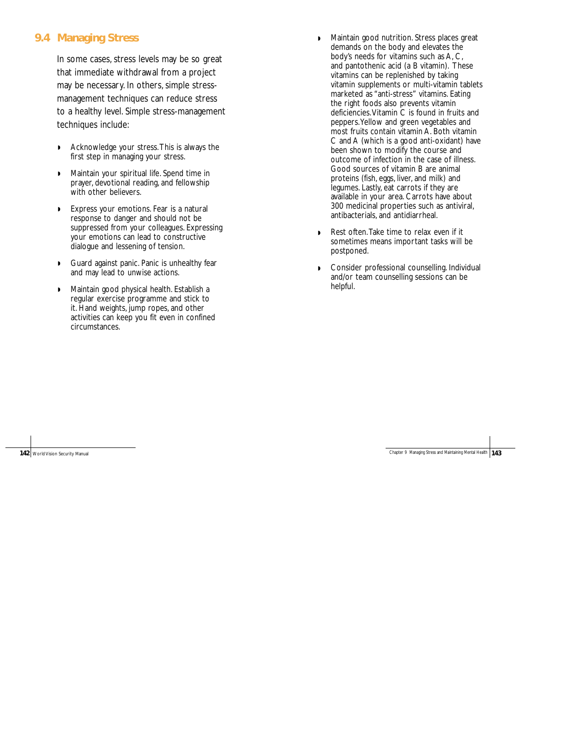#### **9.4 Managing Stress**

In some cases, stress levels may be so great that immediate withdrawal from a project may be necessary. In others, simple stressmanagement techniques can reduce stress to a healthy level. Simple stress-management techniques include:

- ◗ Acknowledge your stress.This is always the first step in managing your stress.
- ◗ Maintain your spiritual life. Spend time in prayer, devotional reading, and fellowship with other believers.
- ◗ Express your emotions. Fear is a natural response to danger and should not be suppressed from your colleagues. Expressing your emotions can lead to constructive dialogue and lessening of tension.
- ◗ Guard against panic. Panic is unhealthy fear and may lead to unwise actions.
- ◗ Maintain good physical health. Establish a regular exercise programme and stick to it. Hand weights, jump ropes, and other activities can keep you fit even in confined circumstances.
- ◗ Maintain good nutrition. Stress places great demands on the body and elevates the body's needs for vitamins such as A, C, and pantothenic acid (a B vitamin). These vitamins can be replenished by taking vitamin supplements or multi-vitamin tablets marketed as "anti-stress" vitamins. Eating the right foods also prevents vitamin deficiencies. Vitamin C is found in fruits and peppers.Yellow and green vegetables and most fruits contain vitamin A. Both vitamin C and A (which is a good anti-oxidant) have been shown to modify the course and outcome of infection in the case of illness. Good sources of vitamin B are animal proteins (fish, eggs, liver, and milk) and legumes. Lastly, eat carrots if they are available in your area. Carrots have about 300 medicinal properties such as antiviral, antibacterials, and antidiarrheal.
- ◗ Rest often.Take time to relax even if it sometimes means important tasks will be postponed.
- ◗ Consider professional counselling. Individual and/or team counselling sessions can be helpful.

**142** World Vision Security Manual **143** World Vision Security Manual **143**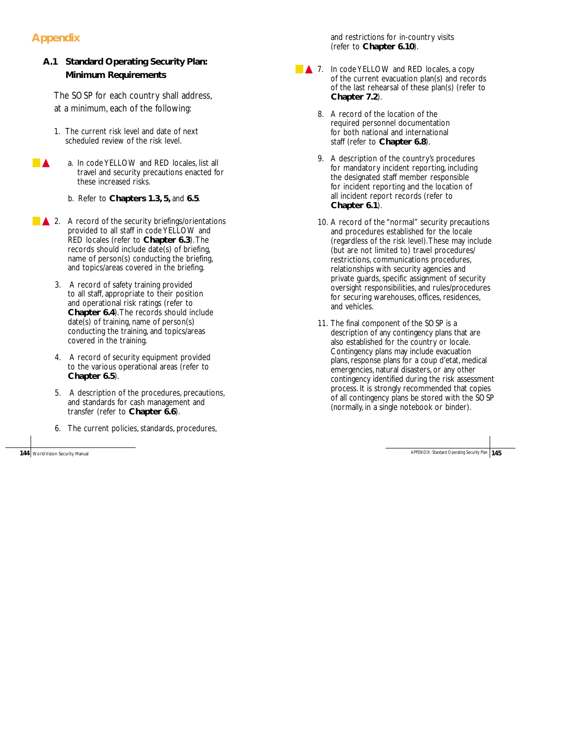# **Appendix**

## **A.1 Standard Operating Security Plan: Minimum Requirements**

The SOSP for each country shall address, at a minimum, each of the following:

- 1. The current risk level and date of next scheduled review of the risk level.
- ▲ a. In code YELLOW and RED locales, list all travel and security precautions enacted for these increased risks.
	- b. Refer to **Chapters 1.3, 5,** and **6.5**.
- ▲ 2. A record of the security briefings/orientations provided to all staff in code YELLOW and RED locales (refer to **Chapter 6.3**).The records should include date(s) of briefing, name of person(s) conducting the briefing, and topics/areas covered in the briefing.
	- 3. A record of safety training provided to all staff, appropriate to their position and operational risk ratings (refer to **Chapter 6.4**).The records should include date(s) of training, name of person(s) conducting the training, and topics/areas covered in the training.
	- 4. A record of security equipment provided to the various operational areas (refer to **Chapter 6.5**).
	- 5. A description of the procedures, precautions, and standards for cash management and transfer (refer to **Chapter 6.6**).
	- 6. The current policies, standards, procedures,

and restrictions for in-country visits (refer to **Chapter 6.10**).

- ▲ 7. In code YELLOW and RED locales, a copy of the current evacuation plan(s) and records of the last rehearsal of these plan(s) (refer to **Chapter 7.2**).
	- 8. A record of the location of the required personnel documentation for both national and international staff (refer to **Chapter 6.8**).
	- 9. A description of the country's procedures for mandatory incident reporting, including the designated staff member responsible for incident reporting and the location of all incident report records (refer to **Chapter 6.1**).
	- 10. A record of the "normal" security precautions and procedures established for the locale (regardless of the risk level).These may include (but are not limited to) travel procedures/ restrictions, communications procedures, relationships with security agencies and private guards, specific assignment of security oversight responsibilities, and rules/procedures for securing warehouses, offices, residences, and vehicles.
	- 11. The final component of the SOSP is a description of any contingency plans that are also established for the country or locale. Contingency plans may include evacuation plans, response plans for a coup d'etat, medical emergencies, natural disasters, or any other contingency identified during the risk assessment process. It is strongly recommended that copies of all contingency plans be stored with the SOSP (normally, in a single notebook or binder).

**144** World Vision Security Manual **145** World Vision Security Plan **145**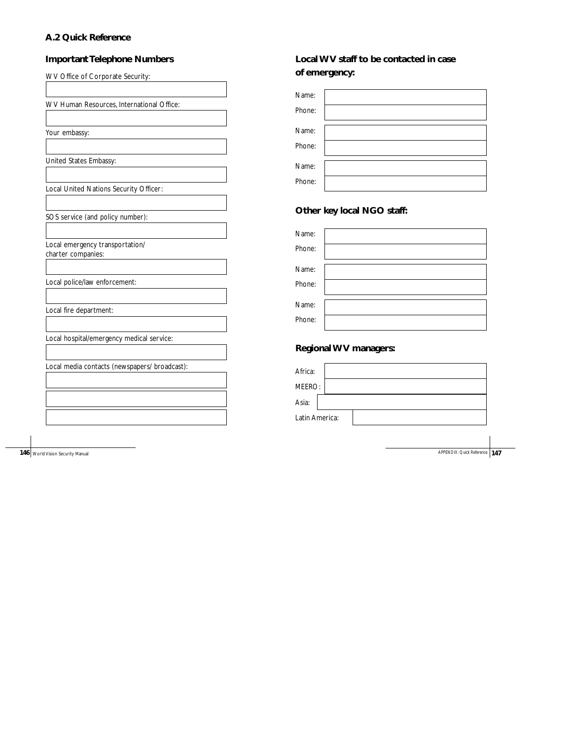#### **A.2 Quick Reference**

# **Important Telephone Numbers**

| WV Office of Corporate Security:              |
|-----------------------------------------------|
|                                               |
| WV Human Resources, International Office:     |
|                                               |
| Your embassy:                                 |
|                                               |
| United States Embassy:                        |
|                                               |
| Local United Nations Security Officer:        |
|                                               |
| SOS service (and policy number):              |
|                                               |
| Local emergency transportation/               |
| charter companies:                            |
|                                               |
| Local police/law enforcement:                 |
|                                               |
| Local fire department:                        |
|                                               |
| Local hospital/emergency medical service:     |
|                                               |
| Local media contacts (newspapers/ broadcast): |
|                                               |
|                                               |
|                                               |
|                                               |

**146** World Vision Security Manual **147** World Vision Security Manual **APPENDIX:** Quick Reference **147** 

# **Local WV staff to be contacted in case of emergency:**

| Name:  |  |
|--------|--|
| Phone: |  |
|        |  |
| Name:  |  |
| Phone: |  |
|        |  |
|        |  |
| Name:  |  |
|        |  |
| Phone: |  |

## **Other key local NGO staff:**

| Name:  |  |
|--------|--|
| Phone: |  |
|        |  |
| Name:  |  |
| Phone: |  |
|        |  |
| Name:  |  |
| Phone: |  |
|        |  |

# **Regional WV managers:**

| Africa:        |  |  |
|----------------|--|--|
| MEERO:         |  |  |
| Asia:          |  |  |
| Latin America: |  |  |